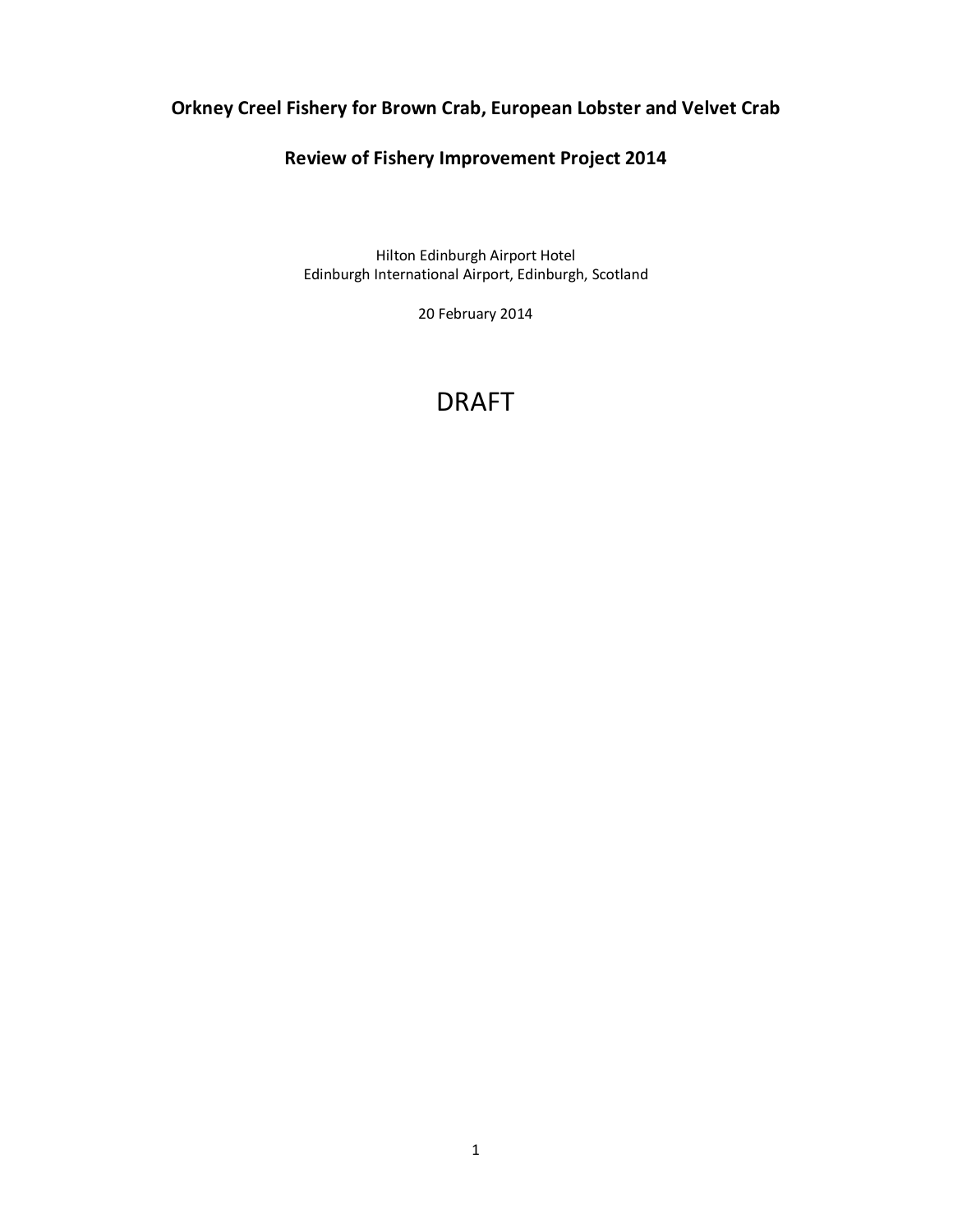# **Orkney Creel Fishery for Brown Crab, European Lobster and Velvet Crab**

# **Review of Fishery Improvement Project 2014**

Hilton Edinburgh Airport Hotel Edinburgh International Airport, Edinburgh, Scotland

20 February 2014

# DRAFT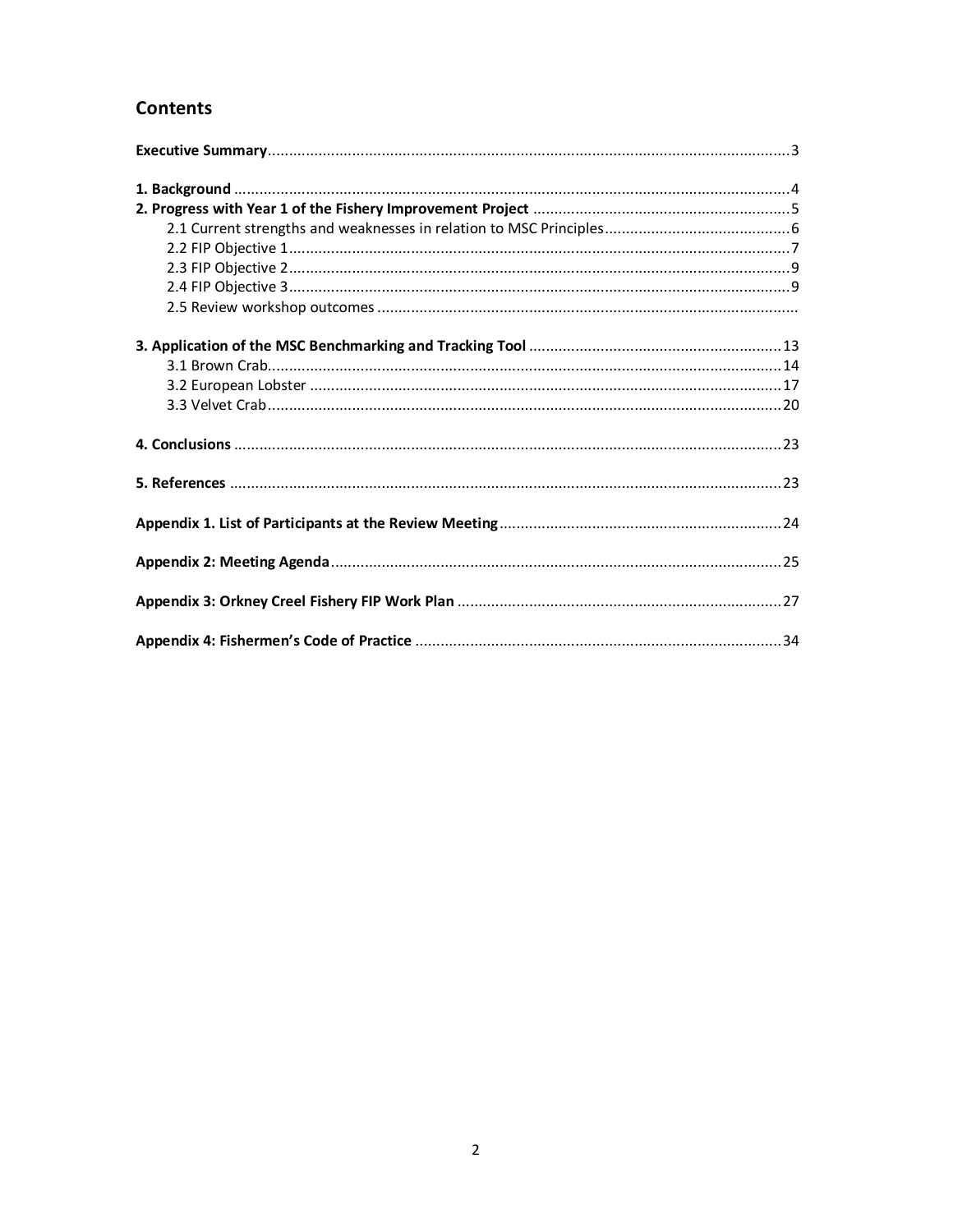# **Contents**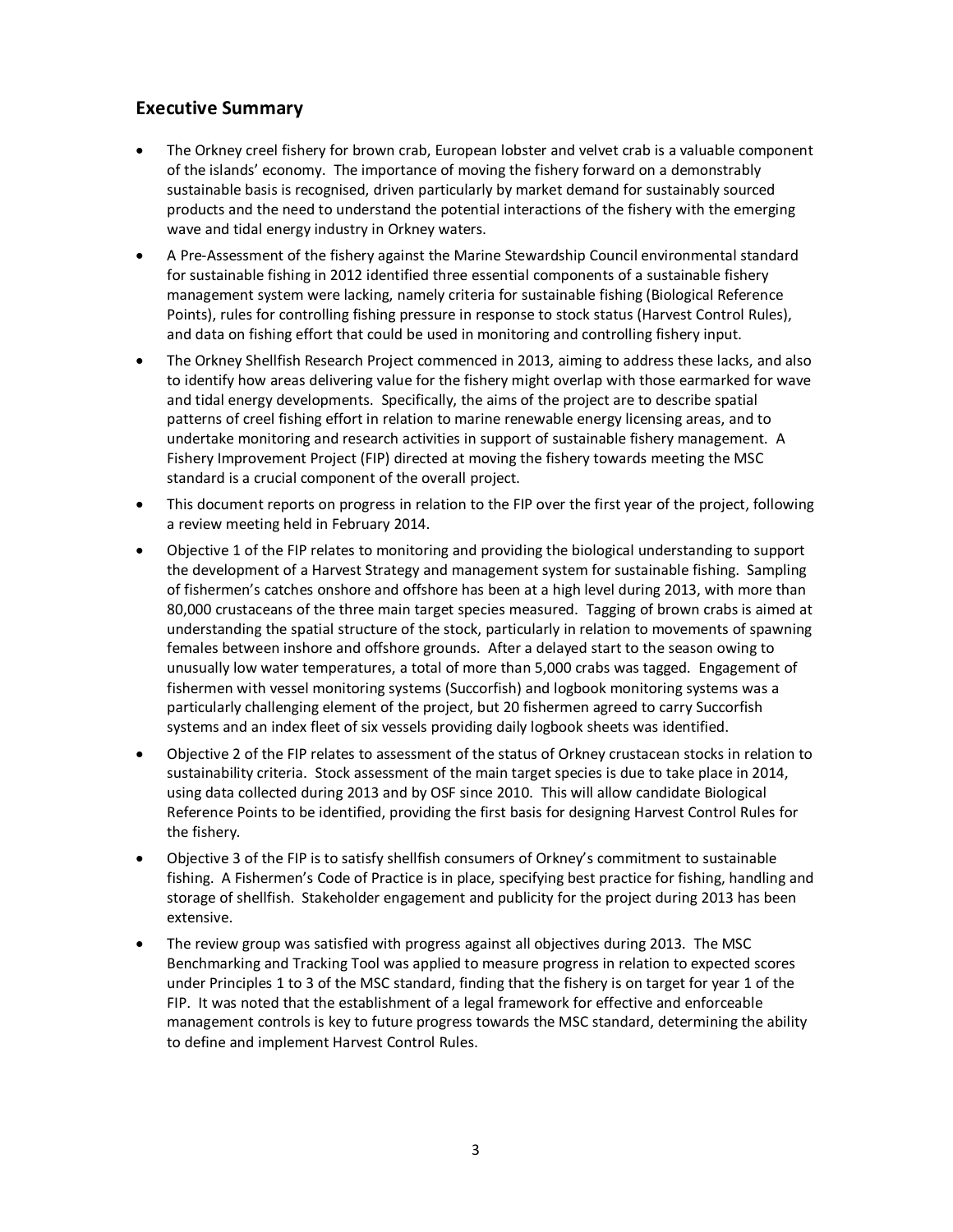# **Executive Summary**

- The Orkney creel fishery for brown crab, European lobster and velvet crab is a valuable component of the islands' economy. The importance of moving the fishery forward on a demonstrably sustainable basis is recognised, driven particularly by market demand for sustainably sourced products and the need to understand the potential interactions of the fishery with the emerging wave and tidal energy industry in Orkney waters.
- · A Pre-Assessment of the fishery against the Marine Stewardship Council environmental standard for sustainable fishing in 2012 identified three essential components of a sustainable fishery management system were lacking, namely criteria for sustainable fishing (Biological Reference Points), rules for controlling fishing pressure in response to stock status (Harvest Control Rules), and data on fishing effort that could be used in monitoring and controlling fishery input.
- The Orkney Shellfish Research Project commenced in 2013, aiming to address these lacks, and also to identify how areas delivering value for the fishery might overlap with those earmarked for wave and tidal energy developments. Specifically, the aims of the project are to describe spatial patterns of creel fishing effort in relation to marine renewable energy licensing areas, and to undertake monitoring and research activities in support of sustainable fishery management. A Fishery Improvement Project (FIP) directed at moving the fishery towards meeting the MSC standard is a crucial component of the overall project.
- This document reports on progress in relation to the FIP over the first year of the project, following a review meeting held in February 2014.
- · Objective 1 of the FIP relates to monitoring and providing the biological understanding to support the development of a Harvest Strategy and management system for sustainable fishing. Sampling of fishermen's catches onshore and offshore has been at a high level during 2013, with more than 80,000 crustaceans of the three main target species measured. Tagging of brown crabs is aimed at understanding the spatial structure of the stock, particularly in relation to movements of spawning females between inshore and offshore grounds. After a delayed start to the season owing to unusually low water temperatures, a total of more than 5,000 crabs was tagged. Engagement of fishermen with vessel monitoring systems (Succorfish) and logbook monitoring systems was a particularly challenging element of the project, but 20 fishermen agreed to carry Succorfish systems and an index fleet of six vessels providing daily logbook sheets was identified.
- · Objective 2 of the FIP relates to assessment of the status of Orkney crustacean stocks in relation to sustainability criteria. Stock assessment of the main target species is due to take place in 2014, using data collected during 2013 and by OSF since 2010. This will allow candidate Biological Reference Points to be identified, providing the first basis for designing Harvest Control Rules for the fishery.
- · Objective 3 of the FIP is to satisfy shellfish consumers of Orkney's commitment to sustainable fishing. A Fishermen's Code of Practice is in place, specifying best practice for fishing, handling and storage of shellfish. Stakeholder engagement and publicity for the project during 2013 has been extensive.
- · The review group was satisfied with progress against all objectives during 2013. The MSC Benchmarking and Tracking Tool was applied to measure progress in relation to expected scores under Principles 1 to 3 of the MSC standard, finding that the fishery is on target for year 1 of the FIP. It was noted that the establishment of a legal framework for effective and enforceable management controls is key to future progress towards the MSC standard, determining the ability to define and implement Harvest Control Rules.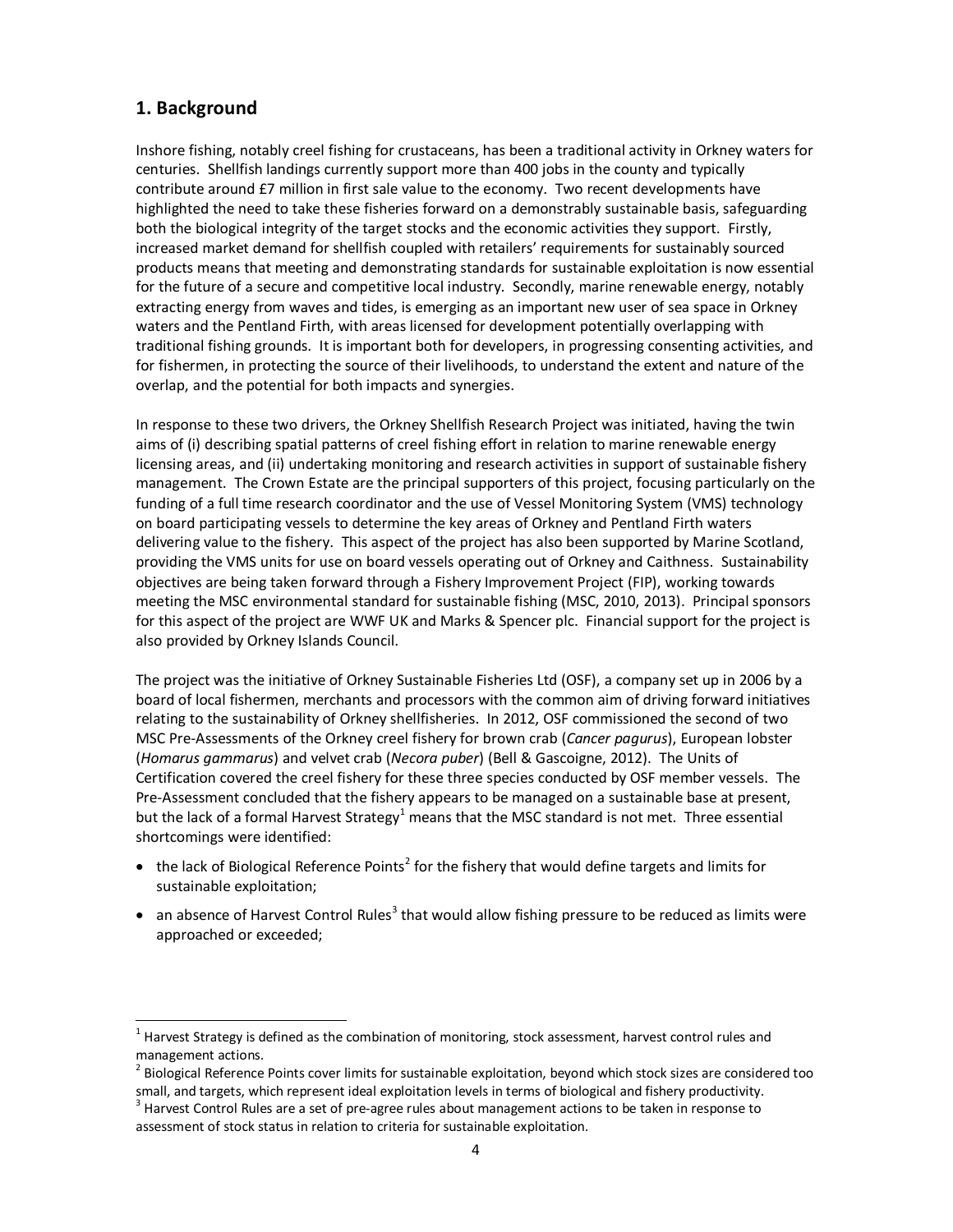# **1. Background**

Inshore fishing, notably creel fishing for crustaceans, has been a traditional activity in Orkney waters for centuries. Shellfish landings currently support more than 400 jobs in the county and typically contribute around £7 million in first sale value to the economy. Two recent developments have highlighted the need to take these fisheries forward on a demonstrably sustainable basis, safeguarding both the biological integrity of the target stocks and the economic activities they support. Firstly, increased market demand for shellfish coupled with retailers' requirements for sustainably sourced products means that meeting and demonstrating standards for sustainable exploitation is now essential for the future of a secure and competitive local industry. Secondly, marine renewable energy, notably extracting energy from waves and tides, is emerging as an important new user of sea space in Orkney waters and the Pentland Firth, with areas licensed for development potentially overlapping with traditional fishing grounds. It is important both for developers, in progressing consenting activities, and for fishermen, in protecting the source of their livelihoods, to understand the extent and nature of the overlap, and the potential for both impacts and synergies.

In response to these two drivers, the Orkney Shellfish Research Project was initiated, having the twin aims of (i) describing spatial patterns of creel fishing effort in relation to marine renewable energy licensing areas, and (ii) undertaking monitoring and research activities in support of sustainable fishery management. The Crown Estate are the principal supporters of this project, focusing particularly on the funding of a full time research coordinator and the use of Vessel Monitoring System (VMS) technology on board participating vessels to determine the key areas of Orkney and Pentland Firth waters delivering value to the fishery. This aspect of the project has also been supported by Marine Scotland, providing the VMS units for use on board vessels operating out of Orkney and Caithness. Sustainability objectives are being taken forward through a Fishery Improvement Project (FIP), working towards meeting the MSC environmental standard for sustainable fishing (MSC, 2010, 2013). Principal sponsors for this aspect of the project are WWF UK and Marks & Spencer plc. Financial support for the project is also provided by Orkney Islands Council.

The project was the initiative of Orkney Sustainable Fisheries Ltd (OSF), a company set up in 2006 by a board of local fishermen, merchants and processors with the common aim of driving forward initiatives relating to the sustainability of Orkney shellfisheries. In 2012, OSF commissioned the second of two MSC Pre-Assessments of the Orkney creel fishery for brown crab (*Cancer pagurus*), European lobster (*Homarus gammarus*) and velvet crab (*Necora puber*) (Bell & Gascoigne, 2012). The Units of Certification covered the creel fishery for these three species conducted by OSF member vessels. The Pre-Assessment concluded that the fishery appears to be managed on a sustainable base at present, but the lack of a formal Harvest Strategy<sup>1</sup> means that the MSC standard is not met. Three essential shortcomings were identified:

- the lack of Biological Reference Points<sup>2</sup> for the fishery that would define targets and limits for sustainable exploitation;
- an absence of Harvest Control Rules<sup>3</sup> that would allow fishing pressure to be reduced as limits were approached or exceeded;

 $<sup>1</sup>$  Harvest Strategy is defined as the combination of monitoring, stock assessment, harvest control rules and</sup> management actions.

<sup>2</sup> Biological Reference Points cover limits for sustainable exploitation, beyond which stock sizes are considered too small, and targets, which represent ideal exploitation levels in terms of biological and fishery productivity.

 $3$  Harvest Control Rules are a set of pre-agree rules about management actions to be taken in response to assessment of stock status in relation to criteria for sustainable exploitation.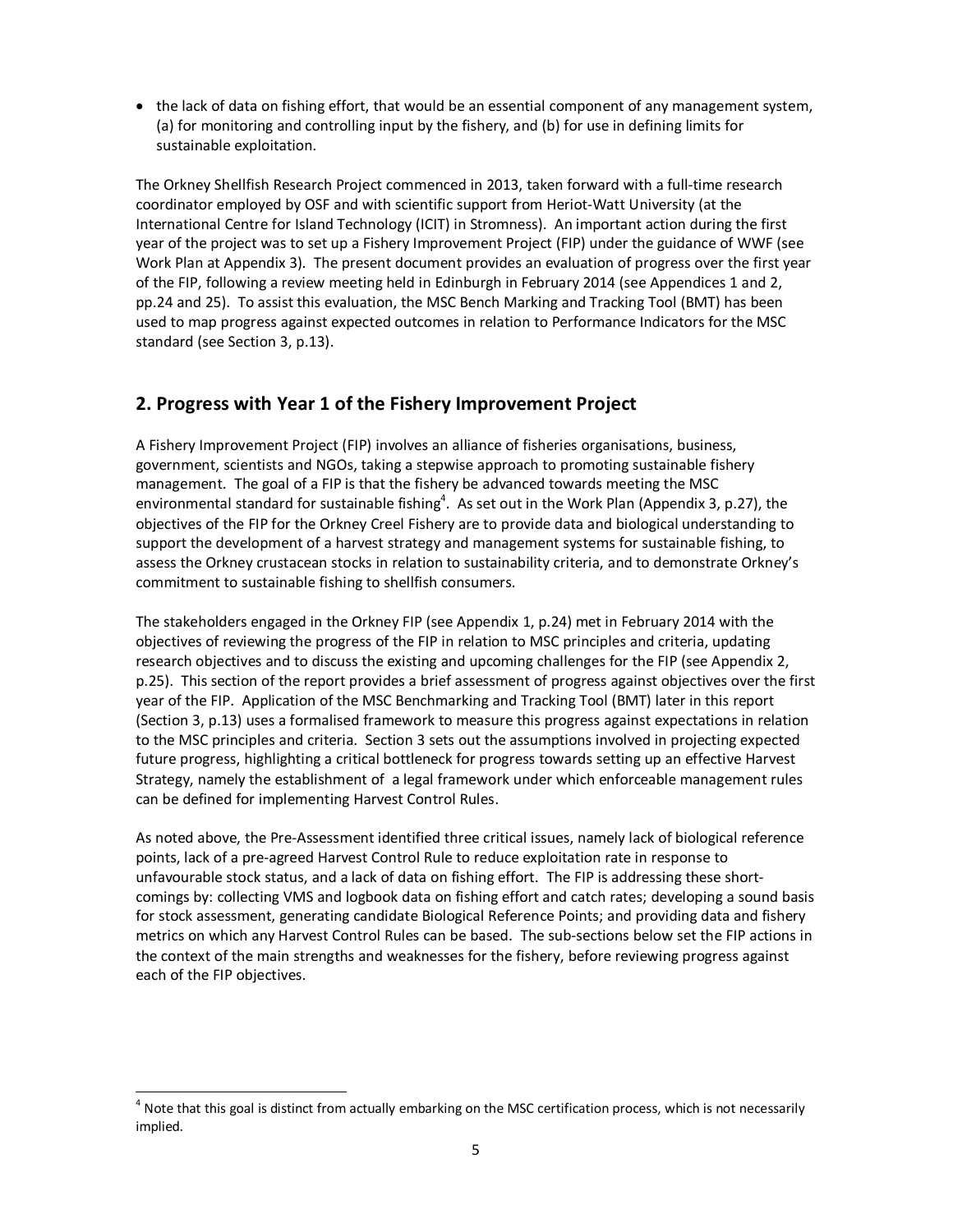· the lack of data on fishing effort, that would be an essential component of any management system, (a) for monitoring and controlling input by the fishery, and (b) for use in defining limits for sustainable exploitation.

The Orkney Shellfish Research Project commenced in 2013, taken forward with a full-time research coordinator employed by OSF and with scientific support from Heriot-Watt University (at the International Centre for Island Technology (ICIT) in Stromness). An important action during the first year of the project was to set up a Fishery Improvement Project (FIP) under the guidance of WWF (see Work Plan at Appendix 3). The present document provides an evaluation of progress over the first year of the FIP, following a review meeting held in Edinburgh in February 2014 (see Appendices 1 and 2, pp.24 and 25). To assist this evaluation, the MSC Bench Marking and Tracking Tool (BMT) has been used to map progress against expected outcomes in relation to Performance Indicators for the MSC standard (see Section 3, p.13).

# **2. Progress with Year 1 of the Fishery Improvement Project**

A Fishery Improvement Project (FIP) involves an alliance of fisheries organisations, business, government, scientists and NGOs, taking a stepwise approach to promoting sustainable fishery management. The goal of a FIP is that the fishery be advanced towards meeting the MSC environmental standard for sustainable fishing<sup>4</sup>. As set out in the Work Plan (Appendix 3, p.27), the objectives of the FIP for the Orkney Creel Fishery are to provide data and biological understanding to support the development of a harvest strategy and management systems for sustainable fishing, to assess the Orkney crustacean stocks in relation to sustainability criteria, and to demonstrate Orkney's commitment to sustainable fishing to shellfish consumers.

The stakeholders engaged in the Orkney FIP (see Appendix 1, p.24) met in February 2014 with the objectives of reviewing the progress of the FIP in relation to MSC principles and criteria, updating research objectives and to discuss the existing and upcoming challenges for the FIP (see Appendix 2, p.25). This section of the report provides a brief assessment of progress against objectives over the first year of the FIP. Application of the MSC Benchmarking and Tracking Tool (BMT) later in this report (Section 3, p.13) uses a formalised framework to measure this progress against expectations in relation to the MSC principles and criteria. Section 3 sets out the assumptions involved in projecting expected future progress, highlighting a critical bottleneck for progress towards setting up an effective Harvest Strategy, namely the establishment of a legal framework under which enforceable management rules can be defined for implementing Harvest Control Rules.

As noted above, the Pre-Assessment identified three critical issues, namely lack of biological reference points, lack of a pre-agreed Harvest Control Rule to reduce exploitation rate in response to unfavourable stock status, and a lack of data on fishing effort. The FIP is addressing these shortcomings by: collecting VMS and logbook data on fishing effort and catch rates; developing a sound basis for stock assessment, generating candidate Biological Reference Points; and providing data and fishery metrics on which any Harvest Control Rules can be based. The sub-sections below set the FIP actions in the context of the main strengths and weaknesses for the fishery, before reviewing progress against each of the FIP objectives.

 $4$  Note that this goal is distinct from actually embarking on the MSC certification process, which is not necessarily implied.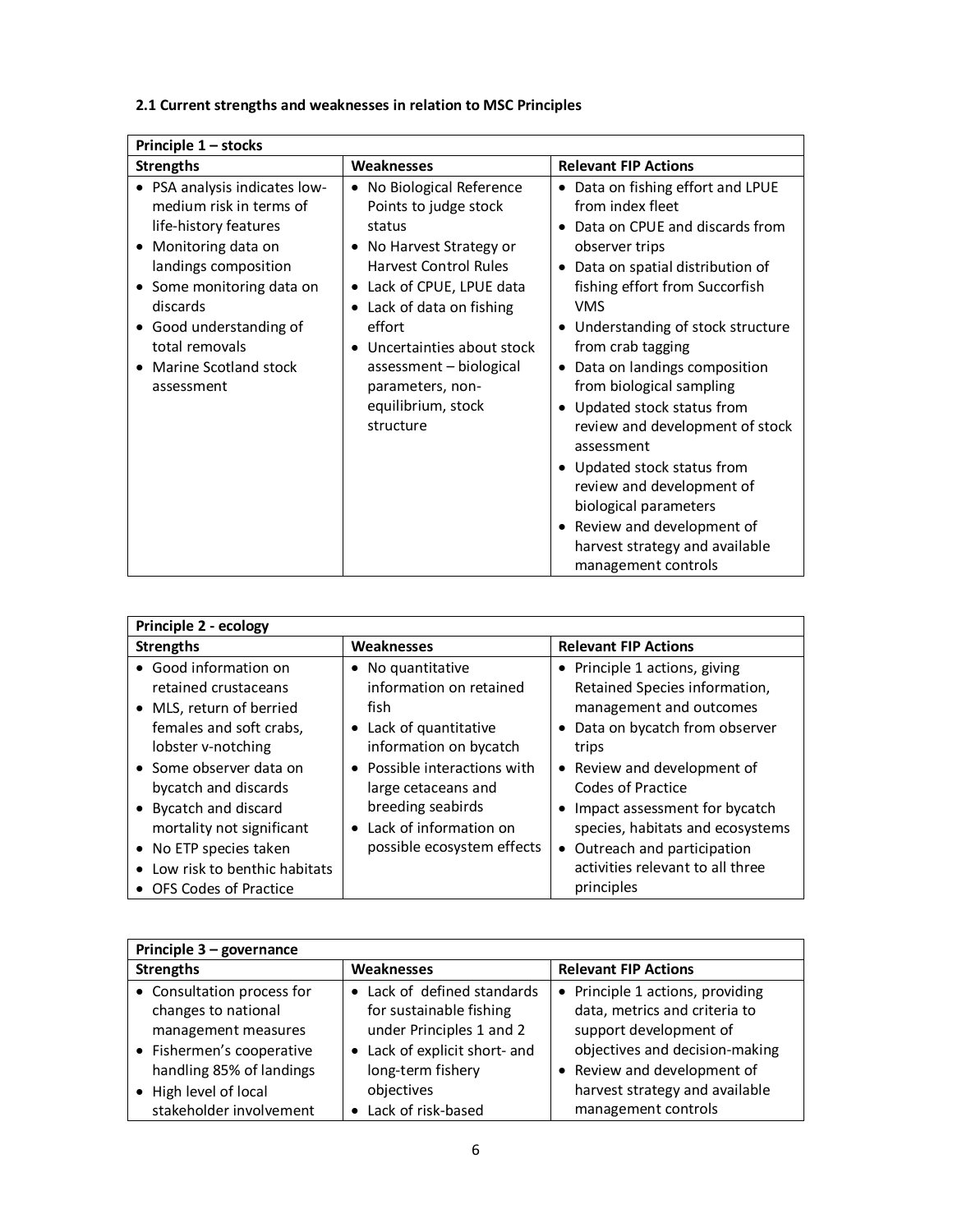# **2.1 Current strengths and weaknesses in relation to MSC Principles**

| Principle 1 - stocks                                                                                                                                                                                                                                                       |                                                                                                                                                                                                                                                                                                                      |                                                                                                                                                                                                                                                                                                                                                                                                                                                                                                                                                                                                            |
|----------------------------------------------------------------------------------------------------------------------------------------------------------------------------------------------------------------------------------------------------------------------------|----------------------------------------------------------------------------------------------------------------------------------------------------------------------------------------------------------------------------------------------------------------------------------------------------------------------|------------------------------------------------------------------------------------------------------------------------------------------------------------------------------------------------------------------------------------------------------------------------------------------------------------------------------------------------------------------------------------------------------------------------------------------------------------------------------------------------------------------------------------------------------------------------------------------------------------|
| <b>Strengths</b>                                                                                                                                                                                                                                                           | <b>Weaknesses</b>                                                                                                                                                                                                                                                                                                    | <b>Relevant FIP Actions</b>                                                                                                                                                                                                                                                                                                                                                                                                                                                                                                                                                                                |
| PSA analysis indicates low-<br>medium risk in terms of<br>life-history features<br>Monitoring data on<br>٠<br>landings composition<br>• Some monitoring data on<br>discards<br>Good understanding of<br>$\bullet$<br>total removals<br>Marine Scotland stock<br>assessment | No Biological Reference<br>$\bullet$<br>Points to judge stock<br>status<br>• No Harvest Strategy or<br><b>Harvest Control Rules</b><br>• Lack of CPUE, LPUE data<br>Lack of data on fishing<br>effort<br>Uncertainties about stock<br>assessment - biological<br>parameters, non-<br>equilibrium, stock<br>structure | • Data on fishing effort and LPUE<br>from index fleet<br>Data on CPUE and discards from<br>observer trips<br>Data on spatial distribution of<br>$\bullet$<br>fishing effort from Succorfish<br><b>VMS</b><br>• Understanding of stock structure<br>from crab tagging<br>Data on landings composition<br>$\bullet$<br>from biological sampling<br>• Updated stock status from<br>review and development of stock<br>assessment<br>• Updated stock status from<br>review and development of<br>biological parameters<br>• Review and development of<br>harvest strategy and available<br>management controls |

| Principle 2 - ecology                                                                                                                                                                                                                                                                                                       |                                                                                                                                                                                                                                                           |                                                                                                                                                                                                                                                                                                                                                  |
|-----------------------------------------------------------------------------------------------------------------------------------------------------------------------------------------------------------------------------------------------------------------------------------------------------------------------------|-----------------------------------------------------------------------------------------------------------------------------------------------------------------------------------------------------------------------------------------------------------|--------------------------------------------------------------------------------------------------------------------------------------------------------------------------------------------------------------------------------------------------------------------------------------------------------------------------------------------------|
| <b>Strengths</b>                                                                                                                                                                                                                                                                                                            | Weaknesses                                                                                                                                                                                                                                                | <b>Relevant FIP Actions</b>                                                                                                                                                                                                                                                                                                                      |
| • Good information on<br>retained crustaceans<br>• MLS, return of berried<br>females and soft crabs,<br>lobster v-notching<br>• Some observer data on<br>bycatch and discards<br>Bycatch and discard<br>mortality not significant<br>• No ETP species taken<br>Low risk to benthic habitats<br><b>OFS Codes of Practice</b> | No quantitative<br>$\bullet$<br>information on retained<br>fish<br>• Lack of quantitative<br>information on bycatch<br>• Possible interactions with<br>large cetaceans and<br>breeding seabirds<br>• Lack of information on<br>possible ecosystem effects | • Principle 1 actions, giving<br>Retained Species information,<br>management and outcomes<br>• Data on bycatch from observer<br>trips<br>• Review and development of<br>Codes of Practice<br>Impact assessment for bycatch<br>species, habitats and ecosystems<br>• Outreach and participation<br>activities relevant to all three<br>principles |

| Principle 3 - governance                                                                                                          |                                                                                                                                                     |                                                                                                                                                              |
|-----------------------------------------------------------------------------------------------------------------------------------|-----------------------------------------------------------------------------------------------------------------------------------------------------|--------------------------------------------------------------------------------------------------------------------------------------------------------------|
| <b>Strengths</b>                                                                                                                  | <b>Weaknesses</b>                                                                                                                                   | <b>Relevant FIP Actions</b>                                                                                                                                  |
| • Consultation process for<br>changes to national<br>management measures<br>• Fishermen's cooperative<br>handling 85% of landings | • Lack of defined standards<br>for sustainable fishing<br>under Principles 1 and 2<br>Lack of explicit short- and<br>$\bullet$<br>long-term fishery | • Principle 1 actions, providing<br>data, metrics and criteria to<br>support development of<br>objectives and decision-making<br>• Review and development of |
| • High level of local<br>stakeholder involvement                                                                                  | objectives<br>Lack of risk-based                                                                                                                    | harvest strategy and available<br>management controls                                                                                                        |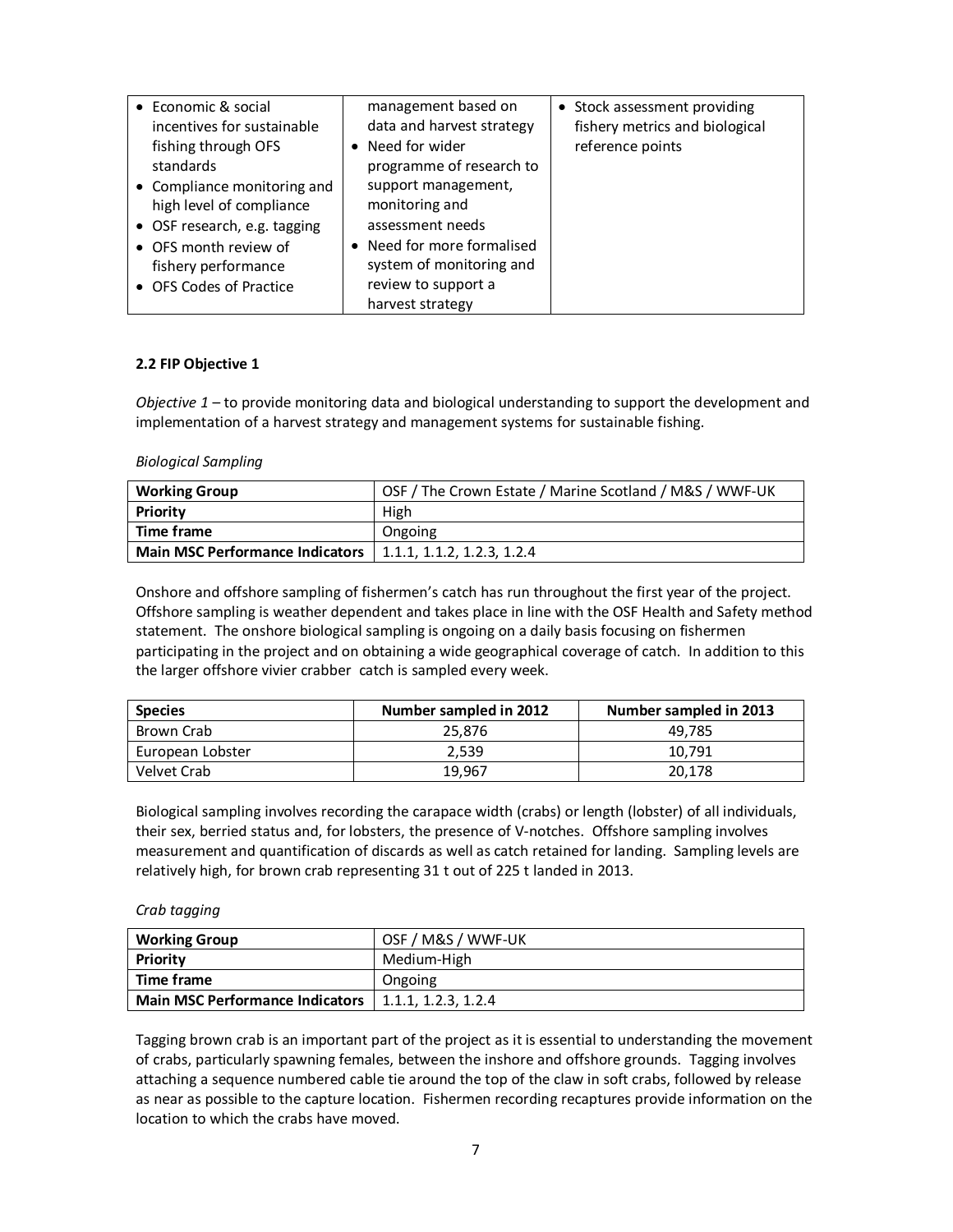## **2.2 FIP Objective 1**

*Objective 1* – to provide monitoring data and biological understanding to support the development and implementation of a harvest strategy and management systems for sustainable fishing.

*Biological Sampling* 

| <b>Working Group</b>                   | OSF / The Crown Estate / Marine Scotland / M&S / WWF-UK |
|----------------------------------------|---------------------------------------------------------|
| Priority                               | High                                                    |
| Time frame                             | Ongoing                                                 |
| <b>Main MSC Performance Indicators</b> | 1.1.1, 1.1.2, 1.2.3, 1.2.4                              |

Onshore and offshore sampling of fishermen's catch has run throughout the first year of the project. Offshore sampling is weather dependent and takes place in line with the OSF Health and Safety method statement. The onshore biological sampling is ongoing on a daily basis focusing on fishermen participating in the project and on obtaining a wide geographical coverage of catch. In addition to this the larger offshore vivier crabber catch is sampled every week.

| <b>Species</b>   | Number sampled in 2012 | Number sampled in 2013 |
|------------------|------------------------|------------------------|
| Brown Crab       | 25.876                 | 49.785                 |
| European Lobster | 2.539                  | 10.791                 |
| Velvet Crab      | 19.967                 | 20.178                 |

Biological sampling involves recording the carapace width (crabs) or length (lobster) of all individuals, their sex, berried status and, for lobsters, the presence of V-notches. Offshore sampling involves measurement and quantification of discards as well as catch retained for landing. Sampling levels are relatively high, for brown crab representing 31 t out of 225 t landed in 2013.

*Crab tagging*

| <b>Working Group</b>                   | OSF / M&S / WWF-UK |
|----------------------------------------|--------------------|
| Priority                               | Medium-High        |
| Time frame                             | Ongoing            |
| <b>Main MSC Performance Indicators</b> | 1.1.1.1.2.3.1.2.4  |

Tagging brown crab is an important part of the project as it is essential to understanding the movement of crabs, particularly spawning females, between the inshore and offshore grounds. Tagging involves attaching a sequence numbered cable tie around the top of the claw in soft crabs, followed by release as near as possible to the capture location. Fishermen recording recaptures provide information on the location to which the crabs have moved.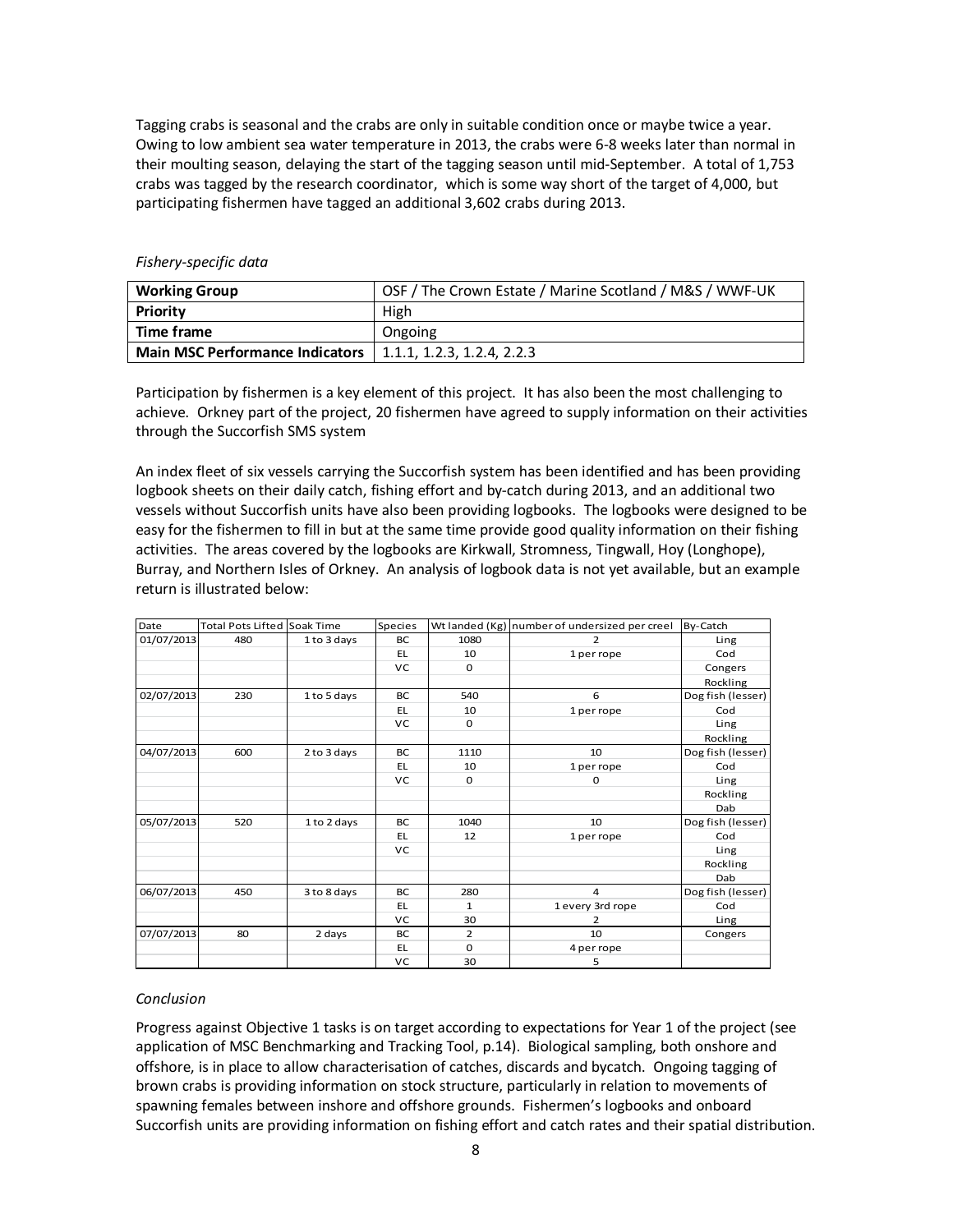Tagging crabs is seasonal and the crabs are only in suitable condition once or maybe twice a year. Owing to low ambient sea water temperature in 2013, the crabs were 6-8 weeks later than normal in their moulting season, delaying the start of the tagging season until mid-September. A total of 1,753 crabs was tagged by the research coordinator, which is some way short of the target of 4,000, but participating fishermen have tagged an additional 3,602 crabs during 2013.

#### *Fishery-specific data*

| <b>Working Group</b>                   | OSF / The Crown Estate / Marine Scotland / M&S / WWF-UK |
|----------------------------------------|---------------------------------------------------------|
| Priority                               | High                                                    |
| Time frame                             | Ongoing                                                 |
| <b>Main MSC Performance Indicators</b> | 1.1.1, 1.2.3, 1.2.4, 2.2.3                              |

Participation by fishermen is a key element of this project. It has also been the most challenging to achieve. Orkney part of the project, 20 fishermen have agreed to supply information on their activities through the Succorfish SMS system

An index fleet of six vessels carrying the Succorfish system has been identified and has been providing logbook sheets on their daily catch, fishing effort and by-catch during 2013, and an additional two vessels without Succorfish units have also been providing logbooks. The logbooks were designed to be easy for the fishermen to fill in but at the same time provide good quality information on their fishing activities. The areas covered by the logbooks are Kirkwall, Stromness, Tingwall, Hoy (Longhope), Burray, and Northern Isles of Orkney. An analysis of logbook data is not yet available, but an example return is illustrated below:

| Date       | Total Pots Lifted Soak Time |             | Species   |                | Wt landed (Kg) number of undersized per creel | By-Catch          |
|------------|-----------------------------|-------------|-----------|----------------|-----------------------------------------------|-------------------|
| 01/07/2013 | 480                         | 1 to 3 days | <b>BC</b> | 1080           | 2                                             | Ling              |
|            |                             |             | EL.       | 10             | 1 per rope                                    | Cod               |
|            |                             |             | <b>VC</b> | 0              |                                               | Congers           |
|            |                             |             |           |                |                                               | Rockling          |
| 02/07/2013 | 230                         | 1 to 5 days | <b>BC</b> | 540            | 6                                             | Dog fish (lesser) |
|            |                             |             | EL.       | 10             | 1 per rope                                    | Cod               |
|            |                             |             | VC        | 0              |                                               | Ling              |
|            |                             |             |           |                |                                               | Rockling          |
| 04/07/2013 | 600                         | 2 to 3 days | BC        | 1110           | 10                                            | Dog fish (lesser) |
|            |                             |             | <b>EL</b> | 10             | 1 per rope                                    | Cod               |
|            |                             |             | <b>VC</b> | $\mathbf 0$    | $\mathbf 0$                                   | Ling              |
|            |                             |             |           |                |                                               | Rockling          |
|            |                             |             |           |                |                                               | Dab               |
| 05/07/2013 | 520                         | 1 to 2 days | BC        | 1040           | 10                                            | Dog fish (lesser) |
|            |                             |             | <b>EL</b> | 12             | 1 per rope                                    | Cod               |
|            |                             |             | <b>VC</b> |                |                                               | Ling              |
|            |                             |             |           |                |                                               | Rockling          |
|            |                             |             |           |                |                                               | Dab               |
| 06/07/2013 | 450                         | 3 to 8 days | <b>BC</b> | 280            | 4                                             | Dog fish (lesser) |
|            |                             |             | EL.       | 1              | 1 every 3rd rope                              | Cod               |
|            |                             |             | VC        | 30             | 2                                             | Ling              |
| 07/07/2013 | 80                          | 2 days      | <b>BC</b> | $\overline{2}$ | 10                                            | Congers           |
|            |                             |             | <b>EL</b> | 0              | 4 per rope                                    |                   |
|            |                             |             | <b>VC</b> | 30             | 5                                             |                   |

#### *Conclusion*

Progress against Objective 1 tasks is on target according to expectations for Year 1 of the project (see application of MSC Benchmarking and Tracking Tool, p.14). Biological sampling, both onshore and offshore, is in place to allow characterisation of catches, discards and bycatch. Ongoing tagging of brown crabs is providing information on stock structure, particularly in relation to movements of spawning females between inshore and offshore grounds. Fishermen's logbooks and onboard Succorfish units are providing information on fishing effort and catch rates and their spatial distribution.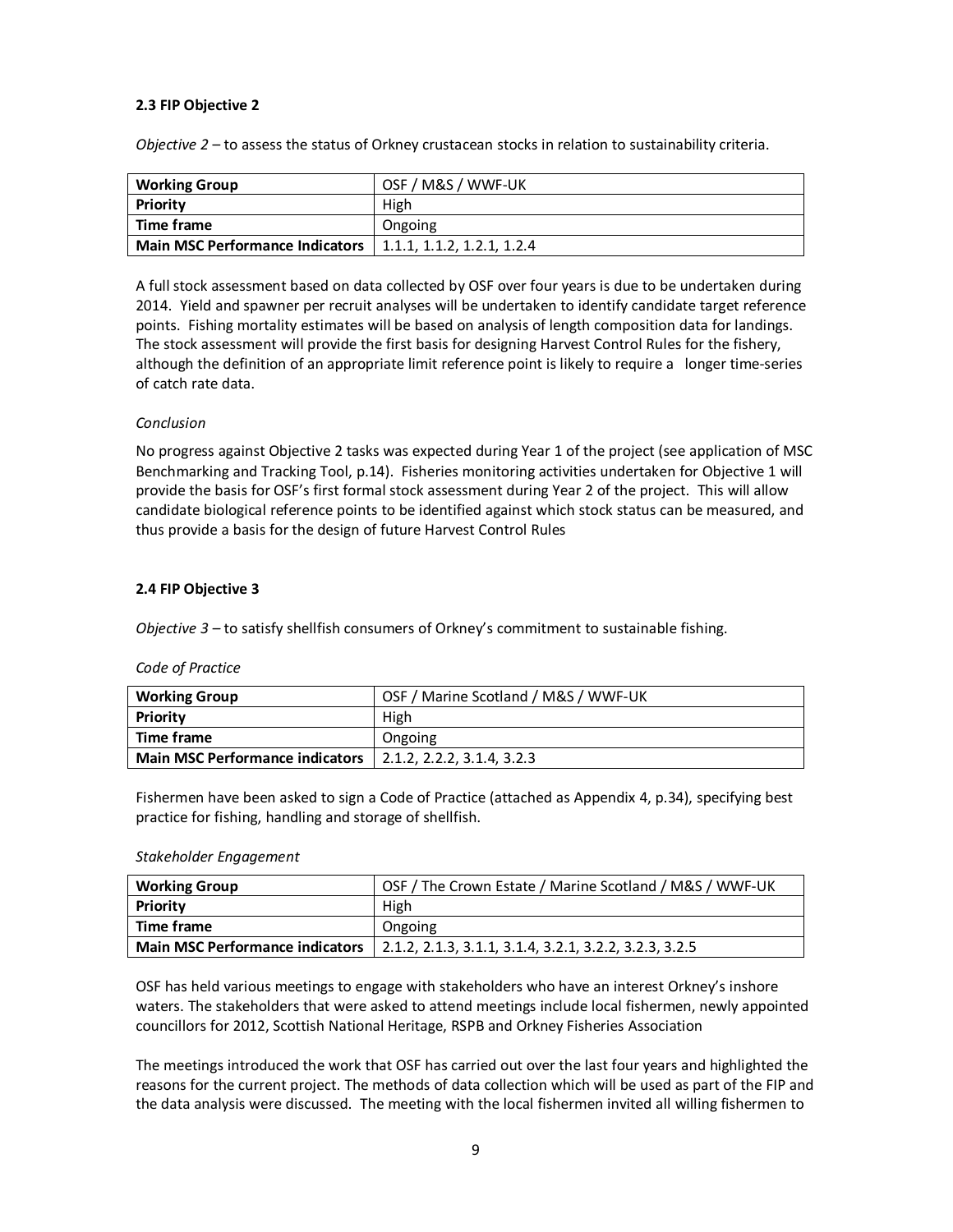## **2.3 FIP Objective 2**

*Objective 2* – to assess the status of Orkney crustacean stocks in relation to sustainability criteria.

| <b>Working Group</b>                   | OSF / M&S / WWF-UK         |  |  |
|----------------------------------------|----------------------------|--|--|
| Priority                               | High                       |  |  |
| Time frame                             | Ongoing                    |  |  |
| <b>Main MSC Performance Indicators</b> | 1.1.1, 1.1.2, 1.2.1, 1.2.4 |  |  |

A full stock assessment based on data collected by OSF over four years is due to be undertaken during 2014. Yield and spawner per recruit analyses will be undertaken to identify candidate target reference points. Fishing mortality estimates will be based on analysis of length composition data for landings. The stock assessment will provide the first basis for designing Harvest Control Rules for the fishery, although the definition of an appropriate limit reference point is likely to require a longer time-series of catch rate data.

#### *Conclusion*

No progress against Objective 2 tasks was expected during Year 1 of the project (see application of MSC Benchmarking and Tracking Tool, p.14). Fisheries monitoring activities undertaken for Objective 1 will provide the basis for OSF's first formal stock assessment during Year 2 of the project. This will allow candidate biological reference points to be identified against which stock status can be measured, and thus provide a basis for the design of future Harvest Control Rules

#### **2.4 FIP Objective 3**

*Objective 3 –* to satisfy shellfish consumers of Orkney's commitment to sustainable fishing.

|  | Code of Practice |
|--|------------------|
|--|------------------|

| <b>Working Group</b>                   | OSF / Marine Scotland / M&S / WWF-UK |  |
|----------------------------------------|--------------------------------------|--|
| Priority                               | High                                 |  |
| Time frame                             | Ongoing                              |  |
| <b>Main MSC Performance indicators</b> | 2.1.2, 2.2.2, 3.1.4, 3.2.3           |  |

Fishermen have been asked to sign a Code of Practice (attached as Appendix 4, p.34), specifying best practice for fishing, handling and storage of shellfish.

#### *Stakeholder Engagement*

| <b>Working Group</b>                   | OSF / The Crown Estate / Marine Scotland / M&S / WWF-UK |
|----------------------------------------|---------------------------------------------------------|
| Priority                               | High                                                    |
| Time frame                             | Ongoing                                                 |
| <b>Main MSC Performance indicators</b> | 2.1.2, 2.1.3, 3.1.1, 3.1.4, 3.2.1, 3.2.2, 3.2.3, 3.2.5  |

OSF has held various meetings to engage with stakeholders who have an interest Orkney's inshore waters. The stakeholders that were asked to attend meetings include local fishermen, newly appointed councillors for 2012, Scottish National Heritage, RSPB and Orkney Fisheries Association

The meetings introduced the work that OSF has carried out over the last four years and highlighted the reasons for the current project. The methods of data collection which will be used as part of the FIP and the data analysis were discussed. The meeting with the local fishermen invited all willing fishermen to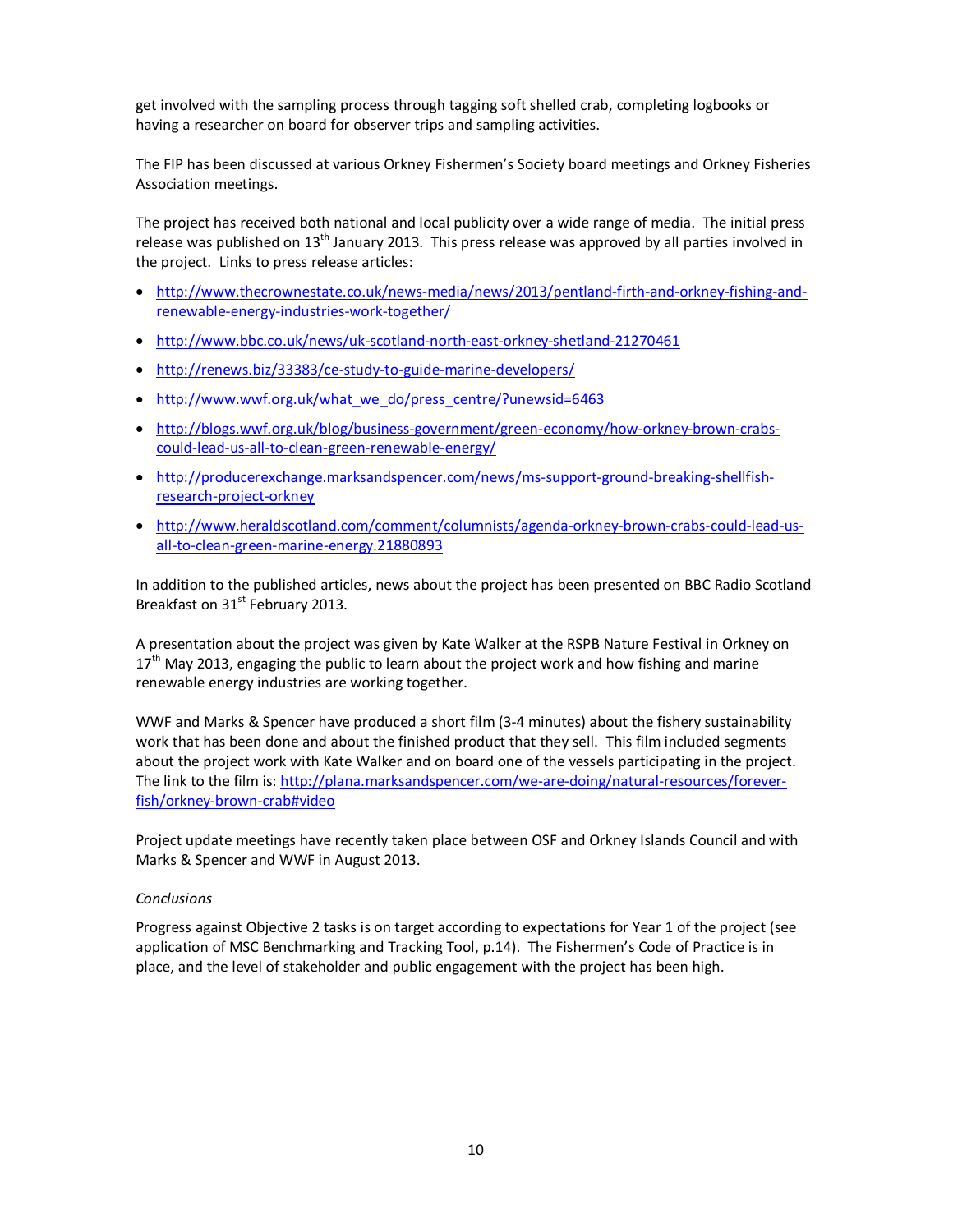get involved with the sampling process through tagging soft shelled crab, completing logbooks or having a researcher on board for observer trips and sampling activities.

The FIP has been discussed at various Orkney Fishermen's Society board meetings and Orkney Fisheries Association meetings.

The project has received both national and local publicity over a wide range of media. The initial press release was published on  $13<sup>th</sup>$  January 2013. This press release was approved by all parties involved in the project. Links to press release articles:

- · http://www.thecrownestate.co.uk/news-media/news/2013/pentland-firth-and-orkney-fishing-and[renewable-energy-industries-work-together/](http://www.thecrownestate.co.uk/news-media/news/2013/pentland-firth-and-orkney-fishing-and-renewable-energy-industries-work-together/)
- [http://www.bbc.co.uk/news/uk-scotland-no](http://www.thecrownestate.co.uk/news-media/news/2013/pentland-firth-and-orkney-fishing-and-renewable-energy-industries-work-together/)rth-east-orkney-shetland-21270461
- · [http://renews.biz/33383/ce-study-to-guide-marine-developers/](http://www.bbc.co.uk/news/uk-scotland-north-east-orkney-shetland-21270461)
- http://www.wwf.org.uk/what we do/press centre/?unewsid=6463
- · [http://blogs.wwf.org.uk/blog/business-government/green-economy/](http://www.wwf.org.uk/what_we_do/press_centre/?unewsid=6463)how-orkney-brown-crabs[could-lead-us-all-to-clean-green-renewable-energy/](http://blogs.wwf.org.uk/blog/business-government/green-economy/how-orkney-brown-crabs-could-lead-us-all-to-clean-green-renewable-energy/)
- [http://producerexchange.marksandspencer.com/ne](http://blogs.wwf.org.uk/blog/business-government/green-economy/how-orkney-brown-crabs-could-lead-us-all-to-clean-green-renewable-energy/)ws/ms-support-ground-breaking-shellfish[research-project-orkney](http://producerexchange.marksandspencer.com/news/ms-support-ground-breaking-shellfish-research-project-orkney)
- · [http://www.heraldsco](http://producerexchange.marksandspencer.com/news/ms-support-ground-breaking-shellfish-research-project-orkney)tland.com/comment/columnists/agenda-orkney-brown-crabs-could-lead-us[all-to-clean-green-marine-energy.21880893](http://www.heraldscotland.com/comment/columnists/agenda-orkney-brown-crabs-could-lead-us-all-to-clean-green-marine-energy.21880893)

[In addition to the published articles, news abo](http://www.heraldscotland.com/comment/columnists/agenda-orkney-brown-crabs-could-lead-us-all-to-clean-green-marine-energy.21880893)ut the project has been presented on BBC Radio Scotland Breakfast on 31<sup>st</sup> February 2013.

A presentation about the project was given by Kate Walker at the RSPB Nature Festival in Orkney on  $17<sup>th</sup>$  May 2013, engaging the public to learn about the project work and how fishing and marine renewable energy industries are working together.

WWF and Marks & Spencer have produced a short film (3-4 minutes) about the fishery sustainability work that has been done and about the finished product that they sell. This film included segments about the project work with Kate Walker and on board one of the vessels participating in the project. The link to the film is: http://plana.marksandspencer.com/we-are-doing/natural-resources/foreverfish/orkney-brown-crab#video

[Project update meetings have recently taken place between OSF and Orkney Islands Council and with](http://plana.marksandspencer.com/we-are-doing/natural-resources/forever-fish/orkney-brown-crab) Marks & Spencer and WWF in August 2013.

## *Conclusions*

Progress against Objective 2 tasks is on target according to expectations for Year 1 of the project (see application of MSC Benchmarking and Tracking Tool, p.14). The Fishermen's Code of Practice is in place, and the level of stakeholder and public engagement with the project has been high.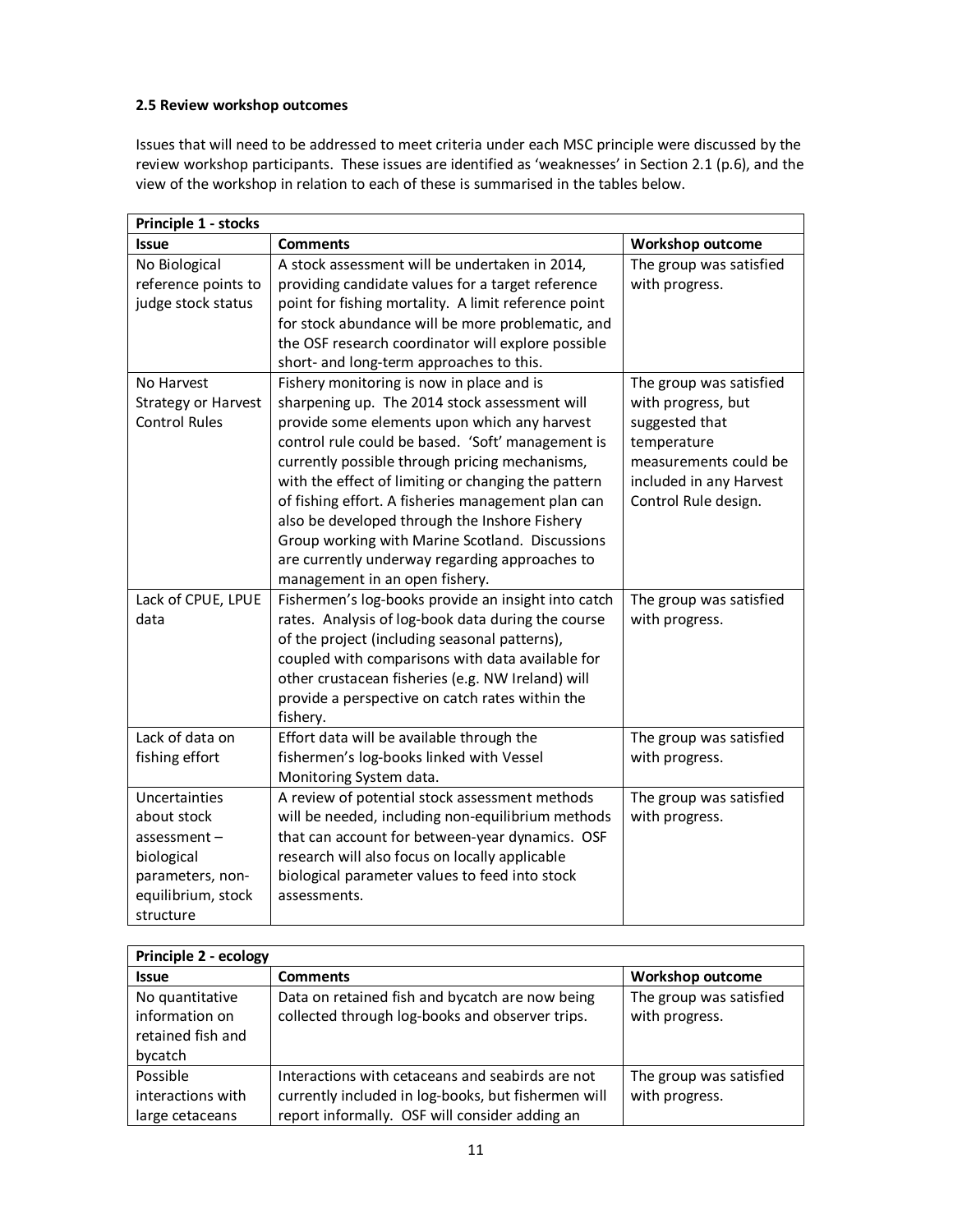# **2.5 Review workshop outcomes**

Issues that will need to be addressed to meet criteria under each MSC principle were discussed by the review workshop participants. These issues are identified as 'weaknesses' in Section 2.1 (p.6), and the view of the workshop in relation to each of these is summarised in the tables below.

| Principle 1 - stocks       |                                                      |                         |
|----------------------------|------------------------------------------------------|-------------------------|
| <b>Issue</b>               | <b>Comments</b>                                      | <b>Workshop outcome</b> |
| No Biological              | A stock assessment will be undertaken in 2014,       | The group was satisfied |
| reference points to        | providing candidate values for a target reference    | with progress.          |
| judge stock status         | point for fishing mortality. A limit reference point |                         |
|                            | for stock abundance will be more problematic, and    |                         |
|                            | the OSF research coordinator will explore possible   |                         |
|                            | short- and long-term approaches to this.             |                         |
| No Harvest                 | Fishery monitoring is now in place and is            | The group was satisfied |
| <b>Strategy or Harvest</b> | sharpening up. The 2014 stock assessment will        | with progress, but      |
| <b>Control Rules</b>       | provide some elements upon which any harvest         | suggested that          |
|                            | control rule could be based. 'Soft' management is    | temperature             |
|                            | currently possible through pricing mechanisms,       | measurements could be   |
|                            | with the effect of limiting or changing the pattern  | included in any Harvest |
|                            | of fishing effort. A fisheries management plan can   | Control Rule design.    |
|                            | also be developed through the Inshore Fishery        |                         |
|                            | Group working with Marine Scotland. Discussions      |                         |
|                            | are currently underway regarding approaches to       |                         |
|                            | management in an open fishery.                       |                         |
| Lack of CPUE, LPUE         | Fishermen's log-books provide an insight into catch  | The group was satisfied |
| data                       | rates. Analysis of log-book data during the course   | with progress.          |
|                            | of the project (including seasonal patterns),        |                         |
|                            | coupled with comparisons with data available for     |                         |
|                            | other crustacean fisheries (e.g. NW Ireland) will    |                         |
|                            | provide a perspective on catch rates within the      |                         |
|                            | fishery.                                             |                         |
| Lack of data on            | Effort data will be available through the            | The group was satisfied |
| fishing effort             | fishermen's log-books linked with Vessel             | with progress.          |
|                            | Monitoring System data.                              |                         |
| Uncertainties              | A review of potential stock assessment methods       | The group was satisfied |
| about stock                | will be needed, including non-equilibrium methods    | with progress.          |
| $assessment -$             | that can account for between-year dynamics. OSF      |                         |
| biological                 | research will also focus on locally applicable       |                         |
| parameters, non-           | biological parameter values to feed into stock       |                         |
| equilibrium, stock         | assessments.                                         |                         |
| structure                  |                                                      |                         |

| Principle 2 - ecology                                             |                                                                                                         |                                           |  |  |  |  |  |
|-------------------------------------------------------------------|---------------------------------------------------------------------------------------------------------|-------------------------------------------|--|--|--|--|--|
| <b>Issue</b>                                                      | <b>Comments</b>                                                                                         | <b>Workshop outcome</b>                   |  |  |  |  |  |
| No quantitative<br>information on<br>retained fish and<br>bycatch | Data on retained fish and bycatch are now being<br>collected through log-books and observer trips.      | The group was satisfied<br>with progress. |  |  |  |  |  |
| Possible<br>interactions with                                     | Interactions with cetaceans and seabirds are not<br>currently included in log-books, but fishermen will | The group was satisfied<br>with progress. |  |  |  |  |  |
| large cetaceans                                                   | report informally. OSF will consider adding an                                                          |                                           |  |  |  |  |  |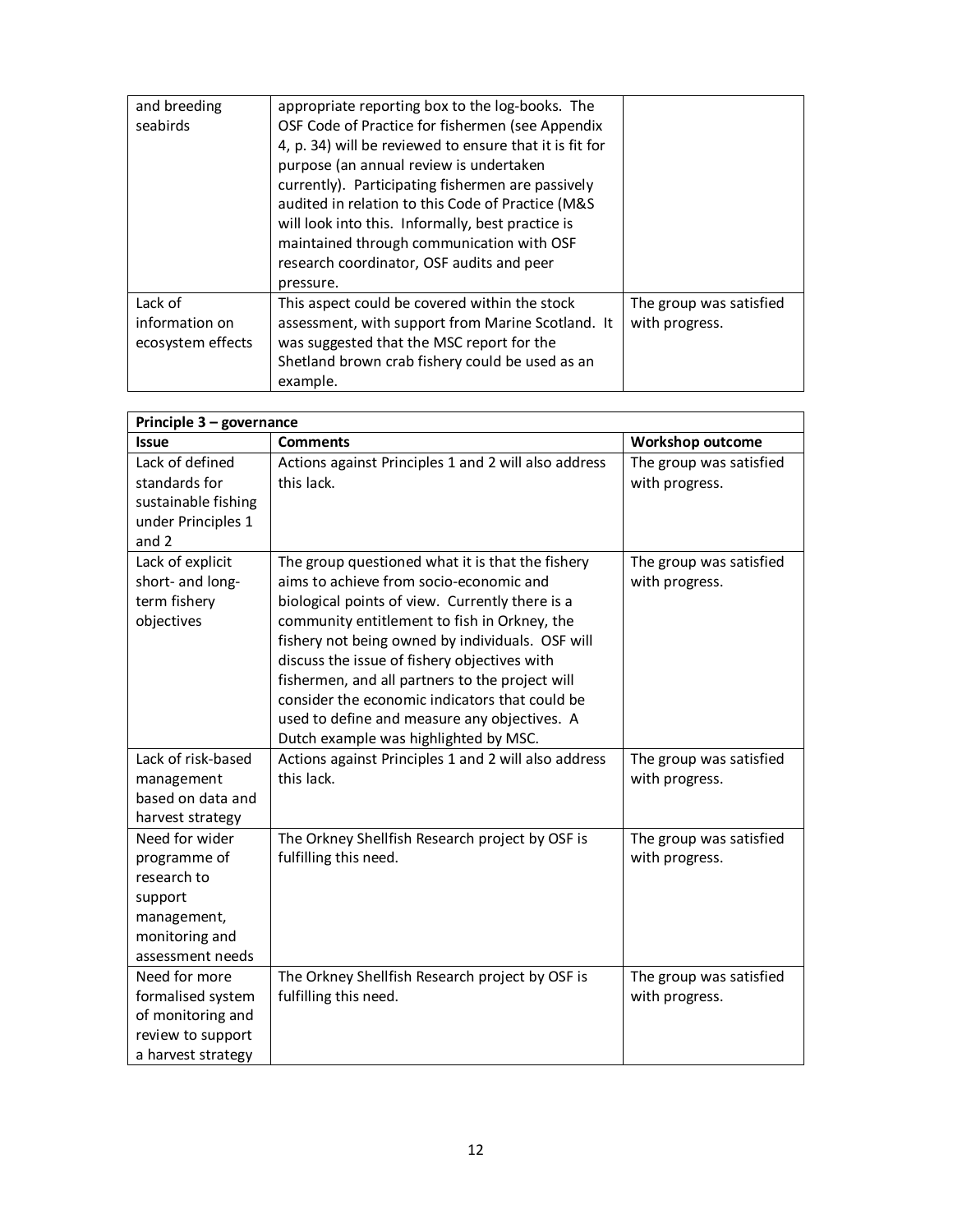| and breeding      | appropriate reporting box to the log-books. The         |                         |
|-------------------|---------------------------------------------------------|-------------------------|
| seabirds          | OSF Code of Practice for fishermen (see Appendix        |                         |
|                   | 4, p. 34) will be reviewed to ensure that it is fit for |                         |
|                   | purpose (an annual review is undertaken                 |                         |
|                   | currently). Participating fishermen are passively       |                         |
|                   | audited in relation to this Code of Practice (M&S       |                         |
|                   | will look into this. Informally, best practice is       |                         |
|                   | maintained through communication with OSF               |                         |
|                   | research coordinator, OSF audits and peer               |                         |
|                   | pressure.                                               |                         |
| Lack of           | This aspect could be covered within the stock           | The group was satisfied |
| information on    | assessment, with support from Marine Scotland. It       | with progress.          |
| ecosystem effects | was suggested that the MSC report for the               |                         |
|                   | Shetland brown crab fishery could be used as an         |                         |
|                   | example.                                                |                         |
|                   |                                                         |                         |

| Principle 3 - governance                                                                                      |                                                                                                                                                                                                                                                                                                                                                                                                                                                                                                  |                                           |  |  |  |  |
|---------------------------------------------------------------------------------------------------------------|--------------------------------------------------------------------------------------------------------------------------------------------------------------------------------------------------------------------------------------------------------------------------------------------------------------------------------------------------------------------------------------------------------------------------------------------------------------------------------------------------|-------------------------------------------|--|--|--|--|
| <b>Issue</b>                                                                                                  | <b>Comments</b>                                                                                                                                                                                                                                                                                                                                                                                                                                                                                  | <b>Workshop outcome</b>                   |  |  |  |  |
| Lack of defined<br>standards for<br>sustainable fishing<br>under Principles 1<br>and 2                        | Actions against Principles 1 and 2 will also address<br>this lack.                                                                                                                                                                                                                                                                                                                                                                                                                               | The group was satisfied<br>with progress. |  |  |  |  |
| Lack of explicit<br>short- and long-<br>term fishery<br>objectives                                            | The group questioned what it is that the fishery<br>aims to achieve from socio-economic and<br>biological points of view. Currently there is a<br>community entitlement to fish in Orkney, the<br>fishery not being owned by individuals. OSF will<br>discuss the issue of fishery objectives with<br>fishermen, and all partners to the project will<br>consider the economic indicators that could be<br>used to define and measure any objectives. A<br>Dutch example was highlighted by MSC. | The group was satisfied<br>with progress. |  |  |  |  |
| Lack of risk-based                                                                                            | Actions against Principles 1 and 2 will also address                                                                                                                                                                                                                                                                                                                                                                                                                                             | The group was satisfied                   |  |  |  |  |
| management<br>based on data and<br>harvest strategy                                                           | this lack.                                                                                                                                                                                                                                                                                                                                                                                                                                                                                       | with progress.                            |  |  |  |  |
| Need for wider<br>programme of<br>research to<br>support<br>management,<br>monitoring and<br>assessment needs | The Orkney Shellfish Research project by OSF is<br>fulfilling this need.                                                                                                                                                                                                                                                                                                                                                                                                                         | The group was satisfied<br>with progress. |  |  |  |  |
| Need for more<br>formalised system<br>of monitoring and<br>review to support<br>a harvest strategy            | The Orkney Shellfish Research project by OSF is<br>fulfilling this need.                                                                                                                                                                                                                                                                                                                                                                                                                         | The group was satisfied<br>with progress. |  |  |  |  |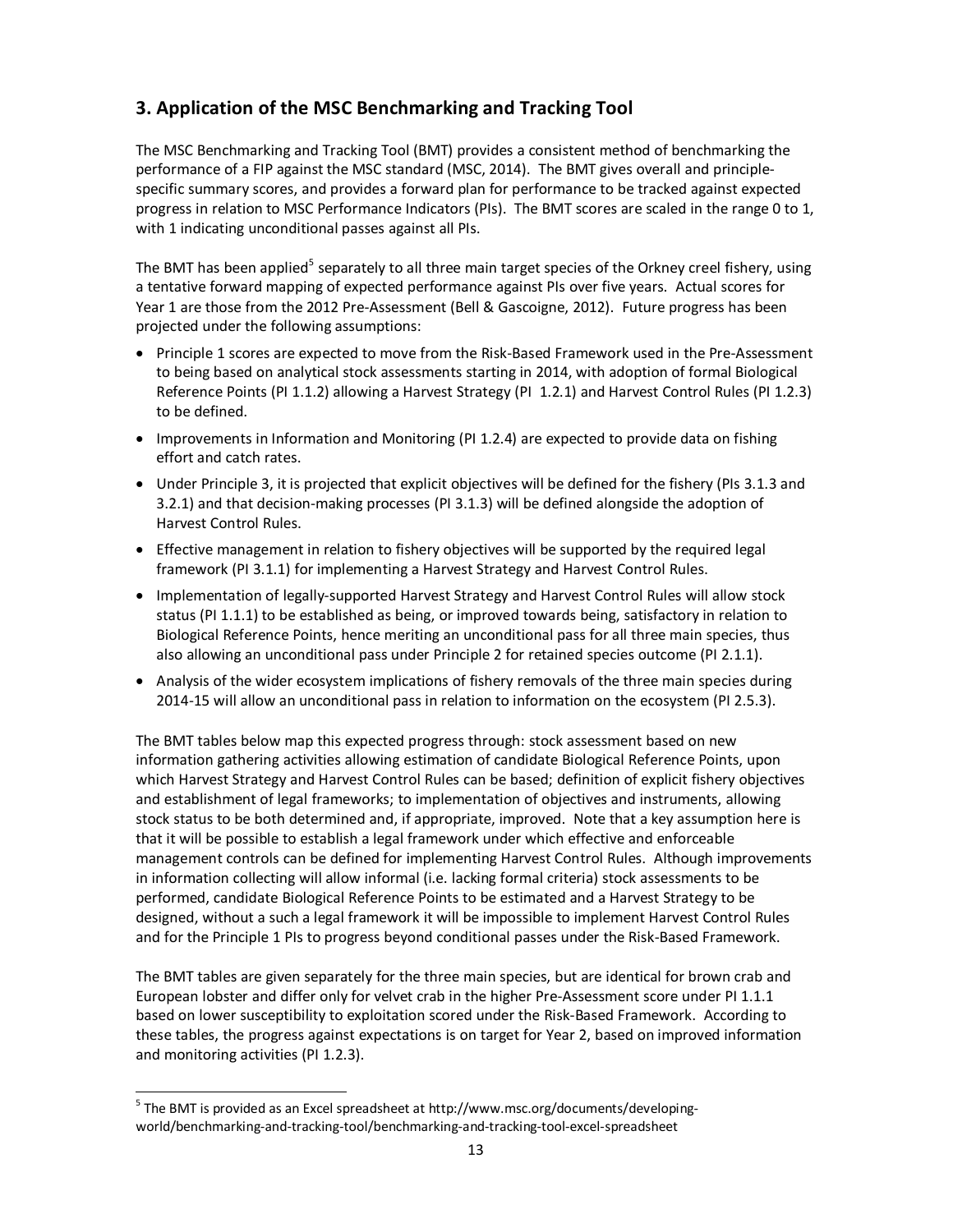# **3. Application of the MSC Benchmarking and Tracking Tool**

The MSC Benchmarking and Tracking Tool (BMT) provides a consistent method of benchmarking the performance of a FIP against the MSC standard (MSC, 2014). The BMT gives overall and principlespecific summary scores, and provides a forward plan for performance to be tracked against expected progress in relation to MSC Performance Indicators (PIs). The BMT scores are scaled in the range 0 to 1, with 1 indicating unconditional passes against all PIs.

The BMT has been applied<sup>5</sup> separately to all three main target species of the Orkney creel fishery, using a tentative forward mapping of expected performance against PIs over five years. Actual scores for Year 1 are those from the 2012 Pre-Assessment (Bell & Gascoigne, 2012). Future progress has been projected under the following assumptions:

- · Principle 1 scores are expected to move from the Risk-Based Framework used in the Pre-Assessment to being based on analytical stock assessments starting in 2014, with adoption of formal Biological Reference Points (PI 1.1.2) allowing a Harvest Strategy (PI 1.2.1) and Harvest Control Rules (PI 1.2.3) to be defined.
- · Improvements in Information and Monitoring (PI 1.2.4) are expected to provide data on fishing effort and catch rates.
- · Under Principle 3, it is projected that explicit objectives will be defined for the fishery (PIs 3.1.3 and 3.2.1) and that decision-making processes (PI 3.1.3) will be defined alongside the adoption of Harvest Control Rules.
- · Effective management in relation to fishery objectives will be supported by the required legal framework (PI 3.1.1) for implementing a Harvest Strategy and Harvest Control Rules.
- · Implementation of legally-supported Harvest Strategy and Harvest Control Rules will allow stock status (PI 1.1.1) to be established as being, or improved towards being, satisfactory in relation to Biological Reference Points, hence meriting an unconditional pass for all three main species, thus also allowing an unconditional pass under Principle 2 for retained species outcome (PI 2.1.1).
- · Analysis of the wider ecosystem implications of fishery removals of the three main species during 2014-15 will allow an unconditional pass in relation to information on the ecosystem (PI 2.5.3).

The BMT tables below map this expected progress through: stock assessment based on new information gathering activities allowing estimation of candidate Biological Reference Points, upon which Harvest Strategy and Harvest Control Rules can be based; definition of explicit fishery objectives and establishment of legal frameworks; to implementation of objectives and instruments, allowing stock status to be both determined and, if appropriate, improved. Note that a key assumption here is that it will be possible to establish a legal framework under which effective and enforceable management controls can be defined for implementing Harvest Control Rules. Although improvements in information collecting will allow informal (i.e. lacking formal criteria) stock assessments to be performed, candidate Biological Reference Points to be estimated and a Harvest Strategy to be designed, without a such a legal framework it will be impossible to implement Harvest Control Rules and for the Principle 1 PIs to progress beyond conditional passes under the Risk-Based Framework.

The BMT tables are given separately for the three main species, but are identical for brown crab and European lobster and differ only for velvet crab in the higher Pre-Assessment score under PI 1.1.1 based on lower susceptibility to exploitation scored under the Risk-Based Framework. According to these tables, the progress against expectations is on target for Year 2, based on improved information and monitoring activities (PI 1.2.3).

 <sup>5</sup> The BMT is provided as an Excel spreadsheet at http://www.msc.org/documents/developingworld/benchmarking-and-tracking-tool/benchmarking-and-tracking-tool-excel-spreadsheet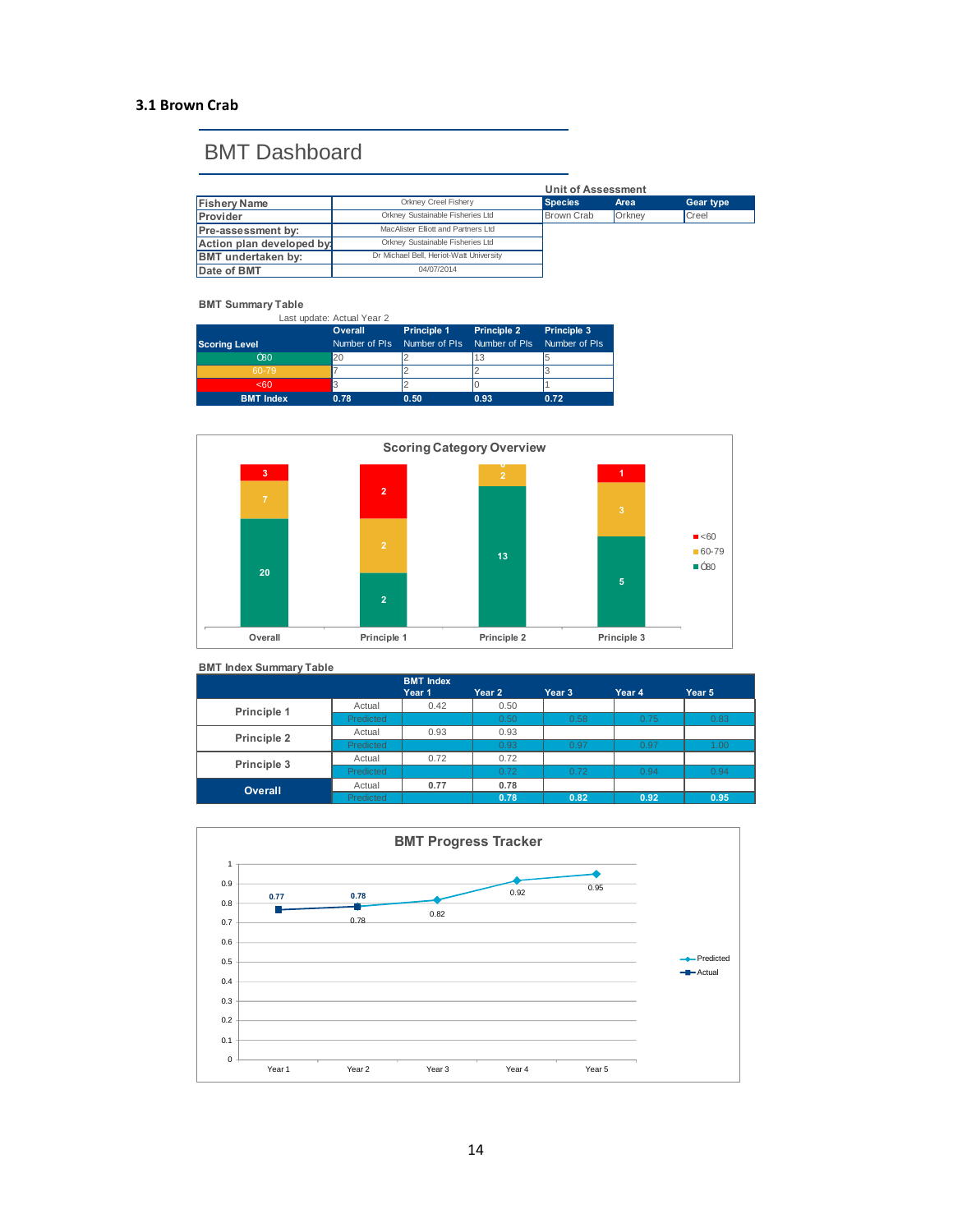# **3.1 Brown Crab**

# BMT Dashboard

|                           |                                         | <b>Unit of Assessment</b> |        |           |  |
|---------------------------|-----------------------------------------|---------------------------|--------|-----------|--|
| <b>Fishery Name</b>       | <b>Orkney Creel Fishery</b>             | <b>Species</b>            | Area   | Gear type |  |
| Provider                  | Orkney Sustainable Fisheries Ltd        | Brown Crab                | Orkney | Creel     |  |
| Pre-assessment by:        | MacAlister Elliott and Partners Ltd     |                           |        |           |  |
| Action plan developed by: | Orkney Sustainable Fisheries Ltd        |                           |        |           |  |
| <b>BMT</b> undertaken by: | Dr Michael Bell, Heriot-Watt University |                           |        |           |  |
| Date of BMT               | 04/07/2014                              |                           |        |           |  |

#### **BMT Summary Table**

|                      | Last update: Actual Year 2<br>Overall | <b>Principle 1</b> | <b>Principle 2</b> | <b>Principle 3</b> |
|----------------------|---------------------------------------|--------------------|--------------------|--------------------|
| <b>Scoring Level</b> | Number of PIs                         | Number of PIs      | Number of PIs      | Number of PIs      |
| - 80                 | 20                                    |                    | 13                 |                    |
| 60-79                |                                       |                    |                    |                    |
| <60                  |                                       |                    |                    |                    |
| <b>BMT</b> Index     | 0.78                                  | 0.50               | 0.93               | 0.72               |



| <b>BMT Index Summary Table</b> |                  |                            |        |        |        |        |
|--------------------------------|------------------|----------------------------|--------|--------|--------|--------|
|                                |                  | <b>BMT</b> Index<br>Year 1 | Year 2 | Year 3 | Year 4 | Year 5 |
| Principle 1                    | Actual           | 0.42                       | 0.50   |        |        |        |
|                                | <b>Predicted</b> |                            | 0.50   | 0.58   | 0.75   | 0.83   |
| Principle 2                    | Actual           | 0.93                       | 0.93   |        |        |        |
|                                | <b>Predicted</b> |                            | 0.93   | 0.97   | 0.97   | 1.00   |
|                                | Actual           | 0.72                       | 0.72   |        |        |        |
| Principle 3                    | <b>Predicted</b> |                            | 0.72   | 0.72   | 0.94   | 0.94   |
| <b>Overall</b>                 | Actual           | 0.77                       | 0.78   |        |        |        |
|                                | Predicted        |                            | 0.78   | 0.82   | 0.92   | 0.95   |

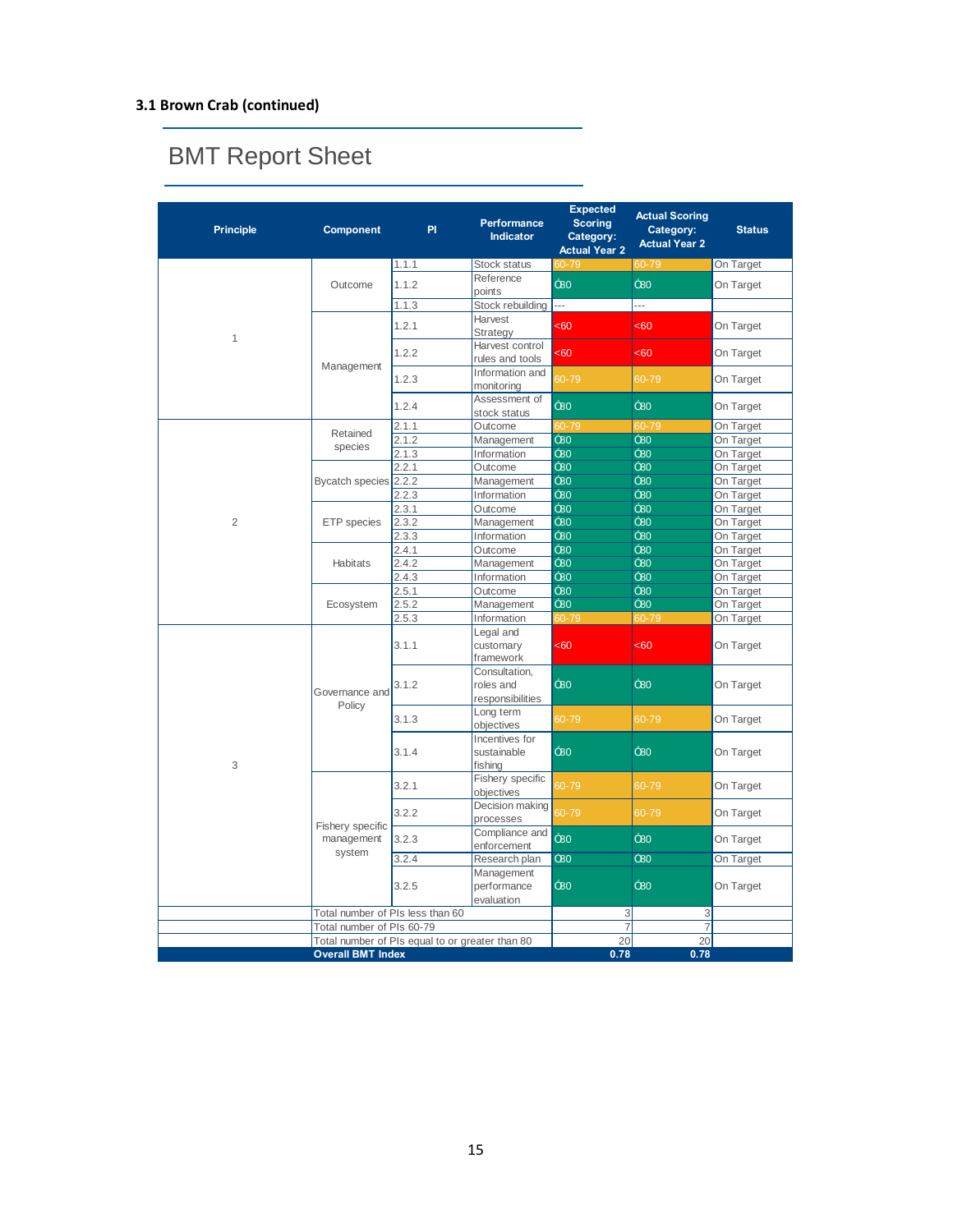# **3.1 Brown Crab (continued)**

# BMT Report Sheet

| <b>Principle</b> | <b>Component</b>                 | PI                                              | Performance<br><b>Indicator</b>                | <b>Expected</b><br><b>Scoring</b><br>Category:<br><b>Actual Year 2</b> | <b>Actual Scoring</b><br>Category:<br><b>Actual Year 2</b>                                                                                                                                   | <b>Status</b> |
|------------------|----------------------------------|-------------------------------------------------|------------------------------------------------|------------------------------------------------------------------------|----------------------------------------------------------------------------------------------------------------------------------------------------------------------------------------------|---------------|
|                  |                                  | 1.1.1                                           | <b>Stock status</b>                            | 30-79                                                                  | 60-79                                                                                                                                                                                        | On Target     |
|                  | Outcome                          | 1.1.2                                           | Reference<br>points                            | 80                                                                     | 80                                                                                                                                                                                           | On Target     |
|                  |                                  | 1.1.3                                           | Stock rebuilding                               |                                                                        |                                                                                                                                                                                              |               |
| 1                |                                  | 1.2.1                                           | Harvest<br>Strategy                            | <60                                                                    | <60                                                                                                                                                                                          | On Target     |
|                  |                                  | 1.2.2                                           | Harvest control<br>rules and tools             | <60                                                                    | <60<br>60-79<br>80<br>60-79<br>80<br>80<br>80<br>80<br>80<br>80<br>80<br>80<br>80<br>80<br>80<br>80<br>80<br>60-79<br><60<br>80<br>60-79<br>80<br>60-79<br>60-79<br>80<br>80<br>$80^{\circ}$ | On Target     |
|                  | Management                       | 1.2.3                                           | Information and<br>monitoring                  | 60-79                                                                  |                                                                                                                                                                                              | On Target     |
|                  |                                  | 1.2.4                                           | Assessment of<br>stock status                  | 80                                                                     |                                                                                                                                                                                              | On Target     |
|                  | Retained                         | 2.1.1                                           | Outcome                                        | $0-79$                                                                 |                                                                                                                                                                                              | On Target     |
|                  | species                          | 2.1.2                                           | Management                                     | 80                                                                     |                                                                                                                                                                                              | On Target     |
|                  |                                  | 2.1.3                                           | Information                                    | 80                                                                     |                                                                                                                                                                                              | On Target     |
|                  |                                  | 2.2.1                                           | Outcome                                        | 80                                                                     |                                                                                                                                                                                              | On Target     |
|                  | Bycatch species 2.2.2            |                                                 | Management                                     | 80                                                                     |                                                                                                                                                                                              | On Target     |
|                  |                                  | 2.2.3                                           | Information                                    | 80                                                                     |                                                                                                                                                                                              | On Target     |
|                  |                                  | 2.3.1                                           | Outcome                                        | 80                                                                     |                                                                                                                                                                                              | On Target     |
| $\overline{2}$   | <b>ETP</b> species               | 2.3.2                                           | Management                                     | 80                                                                     |                                                                                                                                                                                              | On Target     |
|                  |                                  | 2.3.3                                           | Information                                    | 80                                                                     |                                                                                                                                                                                              | On Target     |
|                  |                                  | 2.4.1                                           | Outcome                                        | 80                                                                     |                                                                                                                                                                                              | On Target     |
|                  | <b>Habitats</b>                  | 2.4.2                                           | Management                                     | 80                                                                     |                                                                                                                                                                                              | On Target     |
|                  |                                  | 2.4.3                                           | Information                                    | 80                                                                     |                                                                                                                                                                                              | On Target     |
|                  |                                  | 2.5.1                                           | Outcome                                        | 80                                                                     |                                                                                                                                                                                              | On Target     |
|                  | Ecosystem                        | 2.5.2                                           | Management                                     | 80                                                                     |                                                                                                                                                                                              | On Target     |
|                  |                                  | 2.5.3                                           | Information                                    | 60-79                                                                  |                                                                                                                                                                                              | On Target     |
|                  | Governance and<br>Policy         | 3.1.1                                           | Legal and<br>customary<br>framework            | <60                                                                    |                                                                                                                                                                                              | On Target     |
|                  |                                  | 3.1.2                                           | Consultation,<br>roles and<br>responsibilities | 80                                                                     |                                                                                                                                                                                              | On Target     |
|                  |                                  | 3.1.3                                           | Long term<br>objectives                        | 60-79                                                                  |                                                                                                                                                                                              | On Target     |
| 3                |                                  | 3.1.4                                           | Incentives for<br>sustainable<br>fishing       | 80                                                                     |                                                                                                                                                                                              | On Target     |
|                  |                                  | 3.2.1                                           | Fishery specific<br>objectives                 | 60-79                                                                  |                                                                                                                                                                                              | On Target     |
|                  | Fishery specific                 | 3.2.2                                           | Decision making<br>processes                   | 60-79                                                                  |                                                                                                                                                                                              | On Target     |
|                  | management<br>system             | 3.2.3                                           | Compliance and<br>enforcement                  | 80                                                                     |                                                                                                                                                                                              | On Target     |
|                  |                                  | 3.2.4                                           | Research plan                                  | 80                                                                     |                                                                                                                                                                                              | On Target     |
|                  |                                  | 3.2.5                                           | Management<br>performance<br>evaluation        | 80                                                                     |                                                                                                                                                                                              | On Target     |
|                  | Total number of PIs less than 60 |                                                 |                                                | 3                                                                      | 3                                                                                                                                                                                            |               |
|                  | Total number of PIs 60-79        |                                                 |                                                | $\overline{7}$                                                         | $\overline{7}$                                                                                                                                                                               |               |
|                  |                                  | Total number of PIs equal to or greater than 80 |                                                | 20                                                                     | 20                                                                                                                                                                                           |               |
|                  | <b>Overall BMT Index</b>         |                                                 |                                                | 0.78                                                                   | 0.78                                                                                                                                                                                         |               |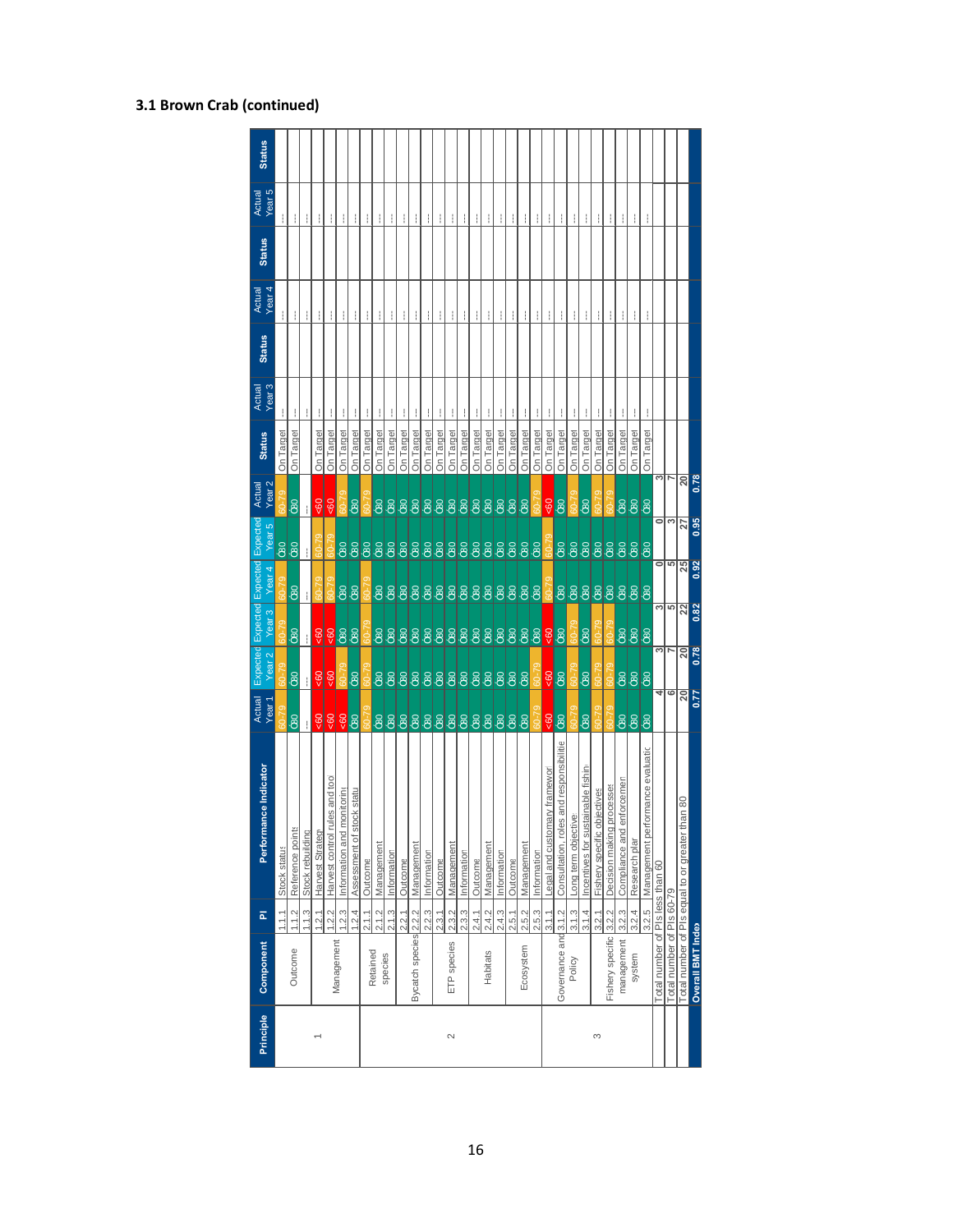# **3.1 Brown Crab (continued)**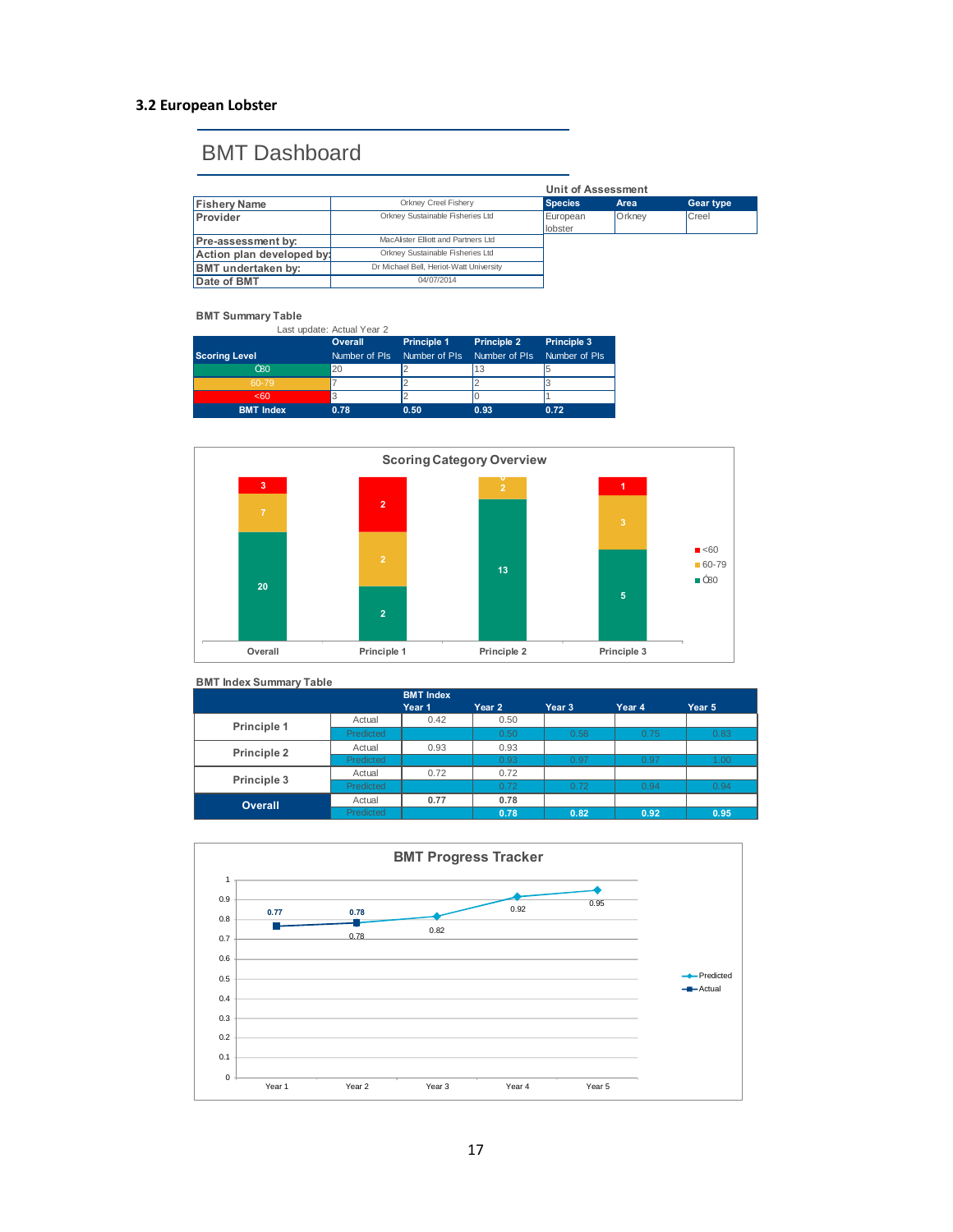# **3.2 European Lobster**

# BMT Dashboard

|                           |                                         | Unit of Assessment  |        |           |  |
|---------------------------|-----------------------------------------|---------------------|--------|-----------|--|
| <b>Fishery Name</b>       | <b>Orkney Creel Fishery</b>             | <b>Species</b>      | Area   | Gear type |  |
| Provider                  | Orkney Sustainable Fisheries Ltd        | European<br>lobster | Orkney | Creel     |  |
| Pre-assessment by:        | MacAlister Elliott and Partners Ltd     |                     |        |           |  |
| Action plan developed by: | Orkney Sustainable Fisheries Ltd        |                     |        |           |  |
| <b>BMT</b> undertaken by: | Dr Michael Bell, Heriot-Watt University |                     |        |           |  |
| Date of BMT               | 04/07/2014                              |                     |        |           |  |

#### **BMT Summary Table**

| <b>Scoring Level</b> | Overall<br>Number of PIs | <b>Principle 1</b><br>Number of PIs | <b>Principle 2</b><br>Number of PIs Number of PIs | <b>Principle 3</b> |
|----------------------|--------------------------|-------------------------------------|---------------------------------------------------|--------------------|
| - 80                 | 20                       |                                     | 13                                                |                    |
| 60-79                |                          |                                     |                                                   |                    |
| <60                  |                          |                                     |                                                   |                    |
| <b>BMT Index</b>     | 0.78                     | 0.50                                | 0.93                                              | 0.72               |





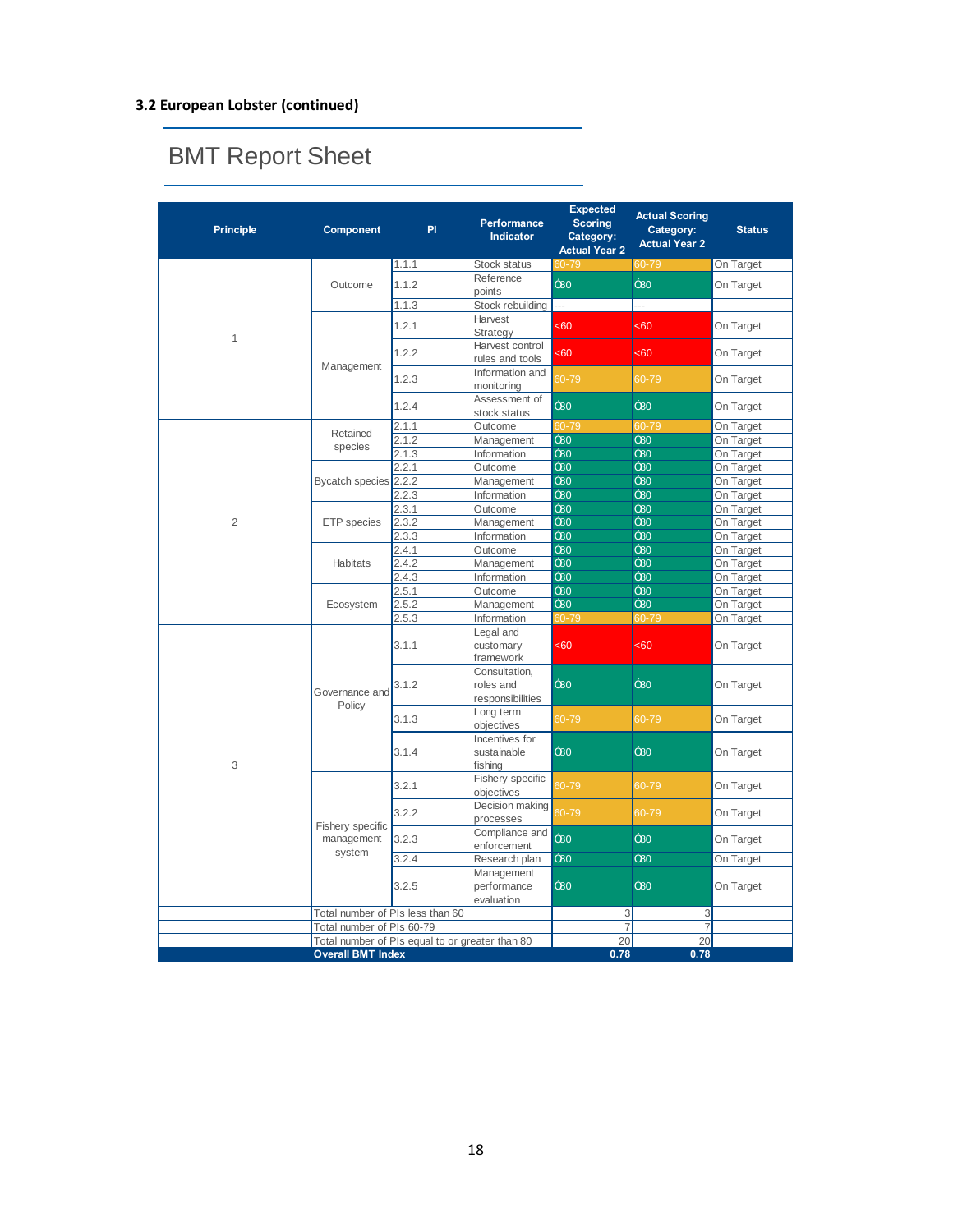# **3.2 European Lobster (continued)**

# BMT Report Sheet

| <b>Principle</b> | <b>Component</b>                 | PI                                              | Performance<br><b>Indicator</b>                      | <b>Expected</b><br><b>Scoring</b><br>Category:<br><b>Actual Year 2</b> | <b>Actual Scoring</b><br>Category:<br><b>Actual Year 2</b> | <b>Status</b> |
|------------------|----------------------------------|-------------------------------------------------|------------------------------------------------------|------------------------------------------------------------------------|------------------------------------------------------------|---------------|
|                  |                                  | 1.1.1                                           | Stock status                                         | 30-79                                                                  | 60-79                                                      | On Target     |
|                  | Outcome                          | 1.1.2                                           | Reference<br>points                                  | 80                                                                     | 80                                                         | On Target     |
|                  |                                  | 1.1.3                                           | Stock rebuilding                                     |                                                                        |                                                            |               |
| 1                |                                  | 1.2.1                                           | Harvest<br>Strategy                                  | <60                                                                    | <60                                                        | On Target     |
|                  | Management                       | 1.2.2                                           | Harvest control<br>rules and tools                   | <60                                                                    | <60                                                        | On Target     |
|                  |                                  | 1.2.3                                           | Information and<br>monitoring                        | 60-79<br>60-79                                                         | On Target                                                  |               |
|                  |                                  | 1.2.4                                           | Assessment of<br>stock status                        | 80                                                                     | 80                                                         | On Target     |
|                  | Retained                         | 2.1.1                                           | Outcome                                              | 60-79                                                                  | 60-79                                                      | On Target     |
|                  | species                          | 2.1.2                                           | Management                                           | 80                                                                     | 80                                                         | On Target     |
|                  |                                  | 2.1.3                                           | Information                                          | 80                                                                     | 80                                                         | On Target     |
|                  |                                  | 2.2.1                                           | Outcome                                              | 80                                                                     | 80                                                         | On Target     |
|                  | <b>Bycatch species</b>           | 2.2.2                                           | Management                                           | 80                                                                     | 80                                                         | On Target     |
|                  |                                  | 2.2.3                                           | Information                                          | 80                                                                     | 80                                                         | On Target     |
|                  |                                  | 2.3.1                                           | Outcome                                              | 80                                                                     | 80                                                         | On Target     |
| $\overline{2}$   | <b>ETP</b> species               | 2.3.2                                           | Management                                           | 80                                                                     | 80                                                         | On Target     |
|                  |                                  | 2.3.3                                           | Information                                          | 80                                                                     | 80                                                         | On Target     |
|                  |                                  | 2.4.1                                           | Outcome                                              | 80                                                                     | 80                                                         | On Target     |
|                  | <b>Habitats</b>                  | 2.4.2                                           | 80<br>80<br>Management<br>80<br>Information<br>80    |                                                                        | On Target                                                  |               |
|                  |                                  | 2.4.3                                           |                                                      |                                                                        |                                                            | On Target     |
|                  |                                  | 2.5.1                                           | Outcome<br>80                                        | 80                                                                     | On Target                                                  |               |
|                  | Ecosystem                        | 2.5.2                                           | Management                                           | 80<br>60-79                                                            | 80                                                         | On Target     |
|                  |                                  | 2.5.3                                           | Information                                          |                                                                        | 60-79                                                      | On Target     |
|                  |                                  | Legal and<br>3.1.1<br>customary<br>framework    | <60                                                  | <60                                                                    | On Target                                                  |               |
|                  | Governance and<br>Policy         | 3.1.2                                           | Consultation,<br>80<br>roles and<br>responsibilities |                                                                        | 80 <sup>°</sup>                                            | On Target     |
|                  |                                  | 3.1.3                                           | Long term<br>objectives                              | 60-79                                                                  | 60-79                                                      | On Target     |
| 3                |                                  | 3.1.4                                           | Incentives for<br>sustainable<br>fishing             | 80                                                                     | $80^{\circ}$                                               | On Target     |
|                  |                                  | 3.2.1                                           | Fishery specific<br>objectives                       | 60-79                                                                  | 60-79                                                      | On Target     |
|                  | Fishery specific                 | 3.2.2                                           | Decision making<br>processes                         | 60-79                                                                  | 60-79                                                      | On Target     |
| system           | management                       | 3.2.3                                           | Compliance and<br>enforcement                        | 80                                                                     | $80^{\circ}$                                               | On Target     |
|                  |                                  | 3.2.4                                           | Research plan                                        | 80                                                                     | 80 <sup>°</sup>                                            | On Target     |
|                  |                                  | 3.2.5                                           | Management<br>performance                            | 80                                                                     | 80                                                         | On Target     |
|                  |                                  |                                                 | evaluation                                           |                                                                        |                                                            |               |
|                  | Total number of PIs less than 60 |                                                 |                                                      | 3<br>$\overline{7}$                                                    | 3<br>$\overline{7}$                                        |               |
|                  | Total number of PIs 60-79        |                                                 |                                                      | 20                                                                     | 20                                                         |               |
|                  | <b>Overall BMT Index</b>         | Total number of PIs equal to or greater than 80 |                                                      | 0.78                                                                   | 0.78                                                       |               |
|                  |                                  |                                                 |                                                      |                                                                        |                                                            |               |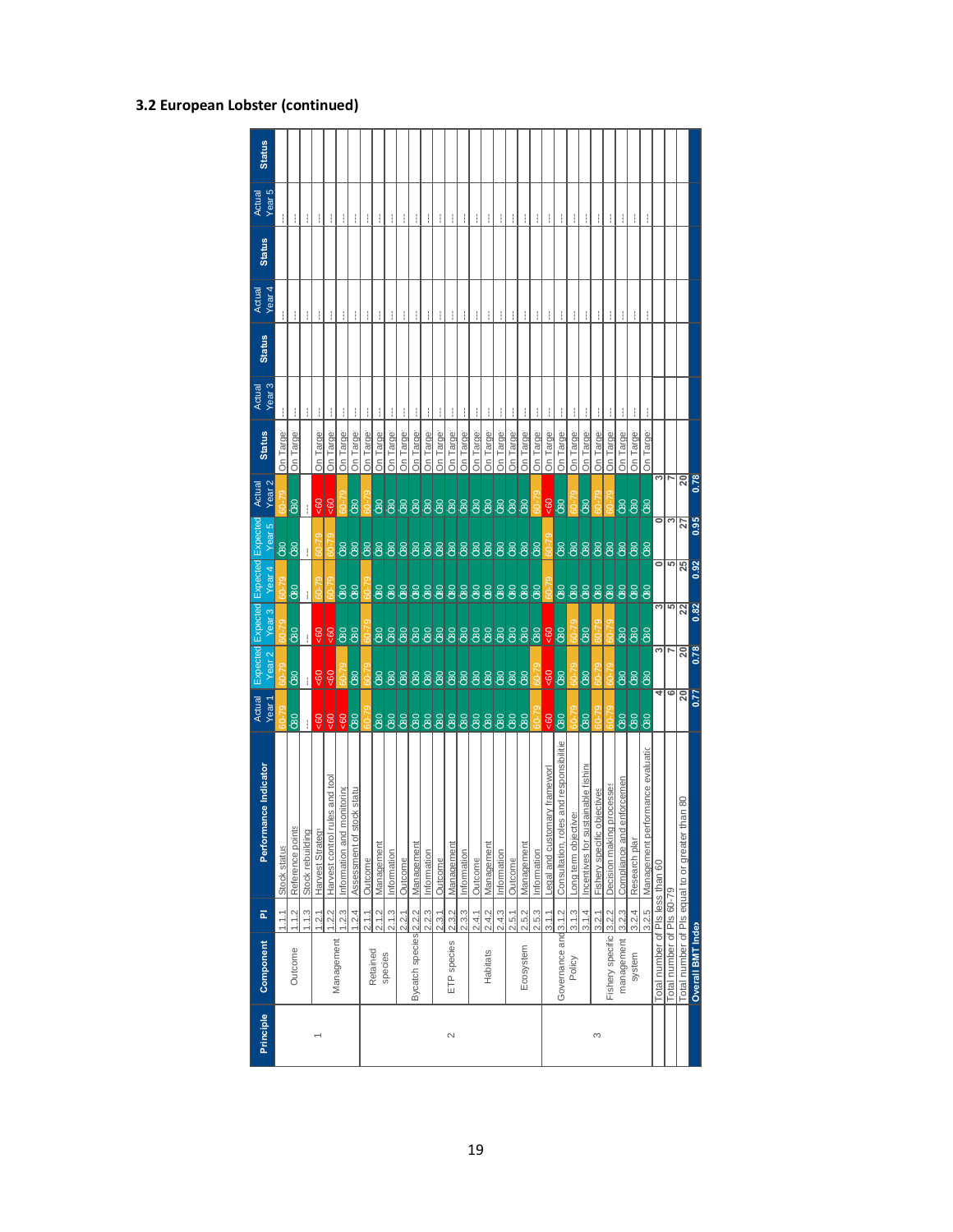# **3.2 European Lobster (continued)**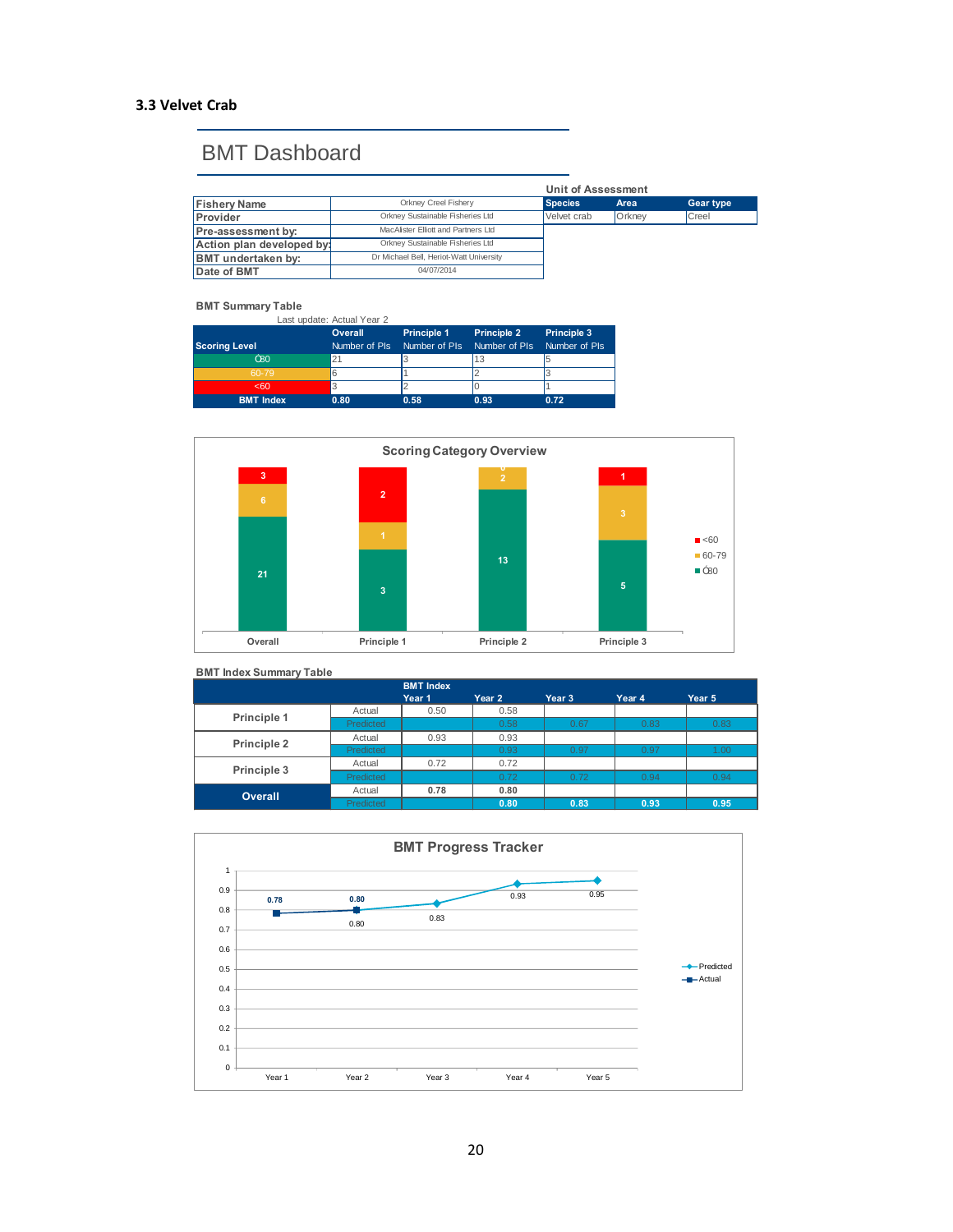# BMT Dashboard

|                           |                                         | Unit of Assessment |        |           |
|---------------------------|-----------------------------------------|--------------------|--------|-----------|
| <b>Fishery Name</b>       | <b>Orkney Creel Fishery</b>             | <b>Species</b>     | Area   | Gear type |
| Provider                  | Orkney Sustainable Fisheries Ltd        | Velvet crab        | Orkney | Creel     |
| Pre-assessment by:        | MacAlister Elliott and Partners Ltd     |                    |        |           |
| Action plan developed by: | Orkney Sustainable Fisheries Ltd        |                    |        |           |
| <b>BMT</b> undertaken by: | Dr Michael Bell, Heriot-Watt University |                    |        |           |
| Date of BMT               | 04/07/2014                              |                    |        |           |

**BMT Summary Table**

|                      | Overall       | <b>Principle 1</b> | <b>Principle 2</b> | <b>Principle 3</b> |
|----------------------|---------------|--------------------|--------------------|--------------------|
| <b>Scoring Level</b> | Number of PIs | Number of PIs      | Number of PIs      | Number of PIs      |
| $\sqrt{80}$          | 21            |                    | 13                 |                    |
| 60-79                |               |                    |                    |                    |
| <60                  | 3             |                    |                    |                    |
| <b>BMT Index</b>     | 0.80          | 0.58               | 0.93               | 0.72               |



|             |           | <b>BMT</b> Index |        |        |        |        |
|-------------|-----------|------------------|--------|--------|--------|--------|
|             |           | Year 1           | Year 2 | Year 3 | Year 4 | Year 5 |
| Principle 1 | Actual    | 0.50             | 0.58   |        |        |        |
|             | Predicted |                  | 0.58   | 0.67   | 0.83   | 0.83   |
| Principle 2 | Actual    | 0.93             | 0.93   |        |        |        |
|             | Predicted |                  | 0.93   | 0.97   | 0.97   | 1.00   |
| Principle 3 | Actual    | 0.72             | 0.72   |        |        |        |
|             | Predicted |                  | 0.72   | 0.72   | 0.94   | 0.94   |
| Overall     | Actual    | 0.78             | 0.80   |        |        |        |
|             | Predicted |                  | 0.80   | 0.83   | 0.93   | 0.95   |

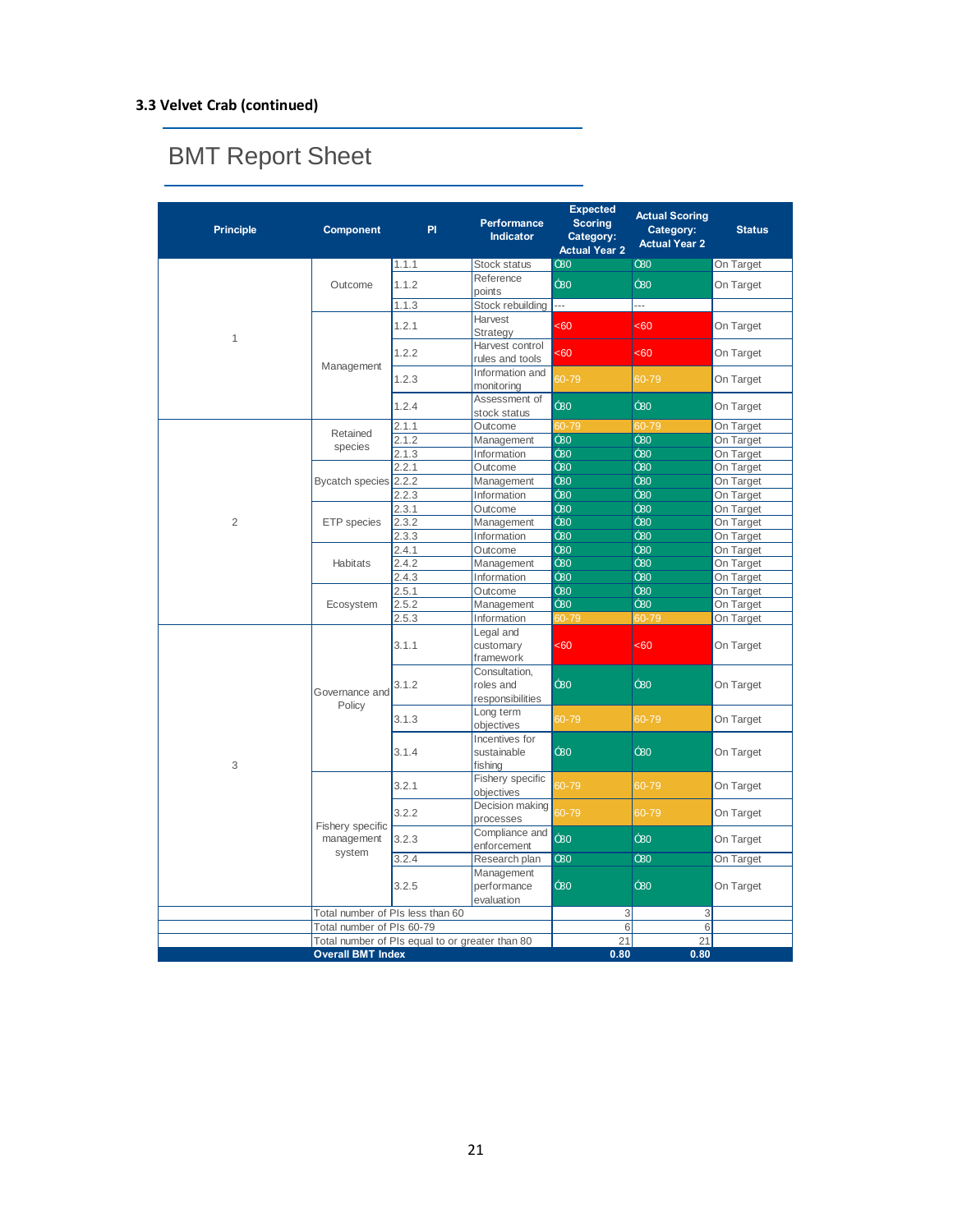# **3.3 Velvet Crab (continued)**

# BMT Report Sheet

| <b>Principle</b> | <b>Component</b>                 | PI                                              | Performance<br><b>Indicator</b>                   | <b>Expected</b><br><b>Scoring</b><br>Category:<br><b>Actual Year 2</b> | <b>Actual Scoring</b><br>Category:<br><b>Actual Year 2</b> | <b>Status</b> |
|------------------|----------------------------------|-------------------------------------------------|---------------------------------------------------|------------------------------------------------------------------------|------------------------------------------------------------|---------------|
|                  |                                  | 1.1.1                                           | <b>Stock status</b>                               | 80                                                                     | $80^{\circ}$                                               | On Target     |
|                  | Outcome                          | 1.1.2                                           | Reference<br>points                               | 80                                                                     | 80                                                         | On Target     |
|                  |                                  | 1.1.3                                           | Stock rebuilding                                  |                                                                        | Ξ.                                                         |               |
| 1                |                                  | 1.2.1                                           | Harvest<br>Strategy                               | <60                                                                    | <60                                                        | On Target     |
|                  | Management                       | 1.2.2                                           | Harvest control<br>rules and tools                | <60                                                                    | <60                                                        | On Target     |
|                  |                                  | 1.2.3                                           | Information and<br>monitoring                     | 60-79                                                                  | $60 - 79$                                                  | On Target     |
|                  |                                  | 1.2.4                                           | Assessment of<br>stock status                     | 80                                                                     | 80                                                         | On Target     |
|                  | Retained                         | 2.1.1                                           | Outcome                                           | 30-79                                                                  | 30-79                                                      | On Target     |
|                  | species                          | 2.1.2                                           | Management                                        | 80                                                                     | 80                                                         | On Target     |
|                  |                                  | 2.1.3                                           | Information                                       | 80                                                                     | 80                                                         | On Target     |
|                  |                                  | 2.2.1                                           | Outcome                                           | 80                                                                     | 80                                                         | On Target     |
|                  | Bycatch species 2.2.2            |                                                 | Management                                        | 80                                                                     | 80                                                         | On Target     |
|                  |                                  | 2.2.3                                           | Information                                       | 80                                                                     | 80                                                         | On Target     |
|                  |                                  | 2.3.1                                           | Outcome                                           | 80                                                                     | 80                                                         | On Target     |
| $\overline{2}$   | <b>ETP</b> species               | 2.3.2                                           | Management                                        | 80                                                                     | 80                                                         | On Target     |
|                  |                                  | 2.3.3                                           | Information                                       | 80                                                                     | 80                                                         | On Target     |
|                  |                                  | 2.4.1                                           | Outcome                                           | 80                                                                     | 80                                                         | On Target     |
|                  | <b>Habitats</b>                  | 2.4.2                                           | 80<br>Management<br>80<br>80<br>80<br>Information |                                                                        | On Target                                                  |               |
|                  |                                  | 2.4.3                                           |                                                   |                                                                        |                                                            | On Target     |
|                  |                                  | 2.5.1<br>Outcome<br>80                          | 80                                                | On Target                                                              |                                                            |               |
|                  | Ecosystem                        | 2.5.2                                           | Management                                        |                                                                        | 80 <sup>°</sup>                                            | On Target     |
|                  |                                  | 2.5.3                                           | Information                                       | 80<br>60-79                                                            | 30-79                                                      | On Target     |
|                  |                                  | Legal and<br>3.1.1<br>customary<br>framework    | <60                                               | <60                                                                    | On Target                                                  |               |
|                  | Governance and<br>Policy         | 3.1.2                                           | Consultation,<br>roles and<br>responsibilities    | 80                                                                     | $80^{\circ}$                                               | On Target     |
|                  |                                  | 3.1.3                                           | Long term<br>objectives                           | 60-79                                                                  | $60 - 79$                                                  | On Target     |
| 3                |                                  | 3.1.4                                           | Incentives for<br>sustainable<br>fishing          | 80                                                                     | $80^{\circ}$                                               | On Target     |
|                  |                                  | 3.2.1                                           | Fishery specific<br>objectives                    | 60-79                                                                  | 60-79                                                      | On Target     |
|                  | Fishery specific                 | 3.2.2                                           | Decision making<br>processes                      | 60-79                                                                  | 60-79                                                      | On Target     |
|                  | management<br>system             | 3.2.3                                           | Compliance and<br>enforcement                     | 80                                                                     | 80                                                         | On Target     |
|                  |                                  | 3.2.4                                           | Research plan                                     | 80                                                                     | $80^{\circ}$                                               | On Target     |
|                  |                                  | 3.2.5                                           | Management<br>performance                         | 80                                                                     | $80^{\circ}$                                               | On Target     |
|                  |                                  |                                                 | evaluation                                        |                                                                        |                                                            |               |
|                  | Total number of PIs less than 60 |                                                 |                                                   | 3                                                                      | 3                                                          |               |
|                  | Total number of PIs 60-79        |                                                 |                                                   | 6                                                                      | 6                                                          |               |
|                  |                                  | Total number of PIs equal to or greater than 80 |                                                   | 21                                                                     | 21                                                         |               |
|                  | <b>Overall BMT Index</b>         |                                                 |                                                   | 0.80                                                                   | 0.80                                                       |               |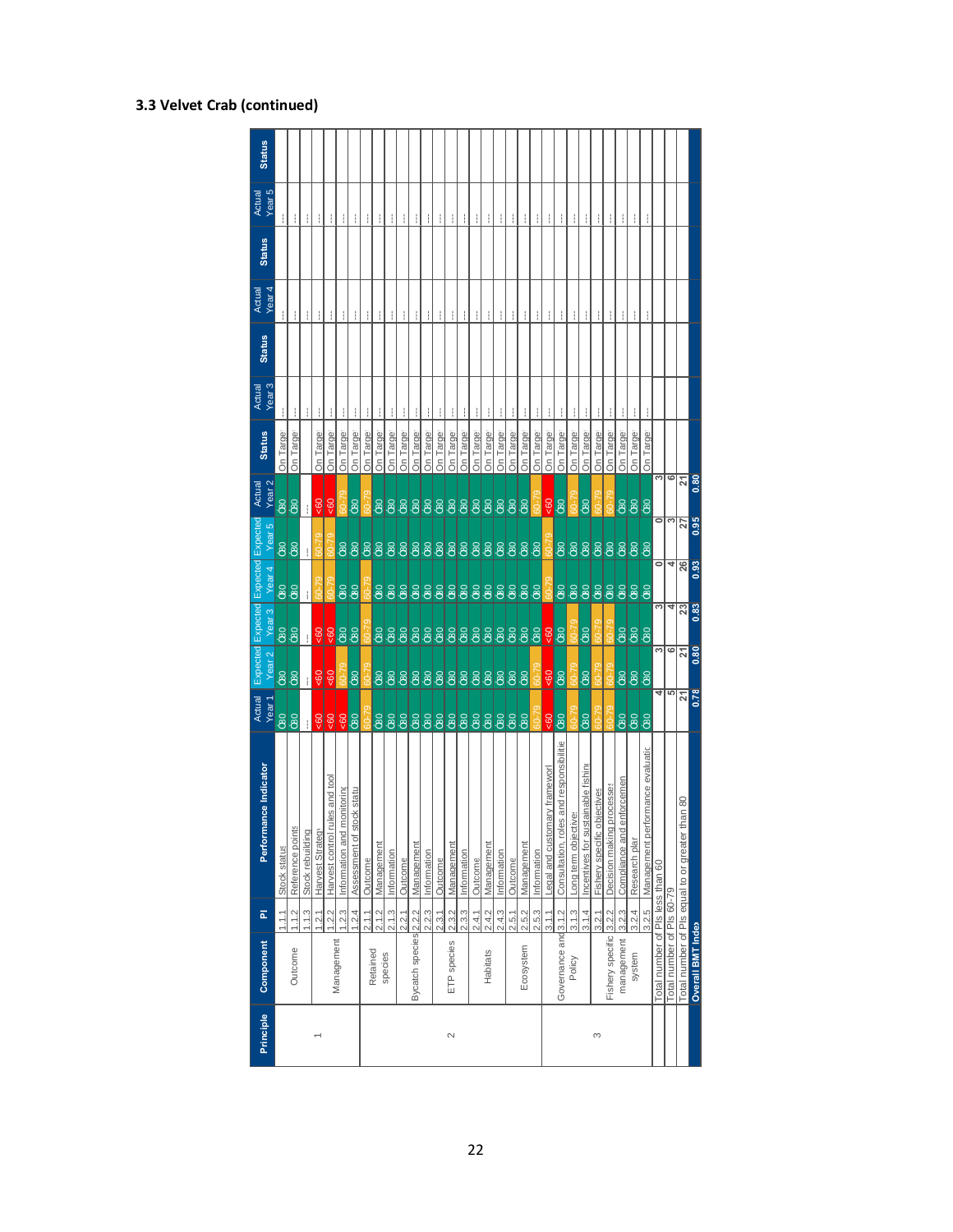# **3.3 Velvet Crab (continued)**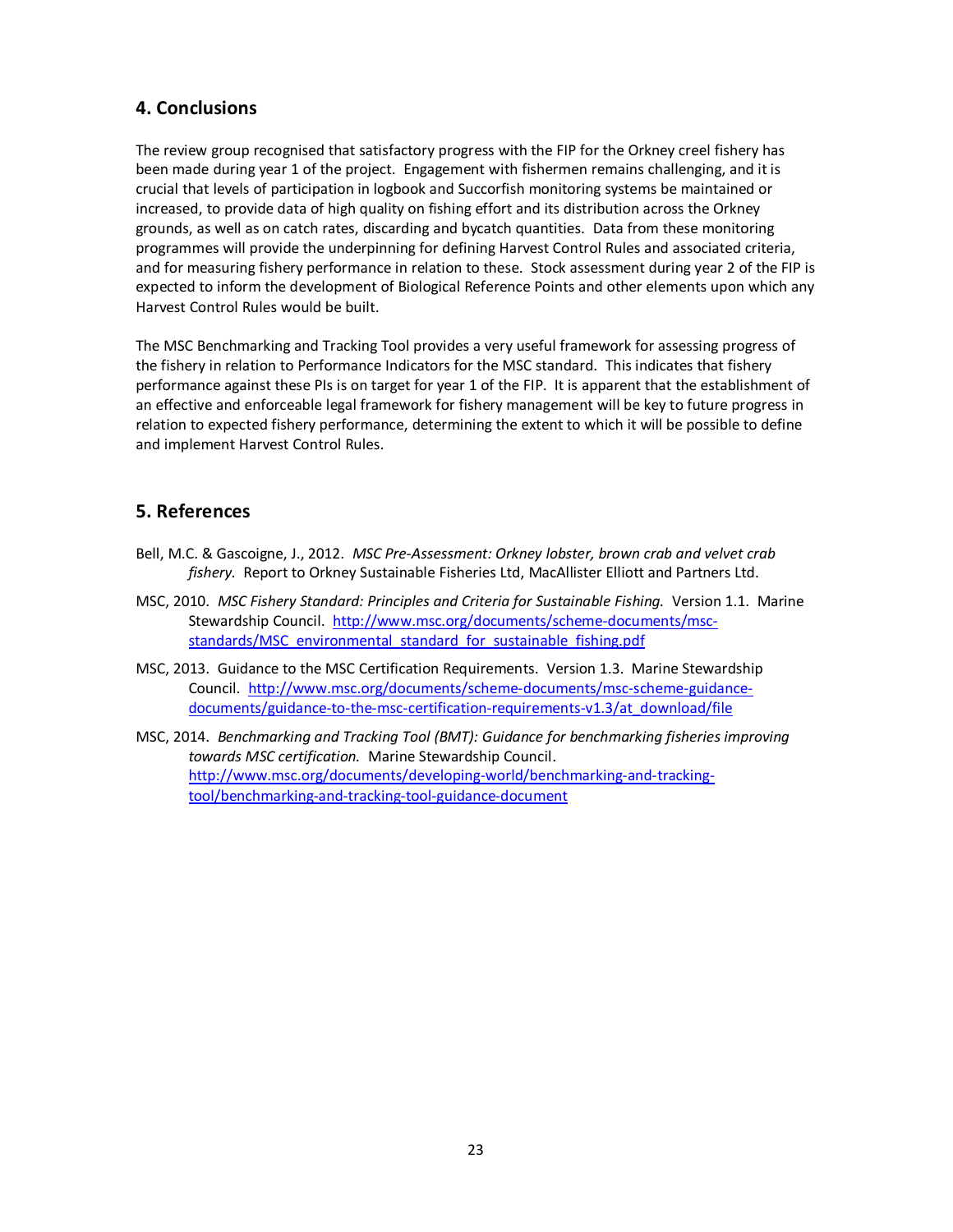# **4. Conclusions**

The review group recognised that satisfactory progress with the FIP for the Orkney creel fishery has been made during year 1 of the project. Engagement with fishermen remains challenging, and it is crucial that levels of participation in logbook and Succorfish monitoring systems be maintained or increased, to provide data of high quality on fishing effort and its distribution across the Orkney grounds, as well as on catch rates, discarding and bycatch quantities. Data from these monitoring programmes will provide the underpinning for defining Harvest Control Rules and associated criteria, and for measuring fishery performance in relation to these. Stock assessment during year 2 of the FIP is expected to inform the development of Biological Reference Points and other elements upon which any Harvest Control Rules would be built.

The MSC Benchmarking and Tracking Tool provides a very useful framework for assessing progress of the fishery in relation to Performance Indicators for the MSC standard. This indicates that fishery performance against these PIs is on target for year 1 of the FIP. It is apparent that the establishment of an effective and enforceable legal framework for fishery management will be key to future progress in relation to expected fishery performance, determining the extent to which it will be possible to define and implement Harvest Control Rules.

# **5. References**

- Bell, M.C. & Gascoigne, J., 2012. *MSC Pre-Assessment: Orkney lobster, brown crab and velvet crab fishery.* Report to Orkney Sustainable Fisheries Ltd, MacAllister Elliott and Partners Ltd.
- MSC, 2010. *MSC Fishery Standard: Principles and Criteria for Sustainable Fishing.* Version 1.1. Marine Stewardship Council. http://www.msc.org/documents/scheme-documents/mscstandards/MSC\_environmental\_standard\_for\_sustainable\_fishing.pdf
- MS[C, 2013. Guidance to the MSC Certification Requirements. Version 1.3. Marine Stewar](http://www.msc.org/documents/scheme-documents/msc-standards/MSC_environmental_standard_for_sustainable_fishing.pdf)dship Council. http://www.msc.org/documents/scheme-documents/msc-scheme-guidancedocuments/guidance-to-the-msc-certification-requirements-v1.3/at\_download/file
- MSC, 2014. *[Benchmarking and Tracking Tool \(BMT\): Guidance for benchmarking fisheries impro](http://www.msc.org/documents/scheme-documents/msc-scheme-guidance-documents/guidance-to-the-msc-certification-requirements-v1.3/at_download/file)ving towards MSC certification.* [Marine Stewardship Council.](http://www.msc.org/documents/scheme-documents/msc-scheme-guidance-documents/guidance-to-the-msc-certification-requirements-v1.3/at_download/file)  http://www.msc.org/documents/developing-world/benchmarking-and-trackingtool/benchmarking-and-tracking-tool-guidance-document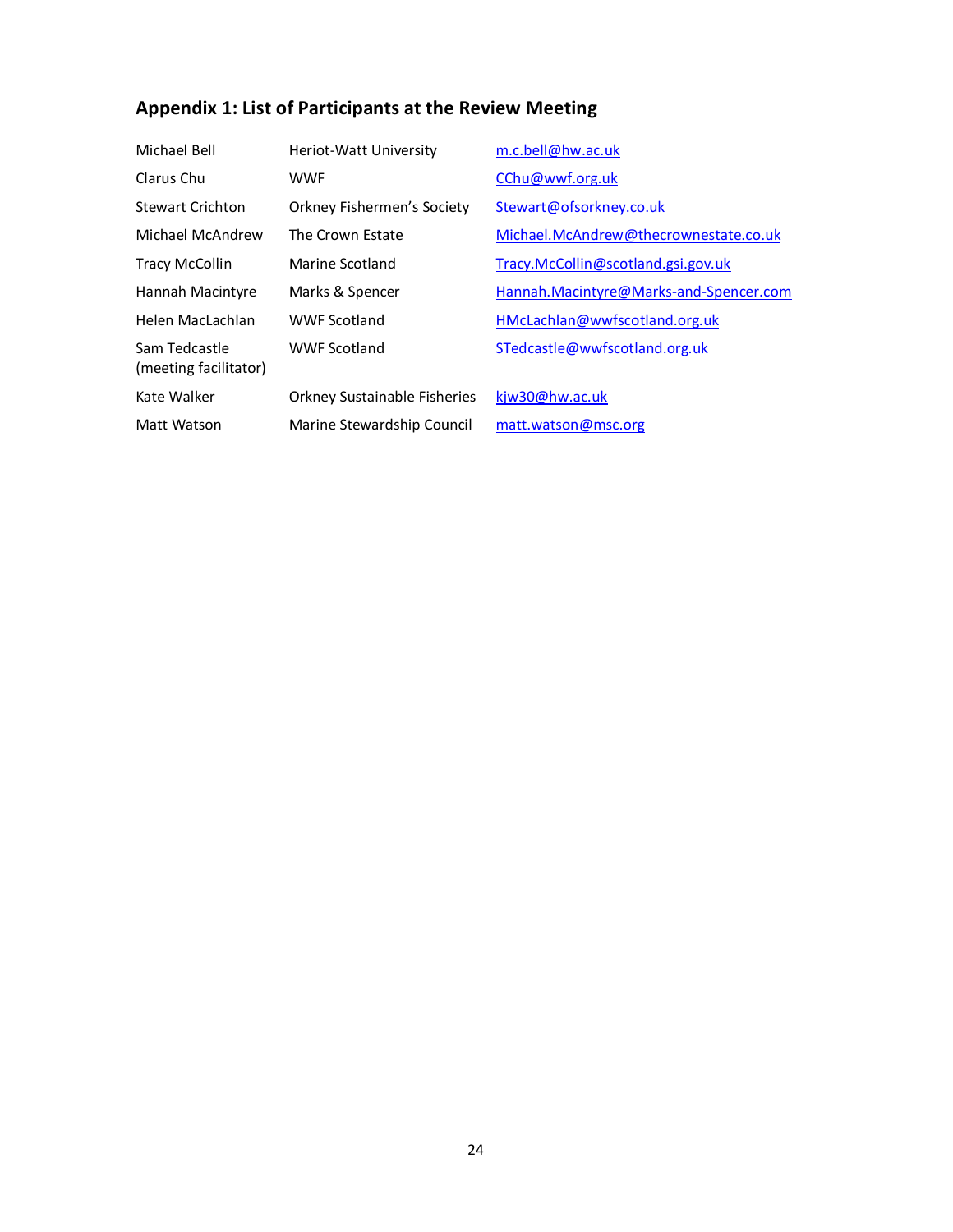# **Appendix 1: List of Participants at the Review Meeting**

| Michael Bell                           | Heriot-Watt University              | m.c.bell@hw.ac.uk                      |
|----------------------------------------|-------------------------------------|----------------------------------------|
| Clarus Chu                             | WWF                                 | CChu@wwf.org.uk                        |
| <b>Stewart Crichton</b>                | Orkney Fishermen's Society          | Stewart@ofsorkney.co.uk                |
| Michael McAndrew                       | The Crown Estate                    | Michael.McAndrew@thecrownestate.co.uk  |
| <b>Tracy McCollin</b>                  | Marine Scotland                     | Tracy.McCollin@scotland.gsi.gov.uk     |
| Hannah Macintyre                       | Marks & Spencer                     | Hannah.Macintyre@Marks-and-Spencer.com |
| Helen MacLachlan                       | <b>WWF Scotland</b>                 | HMcLachlan@wwfscotland.org.uk          |
| Sam Tedcastle<br>(meeting facilitator) | <b>WWF Scotland</b>                 | STedcastle@wwfscotland.org.uk          |
| Kate Walker                            | <b>Orkney Sustainable Fisheries</b> | kjw30@hw.ac.uk                         |
| Matt Watson                            | Marine Stewardship Council          | matt.watson@msc.org                    |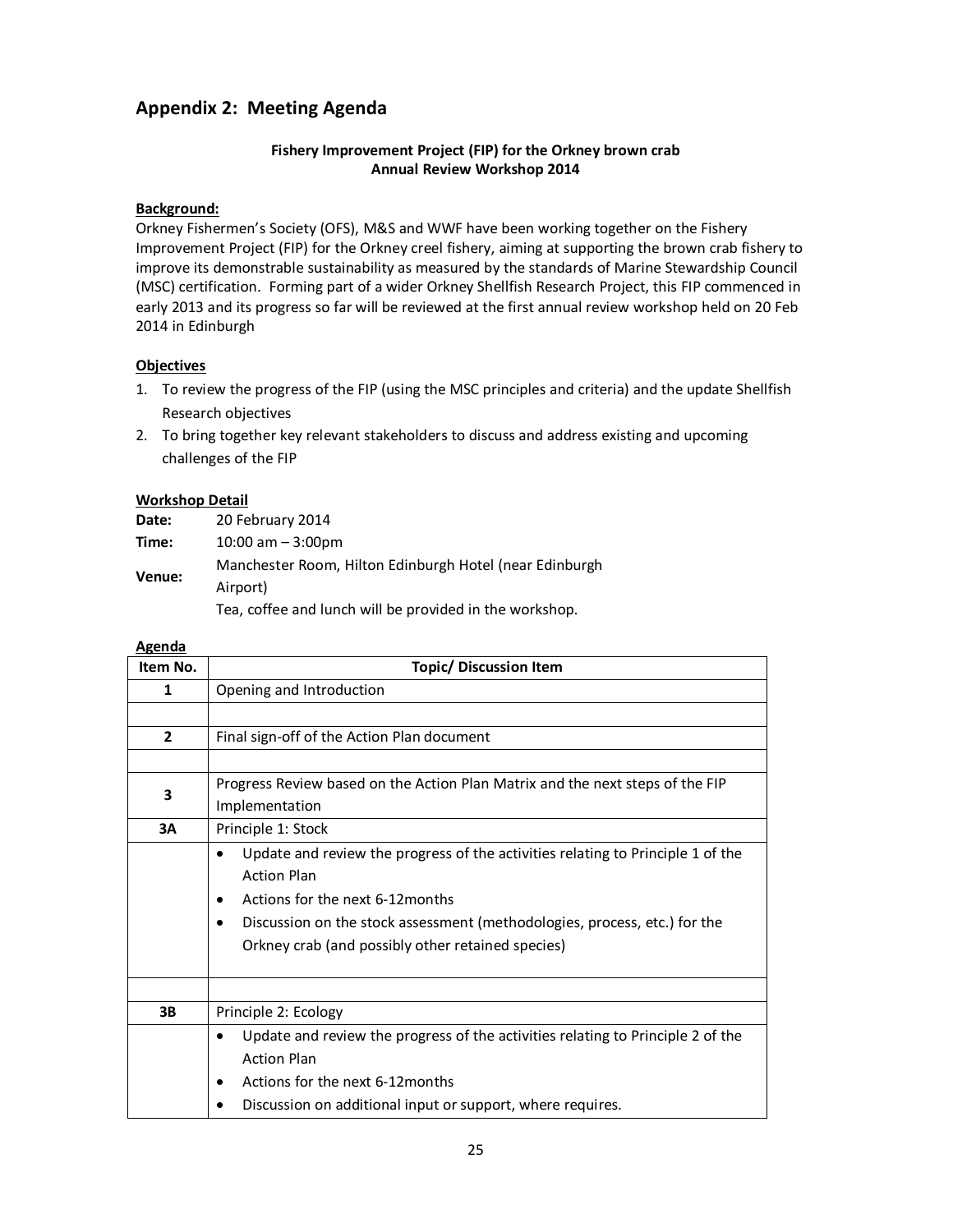# **Appendix 2: Meeting Agenda**

# **Fishery Improvement Project (FIP) for the Orkney brown crab Annual Review Workshop 2014**

## **Background:**

Orkney Fishermen's Society (OFS), M&S and WWF have been working together on the Fishery Improvement Project (FIP) for the Orkney creel fishery, aiming at supporting the brown crab fishery to improve its demonstrable sustainability as measured by the standards of Marine Stewardship Council (MSC) certification. Forming part of a wider Orkney Shellfish Research Project, this FIP commenced in early 2013 and its progress so far will be reviewed at the first annual review workshop held on 20 Feb 2014 in Edinburgh

## **Objectives**

- 1. To review the progress of the FIP (using the MSC principles and criteria) and the update Shellfish Research objectives
- 2. To bring together key relevant stakeholders to discuss and address existing and upcoming challenges of the FIP

## **Workshop Detail**

| Date:  | 20 February 2014                                        |
|--------|---------------------------------------------------------|
| Time:  | $10:00$ am $-3:00$ pm                                   |
|        | Manchester Room, Hilton Edinburgh Hotel (near Edinburgh |
| Venue: | Airport)                                                |
|        | Tea, coffee and lunch will be provided in the workshop. |

## **Agenda**

| <u>.</u><br>Item No. | <b>Topic/ Discussion Item</b>                                                   |
|----------------------|---------------------------------------------------------------------------------|
| 1                    | Opening and Introduction                                                        |
|                      |                                                                                 |
| $\overline{2}$       | Final sign-off of the Action Plan document                                      |
|                      |                                                                                 |
| 3                    | Progress Review based on the Action Plan Matrix and the next steps of the FIP   |
|                      | Implementation                                                                  |
| 3A                   | Principle 1: Stock                                                              |
|                      | Update and review the progress of the activities relating to Principle 1 of the |
|                      | <b>Action Plan</b>                                                              |
|                      | Actions for the next 6-12 months                                                |
|                      | Discussion on the stock assessment (methodologies, process, etc.) for the       |
|                      | Orkney crab (and possibly other retained species)                               |
|                      |                                                                                 |
|                      |                                                                                 |
| 3В                   | Principle 2: Ecology                                                            |
|                      | Update and review the progress of the activities relating to Principle 2 of the |
|                      | <b>Action Plan</b>                                                              |
|                      | Actions for the next 6-12 months                                                |
|                      | Discussion on additional input or support, where requires.                      |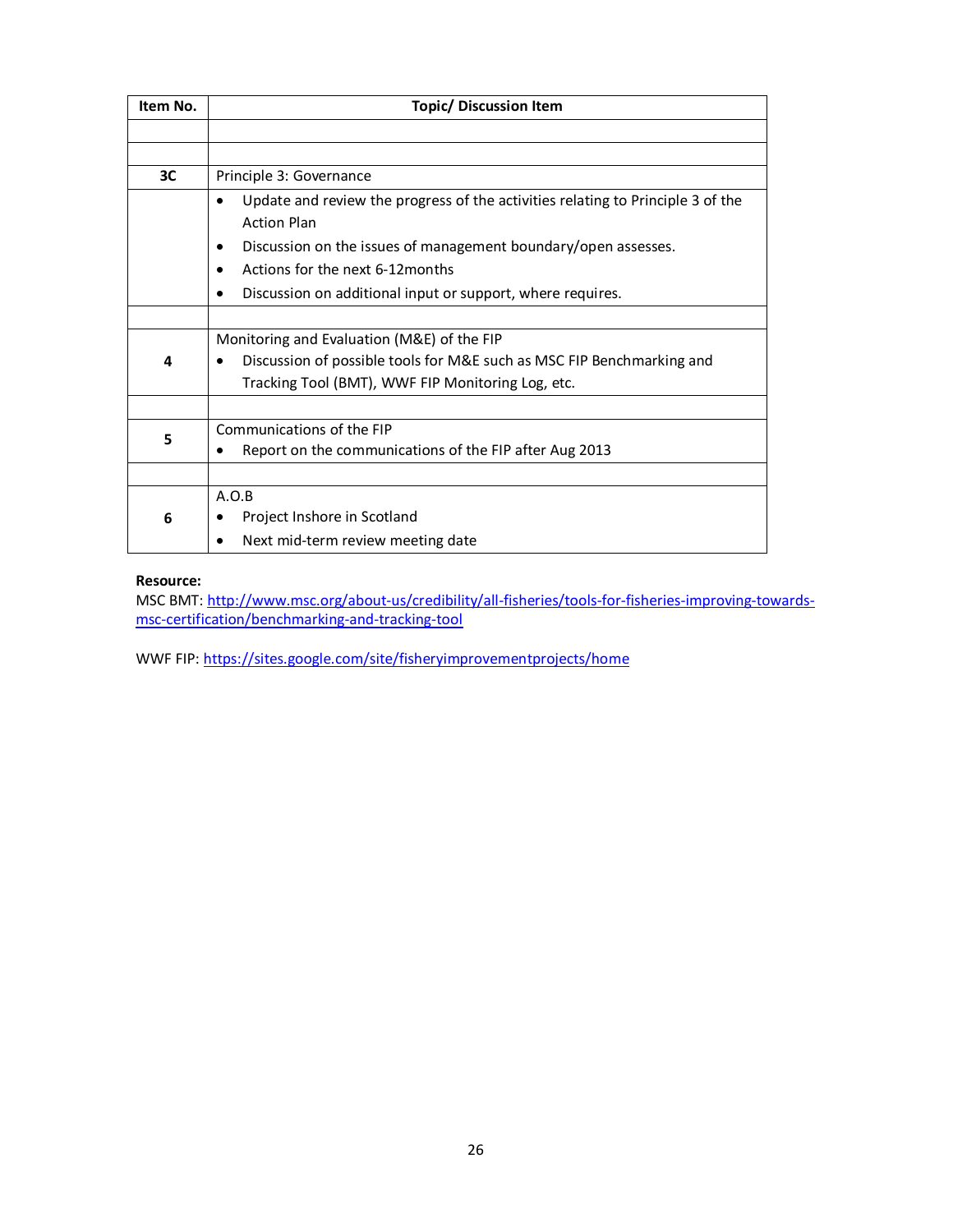| Item No. | <b>Topic/ Discussion Item</b>                                                   |
|----------|---------------------------------------------------------------------------------|
|          |                                                                                 |
|          |                                                                                 |
| 3C       | Principle 3: Governance                                                         |
|          | Update and review the progress of the activities relating to Principle 3 of the |
|          | <b>Action Plan</b>                                                              |
|          | Discussion on the issues of management boundary/open assesses.<br>٠             |
|          | Actions for the next 6-12 months<br>$\bullet$                                   |
|          | Discussion on additional input or support, where requires.                      |
|          |                                                                                 |
|          | Monitoring and Evaluation (M&E) of the FIP                                      |
| 4        | Discussion of possible tools for M&E such as MSC FIP Benchmarking and           |
|          | Tracking Tool (BMT), WWF FIP Monitoring Log, etc.                               |
|          |                                                                                 |
| 5        | Communications of the FIP                                                       |
|          | Report on the communications of the FIP after Aug 2013                          |
|          |                                                                                 |
|          | A.O.B                                                                           |
| 6        | Project Inshore in Scotland                                                     |
|          | Next mid-term review meeting date<br>٠                                          |

## **Resource:**

MSC BMT: http://www.msc.org/about-us/credibility/all-fisheries/tools-for-fisheries-improving-towardsmsc-c[ertification/benchmarking-and-tracking-tool](http://www.msc.org/about-us/credibility/all-fisheries/tools-for-fisheries-improving-towards-msc-certification/benchmarking-and-tracking-tool)

[WWF FIP: https://sites.google.com/site/fisheryim](http://www.msc.org/about-us/credibility/all-fisheries/tools-for-fisheries-improving-towards-msc-certification/benchmarking-and-tracking-tool)provementprojects/home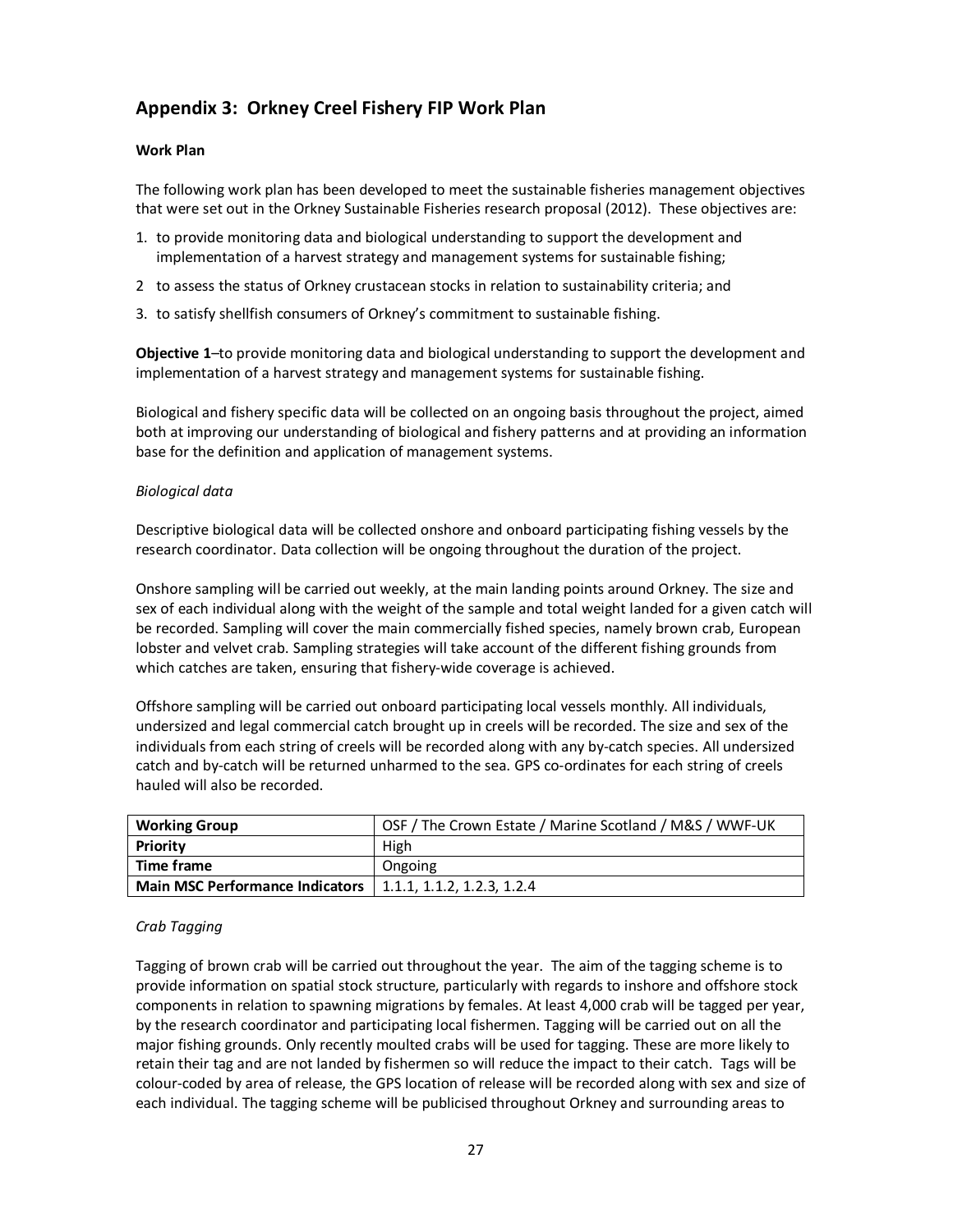# **Appendix 3: Orkney Creel Fishery FIP Work Plan**

# **Work Plan**

The following work plan has been developed to meet the sustainable fisheries management objectives that were set out in the Orkney Sustainable Fisheries research proposal (2012). These objectives are:

- 1. to provide monitoring data and biological understanding to support the development and implementation of a harvest strategy and management systems for sustainable fishing;
- 2 to assess the status of Orkney crustacean stocks in relation to sustainability criteria; and
- 3. to satisfy shellfish consumers of Orkney's commitment to sustainable fishing.

**Objective 1**–to provide monitoring data and biological understanding to support the development and implementation of a harvest strategy and management systems for sustainable fishing.

Biological and fishery specific data will be collected on an ongoing basis throughout the project, aimed both at improving our understanding of biological and fishery patterns and at providing an information base for the definition and application of management systems.

## *Biological data*

Descriptive biological data will be collected onshore and onboard participating fishing vessels by the research coordinator. Data collection will be ongoing throughout the duration of the project.

Onshore sampling will be carried out weekly, at the main landing points around Orkney. The size and sex of each individual along with the weight of the sample and total weight landed for a given catch will be recorded. Sampling will cover the main commercially fished species, namely brown crab, European lobster and velvet crab. Sampling strategies will take account of the different fishing grounds from which catches are taken, ensuring that fishery-wide coverage is achieved.

Offshore sampling will be carried out onboard participating local vessels monthly. All individuals, undersized and legal commercial catch brought up in creels will be recorded. The size and sex of the individuals from each string of creels will be recorded along with any by-catch species. All undersized catch and by-catch will be returned unharmed to the sea. GPS co-ordinates for each string of creels hauled will also be recorded.

| <b>Working Group</b>                   | OSF / The Crown Estate / Marine Scotland / M&S / WWF-UK |
|----------------------------------------|---------------------------------------------------------|
| Priority                               | High                                                    |
| Time frame                             | Ongoing                                                 |
| <b>Main MSC Performance Indicators</b> | 1.1.1, 1.1.2, 1.2.3, 1.2.4                              |

## *Crab Tagging*

Tagging of brown crab will be carried out throughout the year. The aim of the tagging scheme is to provide information on spatial stock structure, particularly with regards to inshore and offshore stock components in relation to spawning migrations by females. At least 4,000 crab will be tagged per year, by the research coordinator and participating local fishermen. Tagging will be carried out on all the major fishing grounds. Only recently moulted crabs will be used for tagging. These are more likely to retain their tag and are not landed by fishermen so will reduce the impact to their catch. Tags will be colour-coded by area of release, the GPS location of release will be recorded along with sex and size of each individual. The tagging scheme will be publicised throughout Orkney and surrounding areas to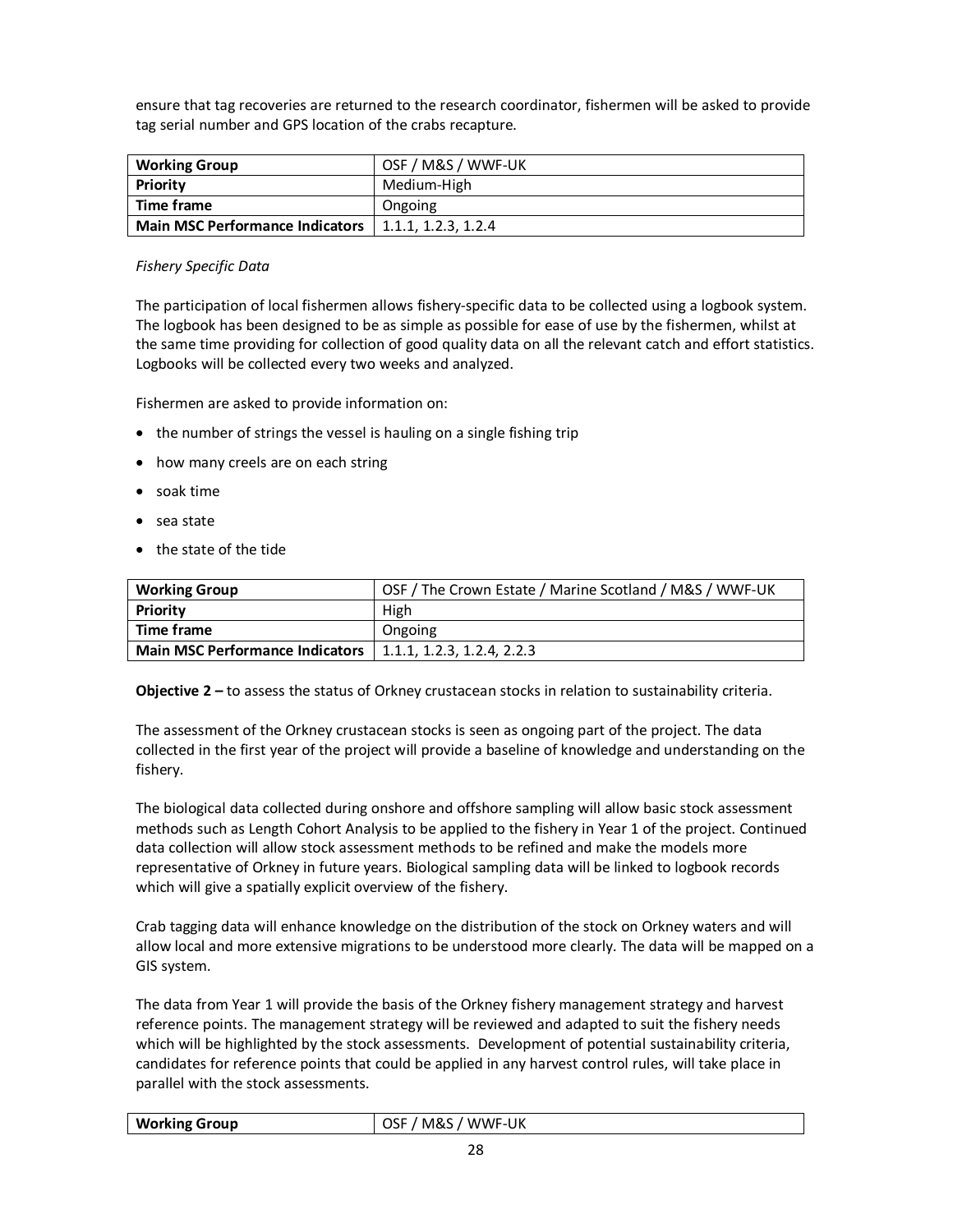ensure that tag recoveries are returned to the research coordinator, fishermen will be asked to provide tag serial number and GPS location of the crabs recapture.

| <b>Working Group</b>                   | OSF / M&S / WWF-UK  |
|----------------------------------------|---------------------|
| Priority                               | Medium-High         |
| Time frame                             | Ongoing             |
| <b>Main MSC Performance Indicators</b> | 1.1.1, 1.2.3, 1.2.4 |

## *Fishery Specific Data*

The participation of local fishermen allows fishery-specific data to be collected using a logbook system. The logbook has been designed to be as simple as possible for ease of use by the fishermen, whilst at the same time providing for collection of good quality data on all the relevant catch and effort statistics. Logbooks will be collected every two weeks and analyzed.

Fishermen are asked to provide information on:

- the number of strings the vessel is hauling on a single fishing trip
- how many creels are on each string
- · soak time
- · sea state
- · the state of the tide

| <b>Working Group</b>                   | OSF / The Crown Estate / Marine Scotland / M&S / WWF-UK |
|----------------------------------------|---------------------------------------------------------|
| <b>Priority</b>                        | High                                                    |
| Time frame                             | Ongoing                                                 |
| <b>Main MSC Performance Indicators</b> | 1.1.1, 1.2.3, 1.2.4, 2.2.3                              |

**Objective 2 –** to assess the status of Orkney crustacean stocks in relation to sustainability criteria.

The assessment of the Orkney crustacean stocks is seen as ongoing part of the project. The data collected in the first year of the project will provide a baseline of knowledge and understanding on the fishery.

The biological data collected during onshore and offshore sampling will allow basic stock assessment methods such as Length Cohort Analysis to be applied to the fishery in Year 1 of the project. Continued data collection will allow stock assessment methods to be refined and make the models more representative of Orkney in future years. Biological sampling data will be linked to logbook records which will give a spatially explicit overview of the fishery.

Crab tagging data will enhance knowledge on the distribution of the stock on Orkney waters and will allow local and more extensive migrations to be understood more clearly. The data will be mapped on a GIS system.

The data from Year 1 will provide the basis of the Orkney fishery management strategy and harvest reference points. The management strategy will be reviewed and adapted to suit the fishery needs which will be highlighted by the stock assessments. Development of potential sustainability criteria, candidates for reference points that could be applied in any harvest control rules, will take place in parallel with the stock assessments.

| <b>Working Group</b> | . / M&S<br>' WWF-UK<br>OSF. |
|----------------------|-----------------------------|
|                      |                             |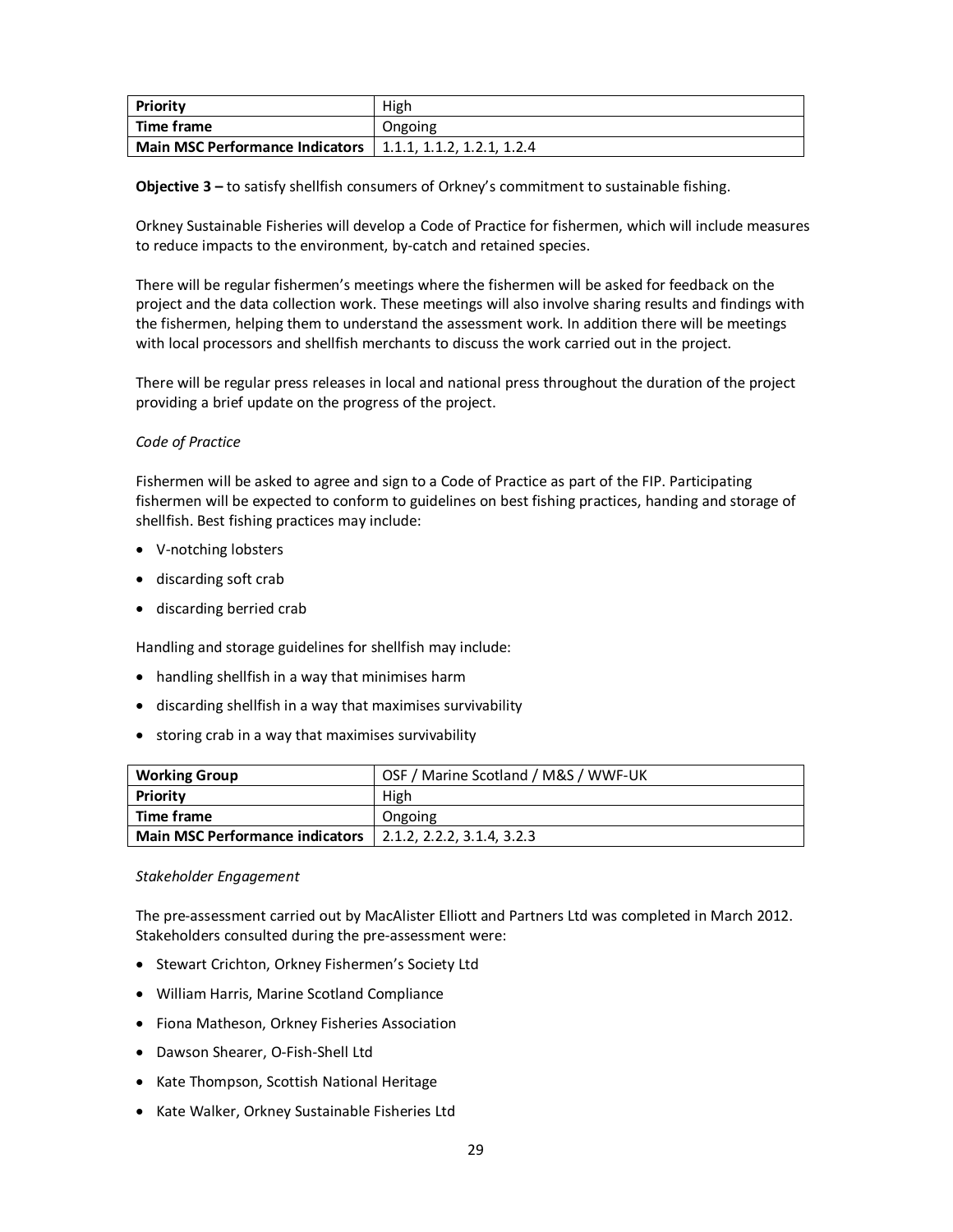| Priority                               | High                       |
|----------------------------------------|----------------------------|
| Time frame                             | Ongoing                    |
| <b>Main MSC Performance Indicators</b> | 1.1.1, 1.1.2, 1.2.1, 1.2.4 |

**Objective 3 –** to satisfy shellfish consumers of Orkney's commitment to sustainable fishing.

Orkney Sustainable Fisheries will develop a Code of Practice for fishermen, which will include measures to reduce impacts to the environment, by-catch and retained species.

There will be regular fishermen's meetings where the fishermen will be asked for feedback on the project and the data collection work. These meetings will also involve sharing results and findings with the fishermen, helping them to understand the assessment work. In addition there will be meetings with local processors and shellfish merchants to discuss the work carried out in the project.

There will be regular press releases in local and national press throughout the duration of the project providing a brief update on the progress of the project.

#### *Code of Practice*

Fishermen will be asked to agree and sign to a Code of Practice as part of the FIP. Participating fishermen will be expected to conform to guidelines on best fishing practices, handing and storage of shellfish. Best fishing practices may include:

- · V-notching lobsters
- · discarding soft crab
- · discarding berried crab

Handling and storage guidelines for shellfish may include:

- · handling shellfish in a way that minimises harm
- · discarding shellfish in a way that maximises survivability
- · storing crab in a way that maximises survivability

| <b>Working Group</b>                   | OSF / Marine Scotland / M&S / WWF-UK  |
|----------------------------------------|---------------------------------------|
| <b>Priority</b>                        | High                                  |
| Time frame                             | Ongoing                               |
| <b>Main MSC Performance indicators</b> | $2.1.2$ , $2.2.2$ , $3.1.4$ , $3.2.3$ |

#### *Stakeholder Engagement*

The pre-assessment carried out by MacAlister Elliott and Partners Ltd was completed in March 2012. Stakeholders consulted during the pre-assessment were:

- · Stewart Crichton, Orkney Fishermen's Society Ltd
- · William Harris, Marine Scotland Compliance
- · Fiona Matheson, Orkney Fisheries Association
- · Dawson Shearer, O-Fish-Shell Ltd
- · Kate Thompson, Scottish National Heritage
- · Kate Walker, Orkney Sustainable Fisheries Ltd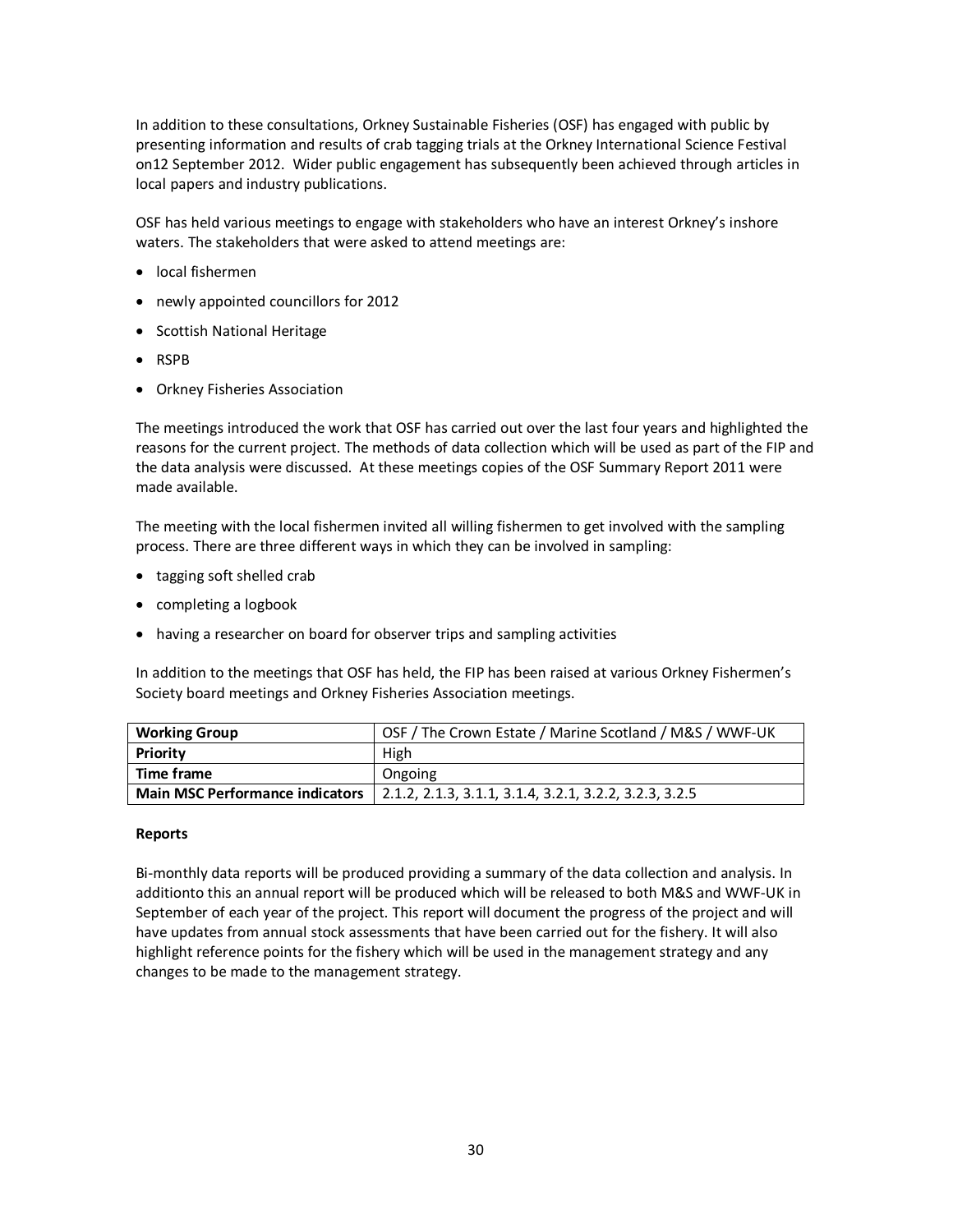In addition to these consultations, Orkney Sustainable Fisheries (OSF) has engaged with public by presenting information and results of crab tagging trials at the Orkney International Science Festival on12 September 2012. Wider public engagement has subsequently been achieved through articles in local papers and industry publications.

OSF has held various meetings to engage with stakeholders who have an interest Orkney's inshore waters. The stakeholders that were asked to attend meetings are:

- · local fishermen
- · newly appointed councillors for 2012
- · Scottish National Heritage
- · RSPB
- · Orkney Fisheries Association

The meetings introduced the work that OSF has carried out over the last four years and highlighted the reasons for the current project. The methods of data collection which will be used as part of the FIP and the data analysis were discussed. At these meetings copies of the OSF Summary Report 2011 were made available.

The meeting with the local fishermen invited all willing fishermen to get involved with the sampling process. There are three different ways in which they can be involved in sampling:

- · tagging soft shelled crab
- · completing a logbook
- having a researcher on board for observer trips and sampling activities

In addition to the meetings that OSF has held, the FIP has been raised at various Orkney Fishermen's Society board meetings and Orkney Fisheries Association meetings.

| <b>Working Group</b>                   | OSF / The Crown Estate / Marine Scotland / M&S / WWF-UK |
|----------------------------------------|---------------------------------------------------------|
| <b>Priority</b>                        | High                                                    |
| Time frame                             | Ongoing                                                 |
| <b>Main MSC Performance indicators</b> | 2.1.2, 2.1.3, 3.1.1, 3.1.4, 3.2.1, 3.2.2, 3.2.3, 3.2.5  |

## **Reports**

Bi-monthly data reports will be produced providing a summary of the data collection and analysis. In additionto this an annual report will be produced which will be released to both M&S and WWF-UK in September of each year of the project. This report will document the progress of the project and will have updates from annual stock assessments that have been carried out for the fishery. It will also highlight reference points for the fishery which will be used in the management strategy and any changes to be made to the management strategy.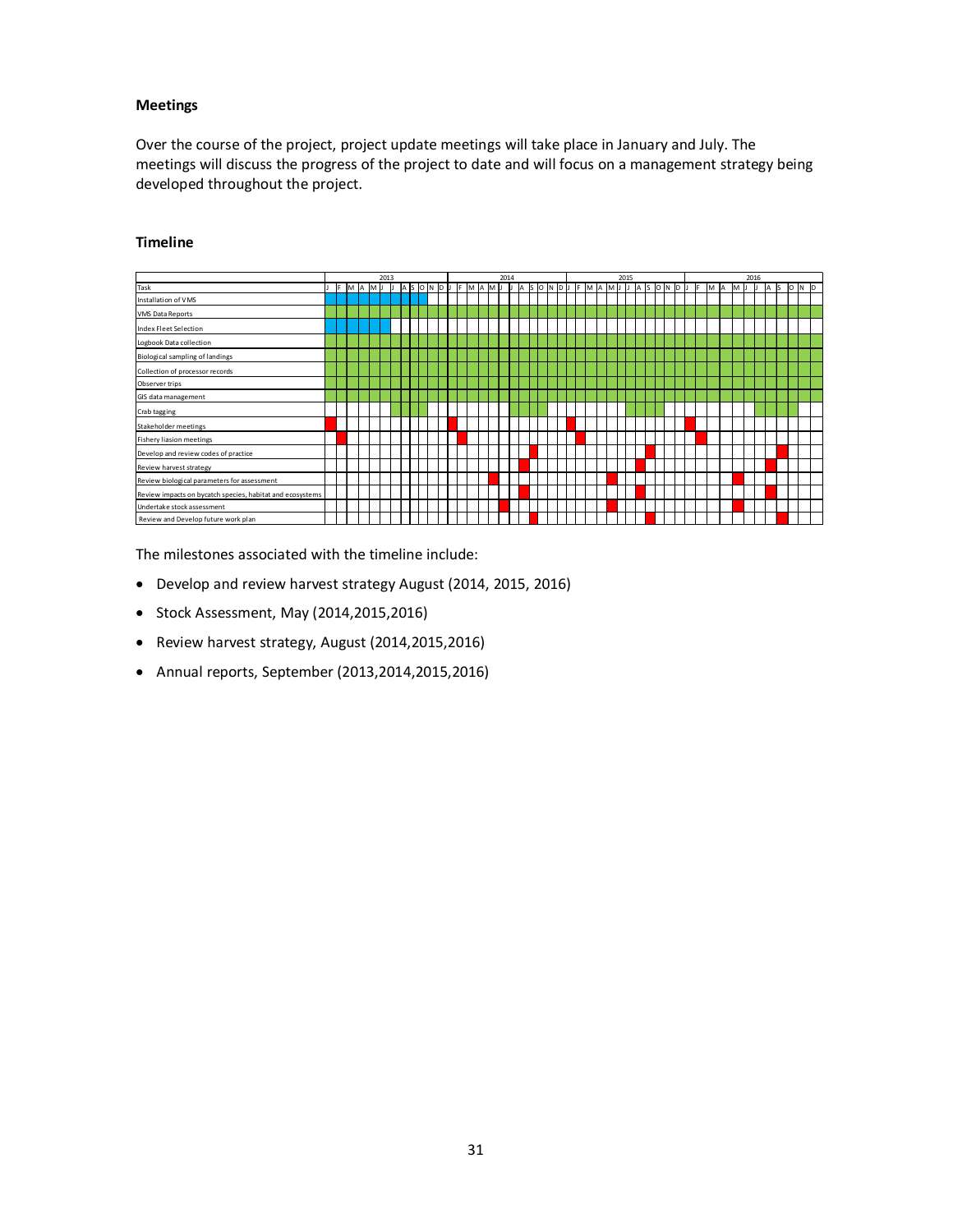#### **Meetings**

Over the course of the project, project update meetings will take place in January and July. The meetings will discuss the progress of the project to date and will focus on a management strategy being developed throughout the project.

#### **Timeline**



The milestones associated with the timeline include:

- · Develop and review harvest strategy August (2014, 2015, 2016)
- · Stock Assessment, May (2014,2015,2016)
- · Review harvest strategy, August (2014,2015,2016)
- · Annual reports, September (2013,2014,2015,2016)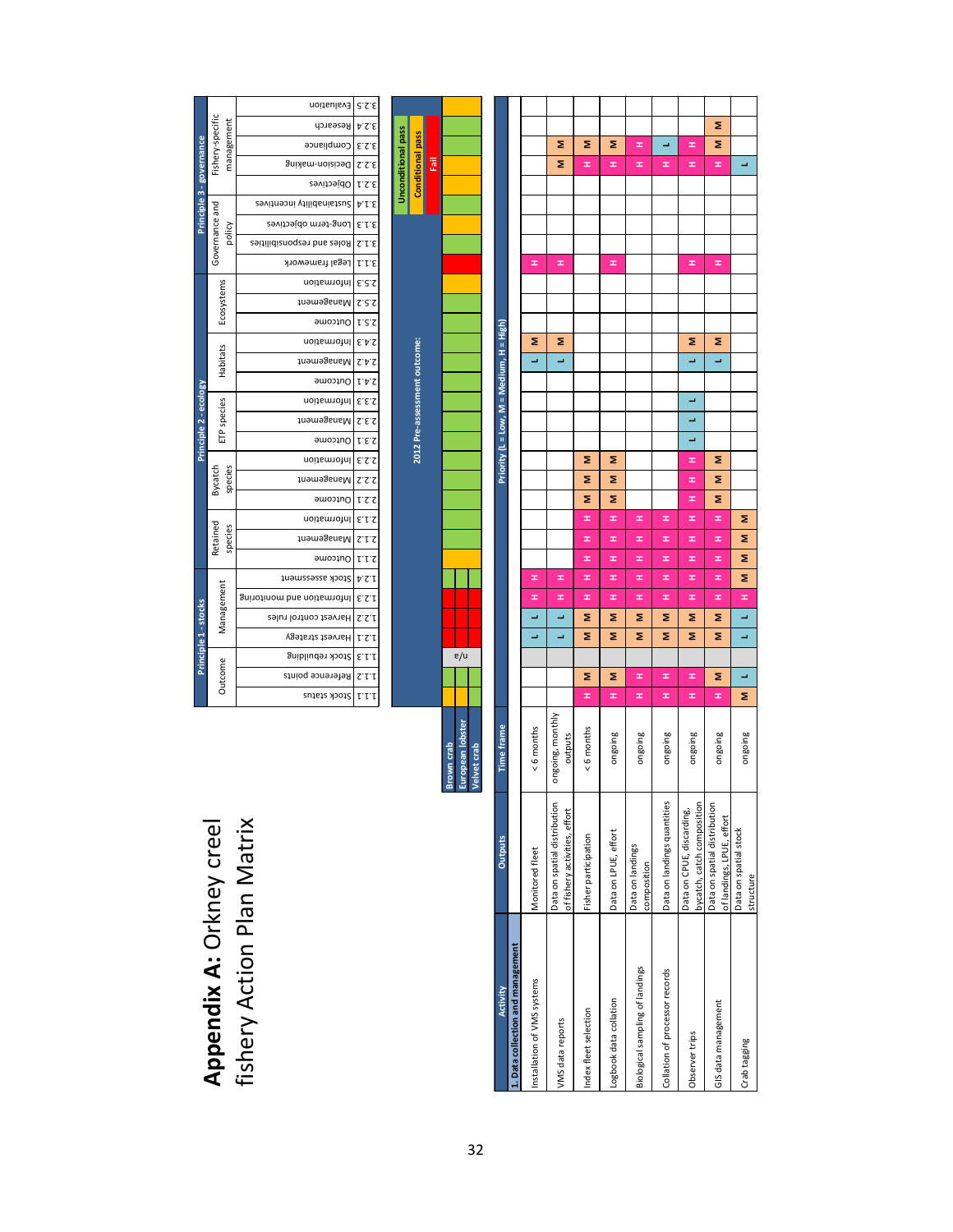| Principle 3 - governance | Fishery-specific<br>management | Evaluation<br>Research<br>Compliance | 5.5.5<br>3.2.4<br>5.2.5   | <b>Unconditional pass</b> | Conditional pass             |             |                                               |                                          |                                   |                             | Σ                                                             | Σ                     | Σ                      | œ                               | ب                              | œ                                                       | Σ<br>Σ                                                    |                                    |   |  |  |  |  |   |   |   |   |   |   |   |   |    |
|--------------------------|--------------------------------|--------------------------------------|---------------------------|---------------------------|------------------------------|-------------|-----------------------------------------------|------------------------------------------|-----------------------------------|-----------------------------|---------------------------------------------------------------|-----------------------|------------------------|---------------------------------|--------------------------------|---------------------------------------------------------|-----------------------------------------------------------|------------------------------------|---|--|--|--|--|---|---|---|---|---|---|---|---|----|
|                          |                                | Decision-making                      | 2.2.5                     |                           |                              | <b>Fell</b> |                                               |                                          |                                   |                             | Σ                                                             | ×                     | Ŧ                      | œ                               | œ                              | ×                                                       | œ                                                         | a,                                 |   |  |  |  |  |   |   |   |   |   |   |   |   |    |
|                          |                                | <b>Dbjectives</b>                    | 1.5.5                     |                           |                              |             |                                               |                                          |                                   |                             |                                                               |                       |                        |                                 |                                |                                                         |                                                           |                                    |   |  |  |  |  |   |   |   |   |   |   |   |   |    |
|                          |                                | Sustainability incentives            | A.I.E                     |                           |                              |             |                                               |                                          |                                   |                             |                                                               |                       |                        |                                 |                                |                                                         |                                                           |                                    |   |  |  |  |  |   |   |   |   |   |   |   |   |    |
|                          | Governance and                 | Long-term objectives                 | E.L.E                     |                           |                              |             |                                               |                                          |                                   |                             |                                                               |                       |                        |                                 |                                |                                                         |                                                           |                                    |   |  |  |  |  |   |   |   |   |   |   |   |   |    |
|                          | policy                         | Roles and responsibilities           | $Z^{\dagger}L^{\dagger}E$ |                           |                              |             |                                               |                                          |                                   |                             |                                                               |                       |                        |                                 |                                |                                                         |                                                           |                                    |   |  |  |  |  |   |   |   |   |   |   |   |   |    |
|                          |                                | Legal framework                      | 1.1.5                     |                           |                              |             |                                               |                                          |                                   | œ                           | œ                                                             |                       | œ                      |                                 |                                | œ                                                       | x,                                                        |                                    |   |  |  |  |  |   |   |   |   |   |   |   |   |    |
|                          |                                | Information                          | E.S.Z                     |                           |                              |             |                                               |                                          |                                   |                             |                                                               |                       |                        |                                 |                                |                                                         |                                                           |                                    |   |  |  |  |  |   |   |   |   |   |   |   |   |    |
|                          | Ecosystems                     | fnemegeneM                           | 2.5.S                     |                           |                              |             |                                               |                                          |                                   |                             |                                                               |                       |                        |                                 |                                |                                                         |                                                           |                                    |   |  |  |  |  |   |   |   |   |   |   |   |   |    |
|                          |                                | Outcome                              | <b>L.S.S</b>              |                           |                              |             |                                               |                                          |                                   |                             |                                                               |                       |                        |                                 |                                |                                                         |                                                           |                                    |   |  |  |  |  |   |   |   |   |   |   |   |   |    |
|                          |                                | Information                          | E.A.S                     |                           |                              |             |                                               | Priority (L = Low, M = Medium, H = High) |                                   | Σ                           | Σ                                                             |                       |                        |                                 |                                | Σ                                                       | Σ                                                         |                                    |   |  |  |  |  |   |   |   |   |   |   |   |   |    |
|                          | Habitats                       | Mamegement                           | 2.4.2                     |                           |                              |             |                                               |                                          |                                   | ب                           | ب                                                             |                       |                        |                                 |                                | ب                                                       | ب                                                         |                                    |   |  |  |  |  |   |   |   |   |   |   |   |   |    |
|                          |                                | Outcome                              | L.A.S                     |                           |                              |             |                                               |                                          |                                   |                             |                                                               |                       |                        |                                 |                                |                                                         |                                                           |                                    |   |  |  |  |  |   |   |   |   |   |   |   |   |    |
|                          |                                | Information                          | E.E.Z                     |                           |                              |             |                                               |                                          |                                   |                             |                                                               |                       |                        |                                 |                                | ب                                                       |                                                           |                                    |   |  |  |  |  |   |   |   |   |   |   |   |   |    |
|                          | ETP species                    | Mamegemeth                           | 2.5.2                     |                           | 2012 Pre-assessment outcome: |             |                                               |                                          |                                   |                             |                                                               |                       |                        |                                 |                                | پ                                                       |                                                           |                                    |   |  |  |  |  |   |   |   |   |   |   |   |   |    |
|                          |                                | Outcome                              | L.E.S                     |                           |                              |             |                                               |                                          |                                   |                             |                                                               |                       |                        |                                 |                                | ب                                                       |                                                           |                                    |   |  |  |  |  |   |   |   |   |   |   |   |   |    |
|                          |                                | Information                          | EZZ                       |                           |                              |             |                                               |                                          |                                   |                             |                                                               | Σ                     | Σ                      |                                 |                                | Ŧ                                                       | Σ                                                         |                                    |   |  |  |  |  |   |   |   |   |   |   |   |   |    |
| Principle 2 - ecology    | <b>Bycatch</b><br>species      | Management                           | 2.2.2                     |                           |                              |             |                                               |                                          |                                   |                             |                                                               | Σ                     | Σ                      |                                 |                                | ×                                                       | Σ                                                         |                                    |   |  |  |  |  |   |   |   |   |   |   |   |   |    |
|                          |                                | Outcome                              | L.S.S                     |                           |                              |             |                                               |                                          |                                   |                             |                                                               | Σ                     | Σ                      |                                 |                                | œ                                                       | Σ                                                         |                                    |   |  |  |  |  |   |   |   |   |   |   |   |   |    |
|                          |                                | Information                          | E.T.Z                     |                           |                              |             |                                               |                                          |                                   |                             |                                                               | ×                     | œ                      | œ                               | œ                              | ×                                                       | ×                                                         | Σ                                  |   |  |  |  |  |   |   |   |   |   |   |   |   |    |
|                          | Retained<br>species            | fnemegeneM                           | Z.L.Z                     |                           |                              |             |                                               |                                          |                                   |                             |                                                               |                       | ×                      | Ŧ                               | Ŧ                              | œ                                                       | ×                                                         | œ                                  | Σ |  |  |  |  |   |   |   |   |   |   |   |   |    |
|                          |                                | Outcome                              | I'I'Z                     |                           |                              |             |                                               |                                          |                                   |                             |                                                               | Ŧ                     | œ                      | œ                               | ×                              | Ŧ                                                       | œ                                                         | Σ                                  |   |  |  |  |  |   |   |   |   |   |   |   |   |    |
|                          |                                | Stock assessment                     | <b>A.S.I</b>              |                           |                              |             |                                               |                                          |                                   | Ŧ                           | Ŧ                                                             | Ŧ                     | Ŧ                      | Ŧ                               | œ                              | Ŧ                                                       | ±,                                                        | Σ                                  |   |  |  |  |  |   |   |   |   |   |   |   |   |    |
|                          |                                | Information and monitoring           | E.Z.T                     |                           |                              |             |                                               |                                          |                                   | œ                           | œ                                                             | ×                     | $\pm$                  | œ                               | ×                              | Ŧ                                                       | œ                                                         | ×                                  |   |  |  |  |  |   |   |   |   |   |   |   |   |    |
|                          | Management                     | Harvest control rules                | Z.ZT                      |                           |                              |             |                                               |                                          |                                   | ب                           | ت                                                             | Σ                     | Σ                      | Σ                               | Σ                              | Σ                                                       | Σ                                                         | ÷,                                 |   |  |  |  |  |   |   |   |   |   |   |   |   |    |
|                          |                                | Harvest strategy                     | L.S.I                     |                           |                              |             |                                               |                                          |                                   |                             |                                                               |                       |                        |                                 |                                |                                                         |                                                           |                                    |   |  |  |  |  | ب | ب | Σ | Σ | Σ | Σ | Σ | Σ | ä, |
| Principle 1 - stocks     |                                | Stock rebuilding                     | E.T.T                     |                           |                              |             |                                               |                                          |                                   |                             |                                                               |                       |                        | e/u                             |                                |                                                         |                                                           |                                    |   |  |  |  |  |   |   |   |   |   |   |   |   |    |
|                          | Outcome                        | Reference points                     | 7.1.1                     |                           |                              |             |                                               |                                          |                                   |                             |                                                               |                       |                        |                                 |                                |                                                         |                                                           |                                    |   |  |  |  |  |   |   |   |   |   |   |   | Σ | Σ  |
|                          |                                | Stock status                         | ITT.                      |                           |                              |             |                                               |                                          |                                   |                             |                                                               | Ŧ                     | Ŧ                      | œ                               | ×                              | ×                                                       | ×                                                         | Σ                                  |   |  |  |  |  |   |   |   |   |   |   |   |   |    |
|                          |                                |                                      |                           |                           |                              |             | European lobster<br>Brown crab<br>Velvet crab | Time frame                               |                                   | < 6 months                  | ongoing, monthly<br>outputs                                   | <6 months             | ongoing                | ongoing                         | ongoing                        | ongoing                                                 | ongoing                                                   | ongoing                            |   |  |  |  |  |   |   |   |   |   |   |   |   |    |
|                          |                                |                                      |                           |                           |                              |             |                                               | Outputs                                  |                                   | Monitored fleet             | Data on spatial distribution<br>of fishery activities, effort | Fisher participation  | Data on LPUE, effort   | Data on landings<br>composition | Data on landings quantities    | bycatch, catch composition<br>Data on CPUE, discarding, | Data on spatial distribution<br>of landings, LPUE, effort | Data on spatial stock<br>structure |   |  |  |  |  |   |   |   |   |   |   |   |   |    |
|                          | Appendix A: Orkney creel       | fishery Action Plan Matrix           |                           |                           |                              |             |                                               | Activity                                 | 1. Data collection and management | Installation of VMS systems | VMS data reports                                              | Index fleet selection | Logbook data collation | Biological sampling of landings | Collation of processor records | Observer trips                                          | GIS data management                                       | Crab tagging                       |   |  |  |  |  |   |   |   |   |   |   |   |   |    |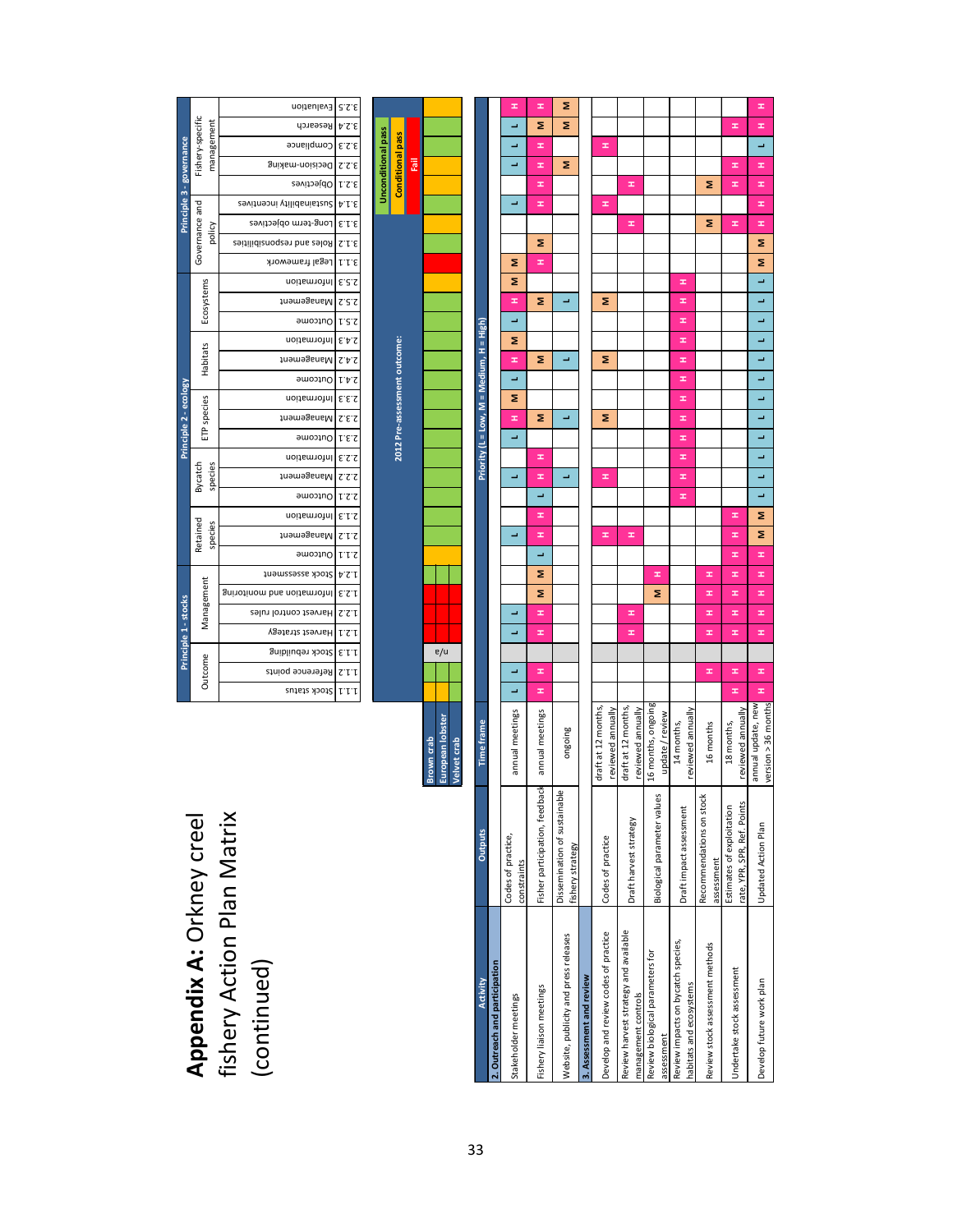# **Appendix A: Orkney creel<br>fishery Action Plan Matrix**<br>(continued) fishery Action Plan Matrix **Appendix A:** Orkney creel (continued)

|                          |                          | Evaluation                 | 5.2.5        |  |
|--------------------------|--------------------------|----------------------------|--------------|--|
| Principle 3 - governance | Fishery-specific         | Research                   | <b>A.S.E</b> |  |
|                          | management               | Compliance                 | 8.2.3        |  |
|                          |                          | Decision-making            | 3.2.2        |  |
|                          |                          | Objectives                 | L.S.E        |  |
|                          |                          | Sustainability incentives  | <b>A.L.E</b> |  |
|                          | Governance and<br>policy | Long-term objectives       | 5.1.5        |  |
|                          |                          | Roles and responsibilities | 5.1.2        |  |
|                          |                          | Legal framework            | I.I.ε        |  |
|                          |                          | Information                | 2.5.3        |  |
|                          | Ecosystems               | JnamageneM                 | 2.5.S        |  |
| Principle 2 - ecology    |                          | Outcome                    | 1.5.S        |  |
|                          |                          | Information                | 2.4.3        |  |
|                          | Habitats                 | JnamageneM                 | S.A.S        |  |
|                          |                          | Outcome                    | I.A.S        |  |
|                          |                          | Information                | 2.3.3        |  |
|                          | ETP species              | Mamegemeth                 | 2.5.2        |  |
|                          |                          | Outcome                    | 1.ε.s        |  |
|                          |                          | Information                | 2.2.3        |  |
|                          | species<br>Bycatch       | JnamageneM                 | 2.2.2        |  |
|                          |                          | Outcome                    | I.S.S        |  |
|                          |                          | Information                | 2.1.3        |  |
|                          | Retained<br>species      | JnamageneM                 | Z.I.S        |  |
|                          |                          | Outcome                    | I'I'Z        |  |
|                          |                          | Stock assessment           | 4.2.4        |  |
|                          | Managemen                | Bnivotinom bns noitsmothl  | 1.2.3        |  |
|                          |                          | Harvest control rules      | Z.S.I        |  |
| Principle 1 - stocks     |                          | Harvest strategy           | τ τ          |  |
|                          |                          | Stock rebuilding           | E.L.I        |  |
|                          |                          | Reference points           | Z"I"I        |  |
|                          |                          | Stock status               | τττ          |  |
|                          |                          |                            |              |  |

**Unconditional pass**

**Unconditional pass** 

| J.<br><b>Conditional pass</b><br>ē<br>$\frac{1}{\sqrt{2}}$<br>IN   M   H   M   H   M   H   M   M<br>Priority (L = Low, M = Medium, H = High) | z<br>王 王 王 王<br>$\frac{1}{2}$<br>z<br>z            | Σ<br>z                       |
|----------------------------------------------------------------------------------------------------------------------------------------------|----------------------------------------------------|------------------------------|
|                                                                                                                                              |                                                    |                              |
|                                                                                                                                              |                                                    |                              |
|                                                                                                                                              |                                                    |                              |
|                                                                                                                                              |                                                    |                              |
|                                                                                                                                              |                                                    |                              |
|                                                                                                                                              |                                                    |                              |
|                                                                                                                                              |                                                    |                              |
|                                                                                                                                              |                                                    |                              |
|                                                                                                                                              |                                                    |                              |
|                                                                                                                                              |                                                    |                              |
|                                                                                                                                              |                                                    |                              |
|                                                                                                                                              |                                                    |                              |
|                                                                                                                                              |                                                    |                              |
|                                                                                                                                              |                                                    |                              |
| 2012 Pre-assessment outcome:                                                                                                                 |                                                    |                              |
|                                                                                                                                              | z                                                  |                              |
|                                                                                                                                              |                                                    |                              |
|                                                                                                                                              | <b>≖ ∓ ■ ≖ ∓ ≖ ■ ≥ ≥ ≥ ≖ ≖ ≖</b>                   |                              |
|                                                                                                                                              |                                                    |                              |
|                                                                                                                                              |                                                    |                              |
|                                                                                                                                              |                                                    |                              |
|                                                                                                                                              |                                                    |                              |
|                                                                                                                                              |                                                    |                              |
|                                                                                                                                              |                                                    |                              |
|                                                                                                                                              |                                                    |                              |
|                                                                                                                                              |                                                    |                              |
|                                                                                                                                              |                                                    |                              |
| e/u                                                                                                                                          |                                                    |                              |
|                                                                                                                                              |                                                    |                              |
|                                                                                                                                              |                                                    |                              |
|                                                                                                                                              | Fisher participation, feedback annual meetings H H |                              |
| turopean lobster<br><b>Time frame</b>                                                                                                        |                                                    | ongoing                      |
| Brown crab<br>Velvet crab                                                                                                                    |                                                    |                              |
|                                                                                                                                              |                                                    |                              |
|                                                                                                                                              |                                                    | Dissemination of sustainable |
|                                                                                                                                              |                                                    |                              |
| <b>Outputs</b>                                                                                                                               |                                                    |                              |
|                                                                                                                                              |                                                    |                              |
| constraints                                                                                                                                  |                                                    |                              |
| Codes of practice,                                                                                                                           |                                                    | <b>fishery strategy</b>      |

|                                          |                               | x                                 | x                              | z                                                |                          |                                          |                                       |                        |                                  |                             |                                    |                         |                                 |            |                            |                             |                    | x                        |
|------------------------------------------|-------------------------------|-----------------------------------|--------------------------------|--------------------------------------------------|--------------------------|------------------------------------------|---------------------------------------|------------------------|----------------------------------|-----------------------------|------------------------------------|-------------------------|---------------------------------|------------|----------------------------|-----------------------------|--------------------|--------------------------|
|                                          |                               |                                   | z                              | Σ                                                |                          |                                          |                                       |                        |                                  |                             |                                    |                         |                                 |            | x                          |                             |                    | x                        |
|                                          |                               |                                   | x                              |                                                  |                          | Ŧ                                        |                                       |                        |                                  |                             |                                    |                         |                                 |            |                            |                             |                    | F                        |
|                                          |                               |                                   | Ŧ                              | Σ                                                |                          |                                          |                                       |                        |                                  |                             |                                    |                         |                                 |            | œ                          |                             |                    | x                        |
|                                          |                               |                                   | Ē                              |                                                  |                          |                                          |                                       | Ŧ                      |                                  |                             |                                    |                         | Σ                               |            | Ŧ                          |                             |                    | x                        |
|                                          |                               |                                   | œ                              |                                                  |                          | œ                                        |                                       |                        |                                  |                             |                                    |                         |                                 |            |                            |                             |                    | x                        |
|                                          |                               |                                   |                                |                                                  |                          |                                          |                                       | Ŧ                      |                                  |                             |                                    |                         | Σ                               |            | Ŧ                          |                             |                    | x                        |
|                                          |                               |                                   | z                              |                                                  |                          |                                          |                                       |                        |                                  |                             |                                    |                         |                                 |            |                            |                             |                    | $\overline{\mathbf{z}}$  |
|                                          |                               | Σ                                 | x                              |                                                  |                          |                                          |                                       |                        |                                  |                             |                                    |                         |                                 |            |                            |                             |                    | $\overline{z}$           |
|                                          |                               | Σ                                 |                                |                                                  |                          |                                          |                                       |                        |                                  |                             | x                                  |                         |                                 |            |                            |                             |                    | $\overline{a}$           |
|                                          |                               | Ŧ                                 | Σ                              |                                                  |                          | Σ                                        |                                       |                        |                                  |                             | x                                  |                         |                                 |            |                            |                             |                    | $\overline{a}$           |
|                                          |                               | 4                                 |                                |                                                  |                          |                                          |                                       |                        |                                  |                             | x                                  |                         |                                 |            |                            |                             |                    | $\overline{a}$           |
|                                          |                               | z                                 |                                |                                                  |                          |                                          |                                       |                        |                                  |                             | x                                  |                         |                                 |            |                            |                             |                    | J                        |
|                                          |                               | x                                 | Σ                              |                                                  |                          | Σ                                        |                                       |                        |                                  |                             | x                                  |                         |                                 |            |                            |                             |                    |                          |
|                                          |                               |                                   |                                |                                                  |                          |                                          |                                       |                        |                                  |                             | x                                  |                         |                                 |            |                            |                             |                    |                          |
|                                          |                               | Σ                                 |                                |                                                  |                          |                                          |                                       |                        |                                  |                             | x                                  |                         |                                 |            |                            |                             |                    |                          |
|                                          |                               | x                                 | Σ                              |                                                  |                          | Σ                                        |                                       |                        |                                  |                             | I                                  |                         |                                 |            |                            |                             |                    |                          |
|                                          |                               | J                                 |                                |                                                  |                          |                                          |                                       |                        |                                  |                             | Ŧ                                  |                         |                                 |            |                            |                             |                    | $\overline{a}$           |
| Priority (L = Low, M = Medium, H = High) |                               |                                   | x                              |                                                  |                          |                                          |                                       |                        |                                  |                             | x                                  |                         |                                 |            |                            |                             |                    |                          |
|                                          |                               | پ                                 | x                              |                                                  |                          | œ                                        |                                       |                        |                                  |                             | x                                  |                         |                                 |            |                            |                             |                    | F                        |
|                                          |                               |                                   |                                |                                                  |                          |                                          |                                       |                        |                                  |                             | x                                  |                         |                                 |            |                            |                             |                    |                          |
|                                          |                               |                                   | ×                              |                                                  |                          |                                          |                                       |                        |                                  |                             |                                    |                         |                                 |            | Ŧ                          |                             |                    | $\overline{z}$           |
|                                          |                               | ä                                 | x                              |                                                  |                          | Ŧ                                        |                                       | Ŧ                      |                                  |                             |                                    |                         |                                 |            | x                          |                             |                    | $\overline{z}$           |
|                                          |                               |                                   |                                |                                                  |                          |                                          |                                       |                        |                                  |                             |                                    |                         |                                 |            | x                          |                             |                    | x                        |
|                                          |                               |                                   | z                              |                                                  |                          |                                          |                                       |                        |                                  | Ŧ                           |                                    |                         | Ŧ                               |            | x                          |                             |                    | x                        |
|                                          |                               |                                   | $\overline{\mathbf{z}}$        |                                                  |                          |                                          |                                       |                        |                                  | z                           |                                    |                         | x                               |            | x                          |                             |                    | x                        |
|                                          |                               |                                   | Ŧ                              |                                                  |                          |                                          |                                       | Ŧ                      |                                  |                             |                                    |                         | I                               |            | Ŧ                          |                             |                    | x                        |
|                                          |                               |                                   | Ŧ                              |                                                  |                          |                                          |                                       | Ŧ                      |                                  |                             |                                    |                         | I                               |            | Ŧ                          |                             |                    | I                        |
|                                          |                               |                                   |                                |                                                  |                          |                                          |                                       |                        |                                  |                             |                                    |                         |                                 |            |                            |                             |                    |                          |
|                                          |                               |                                   | ×                              |                                                  |                          |                                          |                                       |                        |                                  |                             |                                    |                         | Ŧ                               |            | Ŧ                          |                             |                    | Ŧ                        |
|                                          |                               | F                                 | ×                              |                                                  |                          |                                          |                                       |                        |                                  |                             |                                    |                         |                                 |            | x                          |                             |                    |                          |
| Time frame                               |                               | annual meetings                   | annual meetings                | ongoing                                          |                          | draft at 12 months,<br>reviewed annually | draft at 12 months,                   | reviewed annually      | 16 months, ongoing               | update / review             | 14 months,                         | reviewed annually       | 16 months                       |            | 18 months,                 | reviewed annually           | annual update, new | Version > 36 months      |
|                                          |                               |                                   |                                |                                                  |                          |                                          |                                       |                        |                                  |                             |                                    |                         |                                 |            |                            |                             |                    |                          |
| <b>Outputs</b>                           |                               | Codes of practice,<br>constraints | Fisher participation, feedback | Dissemination of sustainable<br>fishery strategy |                          | Codes of practice                        |                                       | Draft harvest strategy |                                  | Biological parameter values | Draft impact assessment            |                         | Recommendations on stock        | assessment | Estimates of exploitation  | rate, YPR, SPR, Ref. Points |                    | Updated Action Plan      |
| Activity                                 | 2. Outreach and participation | Stakeholder meetings              | Fishery liaison meetings       | Website, publicity and press releases            | 3. Assessment and review | Develop and review codes of practice     | Review harvest strategy and available | management controls    | Review biological parameters for | assessment                  | Review impacts on bycatch species, | nabitats and ecosystems | Review stock assessment methods |            | Undertake stock assessment |                             |                    | Develop future work plan |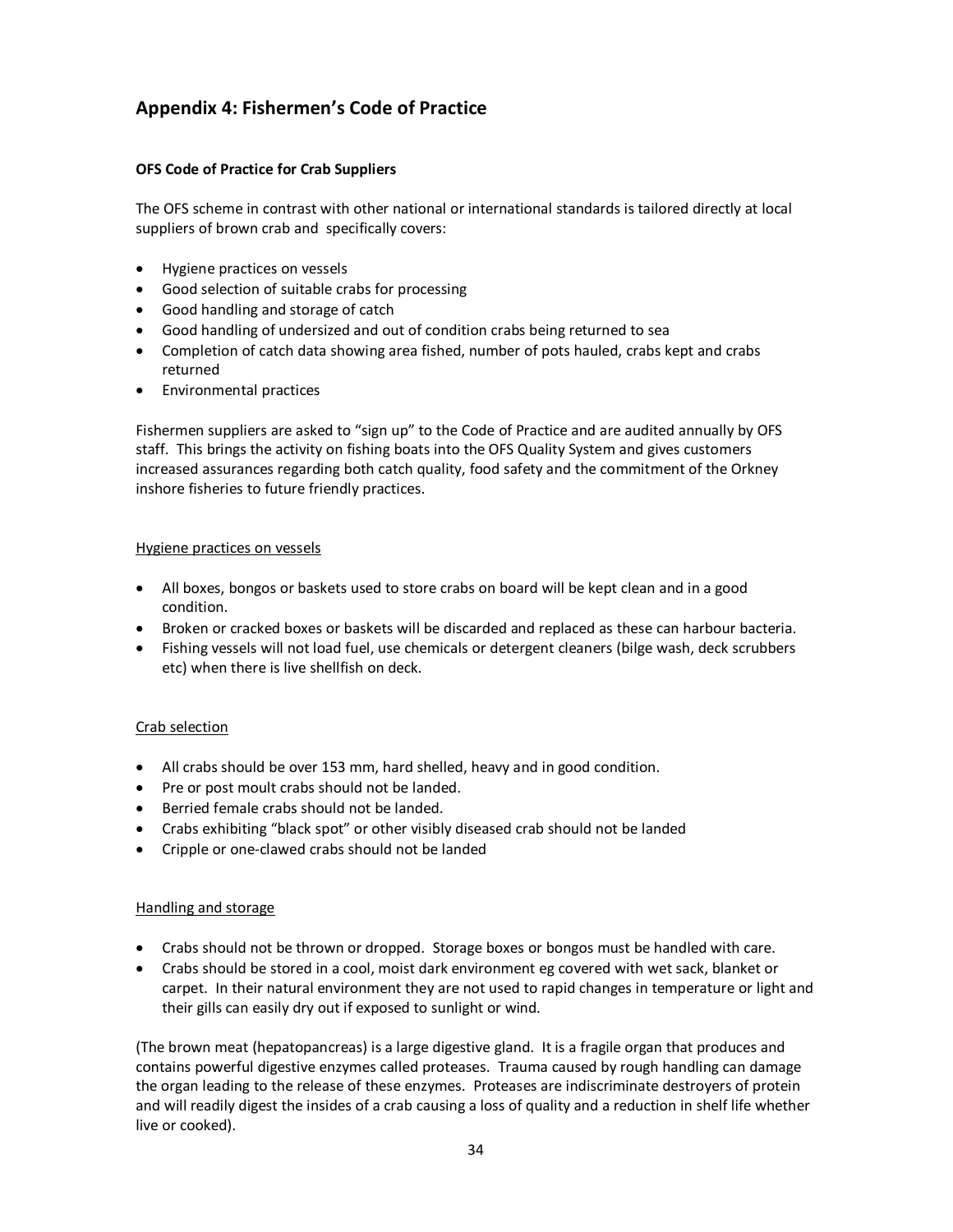# **Appendix 4: Fishermen's Code of Practice**

## **OFS Code of Practice for Crab Suppliers**

The OFS scheme in contrast with other national or international standards is tailored directly at local suppliers of brown crab and specifically covers:

- · Hygiene practices on vessels
- · Good selection of suitable crabs for processing
- · Good handling and storage of catch
- · Good handling of undersized and out of condition crabs being returned to sea
- · Completion of catch data showing area fished, number of pots hauled, crabs kept and crabs returned
- · Environmental practices

Fishermen suppliers are asked to "sign up" to the Code of Practice and are audited annually by OFS staff. This brings the activity on fishing boats into the OFS Quality System and gives customers increased assurances regarding both catch quality, food safety and the commitment of the Orkney inshore fisheries to future friendly practices.

## Hygiene practices on vessels

- · All boxes, bongos or baskets used to store crabs on board will be kept clean and in a good condition.
- · Broken or cracked boxes or baskets will be discarded and replaced as these can harbour bacteria.
- · Fishing vessels will not load fuel, use chemicals or detergent cleaners (bilge wash, deck scrubbers etc) when there is live shellfish on deck.

# Crab selection

- · All crabs should be over 153 mm, hard shelled, heavy and in good condition.
- · Pre or post moult crabs should not be landed.
- · Berried female crabs should not be landed.
- · Crabs exhibiting "black spot" or other visibly diseased crab should not be landed
- · Cripple or one-clawed crabs should not be landed

## Handling and storage

- · Crabs should not be thrown or dropped. Storage boxes or bongos must be handled with care.
- · Crabs should be stored in a cool, moist dark environment eg covered with wet sack, blanket or carpet. In their natural environment they are not used to rapid changes in temperature or light and their gills can easily dry out if exposed to sunlight or wind.

(The brown meat (hepatopancreas) is a large digestive gland. It is a fragile organ that produces and contains powerful digestive enzymes called proteases. Trauma caused by rough handling can damage the organ leading to the release of these enzymes. Proteases are indiscriminate destroyers of protein and will readily digest the insides of a crab causing a loss of quality and a reduction in shelf life whether live or cooked).